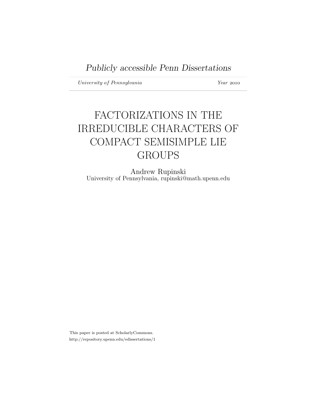University of Pennsylvania Year 2010

# FACTORIZATIONS IN THE IRREDUCIBLE CHARACTERS OF COMPACT SEMISIMPLE LIE GROUPS

Andrew Rupinski University of Pennsylvania, rupinski@math.upenn.edu

This paper is posted at ScholarlyCommons. http://repository.upenn.edu/edissertations/1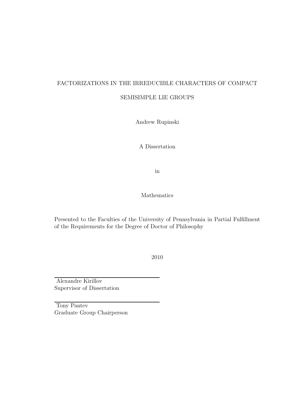## FACTORIZATIONS IN THE IRREDUCIBLE CHARACTERS OF COMPACT SEMISIMPLE LIE GROUPS

Andrew Rupinski

A Dissertation

in

Mathematics

Presented to the Faculties of the University of Pennsylvania in Partial Fulfillment of the Requirements for the Degree of Doctor of Philosophy

2010

Alexandre Kirillov Supervisor of Dissertation

Tony Pantev Graduate Group Chairperson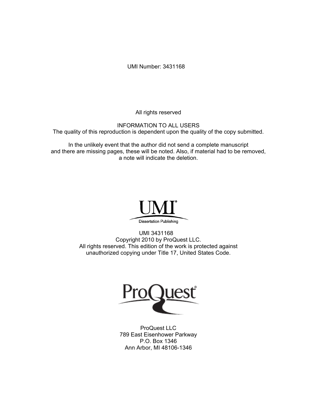UMI Number: 3431168

All rights reserved

INFORMATION TO ALL USERS The quality of this reproduction is dependent upon the quality of the copy submitted.

In the unlikely event that the author did not send a complete manuscript and there are missing pages, these will be noted. Also, if material had to be removed, a note will indicate the deletion.



UMI 3431168 Copyright 2010 by ProQuest LLC. All rights reserved. This edition of the work is protected against unauthorized copying under Title 17, United States Code.



ProQuest LLC 789 East Eisenhower Parkway P.O. Box 1346 Ann Arbor, MI 48106-1346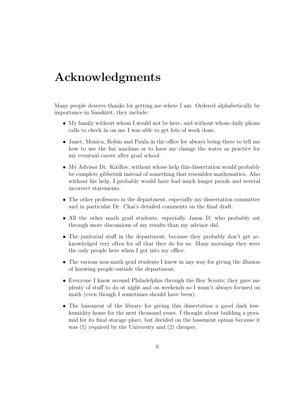# Acknowledgments

Many people deserve thanks for getting me where I am. Ordered alphabetically by importance in Sanskirit, they include:

- My family without whom I would not be here, and without whose daily phone calls to check in on me I was able to get lots of work done.
- Janet, Monica, Robin and Paula in the office for always being there to tell me how to use the fax machine or to have me change the water as practice for my eventual career after grad school.
- My Advisor Dr. Kirillov, without whose help this dissertation would probably be complete gibberish instead of something that resembles mathematics. Also without his help, I probably would have had much longer proofs and several incorrect statements.
- The other professors in the department, especially my dissertation committee and in particular Dr. Chai's detailed comments on the final draft.
- All the other math grad students, especially Jason D. who probably sat through more discussions of my results than my advisor did.
- The janitorial staff in the department, because they probably don't get acknowledged very often for all that they do for us. Many mornings they were the only people here when I got into my office.
- The various non-math grad students I knew in any way for giving the illusion of knowing people outside the department.
- Everyone I know around Philadelphia through the Boy Scouts; they gave me plenty of stuff to do at night and on weekends so I wasn't always focused on math (even though I sometimes should have been).
- The basement of the library for giving this dissertation a good dark lowhumidity home for the next thousand years. I thought about building a pyramid for its final storage place, but decided on the basement option because it was (1) required by the University and (2) cheaper.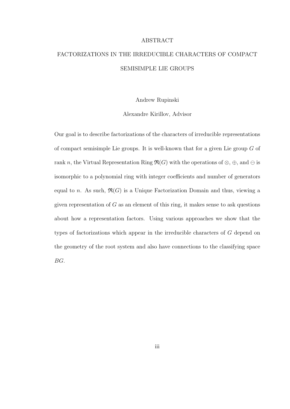#### ABSTRACT

## FACTORIZATIONS IN THE IRREDUCIBLE CHARACTERS OF COMPACT SEMISIMPLE LIE GROUPS

Andrew Rupinski

Alexandre Kirillov, Advisor

Our goal is to describe factorizations of the characters of irreducible representations of compact semisimple Lie groups. It is well-known that for a given Lie group  $G$  of rank n, the Virtual Representation Ring  $\mathfrak{R}(G)$  with the operations of  $\otimes$ ,  $\oplus$ , and  $\ominus$  is isomorphic to a polynomial ring with integer coefficients and number of generators equal to n. As such,  $\mathfrak{R}(G)$  is a Unique Factorization Domain and thus, viewing a given representation of  $G$  as an element of this ring, it makes sense to ask questions about how a representation factors. Using various approaches we show that the types of factorizations which appear in the irreducible characters of G depend on the geometry of the root system and also have connections to the classifying space BG.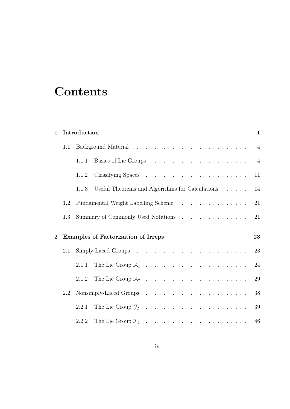# **Contents**

| $\mathbf{1}$ |     | $\mathbf{1}$<br>Introduction |                                                 |    |  |  |  |  |
|--------------|-----|------------------------------|-------------------------------------------------|----|--|--|--|--|
|              | 1.1 |                              |                                                 |    |  |  |  |  |
|              |     | 1.1.1                        |                                                 |    |  |  |  |  |
|              |     | 1.1.2                        | 11                                              |    |  |  |  |  |
|              |     | 1.1.3                        | Useful Theorems and Algorithms for Calculations | 14 |  |  |  |  |
|              | 1.2 |                              | Fundamental Weight Labelling Scheme             |    |  |  |  |  |
|              | 1.3 |                              | Summary of Commonly Used Notations              |    |  |  |  |  |
|              |     |                              |                                                 |    |  |  |  |  |
| $\bf{2}$     |     |                              | <b>Examples of Factorization of Irreps</b>      | 23 |  |  |  |  |
|              | 2.1 |                              |                                                 | 23 |  |  |  |  |
|              |     | 2.1.1                        |                                                 | 24 |  |  |  |  |
|              |     | 2.1.2                        |                                                 | 29 |  |  |  |  |
|              | 2.2 |                              |                                                 | 38 |  |  |  |  |
|              |     | 2.2.1                        |                                                 | 39 |  |  |  |  |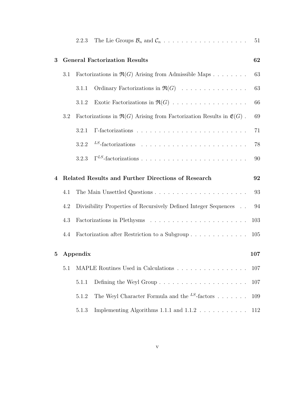|             |                                      | 2.2.3                                                   |                                                                                                     | 51  |  |  |  |
|-------------|--------------------------------------|---------------------------------------------------------|-----------------------------------------------------------------------------------------------------|-----|--|--|--|
| 3           | <b>General Factorization Results</b> |                                                         |                                                                                                     |     |  |  |  |
|             | 3.1                                  | Factorizations in $\Re(G)$ Arising from Admissible Maps |                                                                                                     |     |  |  |  |
|             |                                      | 3.1.1                                                   | Ordinary Factorizations in $\Re(G)$                                                                 | 63  |  |  |  |
|             |                                      | 3.1.2                                                   |                                                                                                     | 66  |  |  |  |
|             | 3.2                                  |                                                         | Factorizations in $\mathfrak{R}(G)$ Arising from Factorization Results in $\mathfrak{E}(G)$ .<br>69 |     |  |  |  |
|             |                                      | 3.2.1                                                   |                                                                                                     | 71  |  |  |  |
|             |                                      | 3.2.2                                                   |                                                                                                     | 78  |  |  |  |
|             |                                      | 3.2.3                                                   |                                                                                                     | 90  |  |  |  |
| 4           |                                      |                                                         | Related Results and Further Directions of Research                                                  | 92  |  |  |  |
|             | 4.1                                  |                                                         |                                                                                                     | 93  |  |  |  |
|             | 4.2                                  |                                                         | Divisibility Properties of Recursively Defined Integer Sequences                                    | 94  |  |  |  |
|             | 4.3                                  |                                                         |                                                                                                     | 103 |  |  |  |
|             | 4.4                                  |                                                         | Factorization after Restriction to a Subgroup                                                       | 105 |  |  |  |
| $5^{\circ}$ |                                      | 107<br>Appendix                                         |                                                                                                     |     |  |  |  |
|             | $5.1\,$                              |                                                         |                                                                                                     | 107 |  |  |  |
|             |                                      | 5.1.1                                                   | Defining the Weyl Group $\ldots \ldots \ldots \ldots \ldots \ldots \ldots$                          | 107 |  |  |  |
|             |                                      | 5.1.2                                                   | The Weyl Character Formula and the $^{LS}$ -factors                                                 | 109 |  |  |  |
|             |                                      | 5.1.3                                                   | Implementing Algorithms 1.1.1 and $1.1.2\,$                                                         | 112 |  |  |  |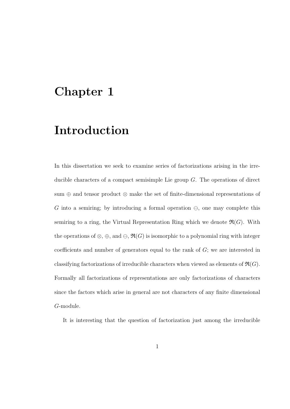# Chapter 1

# Introduction

In this dissertation we seek to examine series of factorizations arising in the irreducible characters of a compact semisimple Lie group G. The operations of direct sum ⊕ and tensor product ⊗ make the set of finite-dimensional representations of G into a semiring; by introducing a formal operation  $\Theta$ , one may complete this semiring to a ring, the Virtual Representation Ring which we denote  $\mathfrak{R}(G)$ . With the operations of  $\otimes$ ,  $\oplus$ , and  $\ominus$ ,  $\mathfrak{R}(G)$  is isomorphic to a polynomial ring with integer coefficients and number of generators equal to the rank of G; we are interested in classifying factorizations of irreducible characters when viewed as elements of  $\mathfrak{R}(G)$ . Formally all factorizations of representations are only factorizations of characters since the factors which arise in general are not characters of any finite dimensional G-module.

It is interesting that the question of factorization just among the irreducible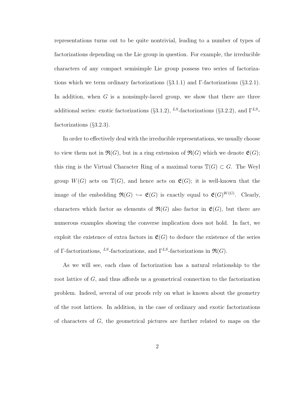representations turns out to be quite nontrivial, leading to a number of types of factorizations depending on the Lie group in question. For example, the irreducible characters of any compact semisimple Lie group possess two series of factorizations which we term ordinary factorizations  $(\S3.1.1)$  and Γ-factorizations  $(\S3.2.1)$ . In addition, when  $G$  is a nonsimply-laced group, we show that there are three additional series: exotic factorizations (§3.1.2), <sup>LS</sup>-factorizations (§3.2.2), and  $\Gamma^{LS}$ factorizations (§3.2.3).

In order to effectively deal with the irreducible representations, we usually choose to view them not in  $\mathfrak{R}(G)$ , but in a ring extension of  $\mathfrak{R}(G)$  which we denote  $\mathfrak{E}(G)$ ; this ring is the Virtual Character Ring of a maximal torus  $\mathbb{T}(G) \subset G$ . The Weyl group  $W(G)$  acts on  $\mathbb{T}(G)$ , and hence acts on  $\mathfrak{E}(G)$ ; it is well-known that the image of the embedding  $\mathfrak{R}(G) \hookrightarrow \mathfrak{E}(G)$  is exactly equal to  $\mathfrak{E}(G)^{W(G)}$ . Clearly, characters which factor as elements of  $\mathfrak{R}(G)$  also factor in  $\mathfrak{E}(G)$ , but there are numerous examples showing the converse implication does not hold. In fact, we exploit the existence of extra factors in  $\mathfrak{E}(G)$  to deduce the existence of the series of Γ-factorizations, <sup>LS</sup>-factorizations, and  $\Gamma^{LS}$ -factorizations in  $\mathfrak{R}(G)$ .

As we will see, each class of factorization has a natural relationship to the root lattice of G, and thus affords us a geometrical connection to the factorization problem. Indeed, several of our proofs rely on what is known about the geometry of the root lattices. In addition, in the case of ordinary and exotic factorizations of characters of G, the geometrical pictures are further related to maps on the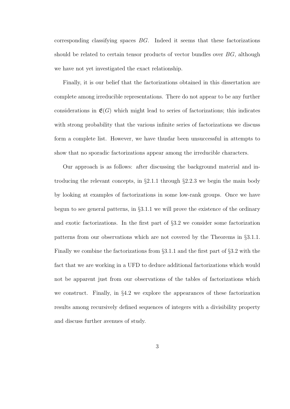corresponding classifying spaces  $BG$ . Indeed it seems that these factorizations should be related to certain tensor products of vector bundles over  $BG$ , although we have not yet investigated the exact relationship.

Finally, it is our belief that the factorizations obtained in this dissertation are complete among irreducible representations. There do not appear to be any further considerations in  $\mathfrak{E}(G)$  which might lead to series of factorizations; this indicates with strong probability that the various infinite series of factorizations we discuss form a complete list. However, we have thusfar been unsuccessful in attempts to show that no sporadic factorizations appear among the irreducible characters.

Our approach is as follows: after discussing the background material and introducing the relevant concepts, in  $\S2.1.1$  through  $\S2.2.3$  we begin the main body by looking at examples of factorizations in some low-rank groups. Once we have begun to see general patterns, in §3.1.1 we will prove the existence of the ordinary and exotic factorizations. In the first part of §3.2 we consider some factorization patterns from our observations which are not covered by the Theorems in §3.1.1. Finally we combine the factorizations from §3.1.1 and the first part of §3.2 with the fact that we are working in a UFD to deduce additional factorizations which would not be apparent just from our observations of the tables of factorizations which we construct. Finally, in §4.2 we explore the appearances of these factorization results among recursively defined sequences of integers with a divisibility property and discuss further avenues of study.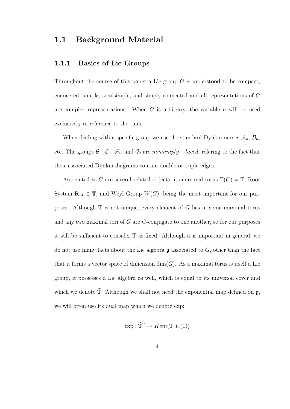### 1.1 Background Material

#### 1.1.1 Basics of Lie Groups

Throughout the course of this paper a Lie group  $G$  is understood to be compact, connected, simple, semisimple, and simply-connected and all representations of G are complex representations. When  $G$  is arbitrary, the variable  $n$  will be used exclusively in reference to the rank.

When dealing with a specific group we use the standard Dynkin names  $A_n$ ,  $B_n$ , etc. The groups  $\mathcal{B}_n$ ,  $\mathcal{C}_n$ ,  $\mathcal{F}_4$ , and  $\mathcal{G}_2$  are nonsimply – laced, refering to the fact that their associated Dynkin diagrams contain double or triple edges.

Associated to G are several related objects, its maximal torus  $\mathbb{T}(G) = \mathbb{T}$ , Root System  $\mathbf{R}_{\mathbf{G}} \subset \widetilde{\mathbb{T}}$ , and Weyl Group  $W(G)$ , being the most important for our purposes. Although  $T$  is not unique, every element of G lies in some maximal torus and any two maximal tori of  $G$  are  $G$ -conjugate to one another, so for our purposes it will be sufficient to consider T as fixed. Although it is important in general, we do not use many facts about the Lie algebra  $\mathfrak g$  associated to  $G$ , other than the fact that it forms a vector space of dimension  $\dim(G)$ . As a maximal torus is itself a Lie group, it possesses a Lie algebra as well, which is equal to its universal cover and which we denote  $\widetilde{\mathbb{T}}$ . Although we shall not need the exponential map defined on  $\mathfrak{g}$ , we will often use its dual map which we denote exp:

$$
\exp: \widetilde{\mathbb{T}}^{\vee} \to Hom(\mathbb{T}, U(1))
$$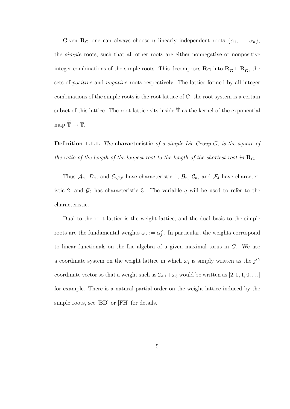Given  $\mathbf{R}_{\mathbf{G}}$  one can always choose n linearly independent roots  $\{\alpha_1, \ldots, \alpha_n\},\$ the simple roots, such that all other roots are either nonnegative or nonpositive integer combinations of the simple roots. This decomposes  $\mathbf{R}_{\mathbf{G}}$  into  $\mathbf{R}_{\mathbf{G}}^+ \sqcup \mathbf{R}_{\mathbf{G}}^-$ , the sets of positive and negative roots respectively. The lattice formed by all integer combinations of the simple roots is the root lattice of  $G$ ; the root system is a certain subset of this lattice. The root lattice sits inside  $\tilde{\mathbb{T}}$  as the kernel of the exponential map  $\widetilde{\mathbb{T}} \to \mathbb{T}$ .

**Definition 1.1.1.** The characteristic of a simple Lie Group  $G$ , is the square of the ratio of the length of the longest root to the length of the shortest root in  $\mathbf{R}_{\mathbf{G}}$ .

Thus  $A_n$ ,  $\mathcal{D}_n$ , and  $\mathcal{E}_{6,7,8}$  have characteristic 1,  $\mathcal{B}_n$ ,  $\mathcal{C}_n$ , and  $\mathcal{F}_4$  have characteristic 2, and  $\mathcal{G}_2$  has characteristic 3. The variable q will be used to refer to the characteristic.

Dual to the root lattice is the weight lattice, and the dual basis to the simple roots are the fundamental weights  $\omega_j := \alpha_j^{\vee}$ . In particular, the weights correspond to linear functionals on the Lie algebra of a given maximal torus in G. We use a coordinate system on the weight lattice in which  $\omega_j$  is simply written as the  $j^{th}$ coordinate vector so that a weight such as  $2\omega_1 + \omega_3$  would be written as  $[2, 0, 1, 0, \ldots]$ for example. There is a natural partial order on the weight lattice induced by the simple roots, see [BD] or [FH] for details.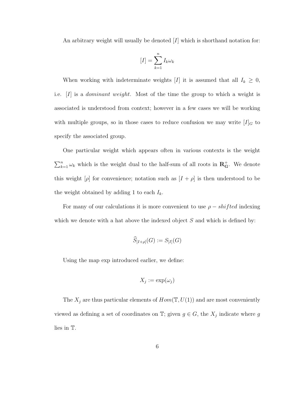An arbitrary weight will usually be denoted  $[I]$  which is shorthand notation for:

$$
[I] = \sum_{k=1}^{n} I_k \omega_k
$$

When working with indeterminate weights [I] it is assumed that all  $I_k \geq 0$ , i.e. [I] is a dominant weight. Most of the time the group to which a weight is associated is understood from context; however in a few cases we will be working with multiple groups, so in those cases to reduce confusion we may write  $[I]_G$  to specify the associated group.

One particular weight which appears often in various contexts is the weight  $\sum_{k=1}^{n} \omega_k$  which is the weight dual to the half-sum of all roots in  $\mathbb{R}^+_G$ . We denote this weight  $[\rho]$  for convenience; notation such as  $[I + \rho]$  is then understood to be the weight obtained by adding 1 to each  $I_k$ .

For many of our calculations it is more convenient to use  $\rho - shifted$  indexing which we denote with a hat above the indexed object  $S$  and which is defined by:

$$
\widehat{S}_{[I+\rho]}(G) := S_{[I]}(G)
$$

Using the map exp introduced earlier, we define:

$$
X_j := \exp(\omega_j)
$$

The  $X_j$  are thus particular elements of  $Hom(\mathbb{T},U(1))$  and are most conveniently viewed as defining a set of coordinates on  $\mathbb{T}$ ; given  $g \in G$ , the  $X_j$  indicate where g lies in T.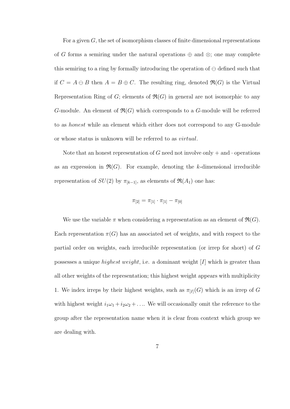For a given  $G$ , the set of isomorphism classes of finite dimensional representations of G forms a semiring under the natural operations  $\oplus$  and  $\otimes$ ; one may complete this semiring to a ring by formally introducing the operation of  $\ominus$  defined such that if  $C = A \ominus B$  then  $A = B \oplus C$ . The resulting ring, denoted  $\Re(G)$  is the Virtual Representation Ring of G; elements of  $\mathfrak{R}(G)$  in general are not isomorphic to any G-module. An element of  $\mathfrak{R}(G)$  which corresponds to a G-module will be referred to as honest while an element which either does not correspond to any G-module or whose status is unknown will be referred to as virtual.

Note that an honest representation of G need not involve only  $+$  and  $\cdot$  operations as an expression in  $\mathfrak{R}(G)$ . For example, denoting the k-dimensional irreducible representation of  $SU(2)$  by  $\pi_{[k-1]}$ , as elements of  $\Re(A_1)$  one has:

$$
\pi_{[2]} = \pi_{[1]} \cdot \pi_{[1]} - \pi_{[0]}
$$

We use the variable  $\pi$  when considering a representation as an element of  $\mathfrak{R}(G)$ . Each representation  $\pi(G)$  has an associated set of weights, and with respect to the partial order on weights, each irreducible representation (or irrep for short) of G possesses a unique highest weight, i.e. a dominant weight [I] which is greater than all other weights of the representation; this highest weight appears with multiplicity 1. We index irreps by their highest weights, such as  $\pi_{[I]}(G)$  which is an irrep of G with highest weight  $i_1\omega_1 + i_2\omega_2 + \ldots$  We will occasionally omit the reference to the group after the representation name when it is clear from context which group we are dealing with.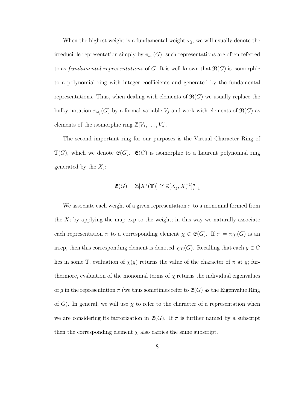When the highest weight is a fundamental weight  $\omega_j$ , we will usually denote the irreducible representation simply by  $\pi_{\omega_j}(G)$ ; such representations are often referred to as fundamental representations of G. It is well-known that  $\mathfrak{R}(G)$  is isomorphic to a polynomial ring with integer coefficients and generated by the fundamental representations. Thus, when dealing with elements of  $\mathfrak{R}(G)$  we usually replace the bulky notation  $\pi_{\omega_j}(G)$  by a formal variable  $V_j$  and work with elements of  $\mathfrak{R}(G)$  as elements of the isomorphic ring  $\mathbb{Z}[V_1, \ldots, V_n].$ 

The second important ring for our purposes is the Virtual Character Ring of  $\mathbb{T}(G)$ , which we denote  $\mathfrak{E}(G)$ .  $\mathfrak{E}(G)$  is isomorphic to a Laurent polynomial ring generated by the  $X_j$ :

$$
\mathfrak{E}(G) = \mathbb{Z}[X^*(\mathbb{T})] \cong \mathbb{Z}[X_j, X_j^{-1}]_{j=1}^n
$$

We associate each weight of a given representation  $\pi$  to a monomial formed from the  $X_i$  by applying the map exp to the weight; in this way we naturally associate each representation  $\pi$  to a corresponding element  $\chi \in \mathfrak{E}(G)$ . If  $\pi = \pi_{[I]}(G)$  is an irrep, then this corresponding element is denoted  $\chi_{[I]}(G)$ . Recalling that each  $g \in G$ lies in some T, evaluation of  $\chi(g)$  returns the value of the character of  $\pi$  at g; furthermore, evaluation of the monomial terms of  $\chi$  returns the individual eigenvalues of q in the representation  $\pi$  (we thus sometimes refer to  $\mathfrak{E}(G)$  as the Eigenvalue Ring of G). In general, we will use  $\chi$  to refer to the character of a representation when we are considering its factorization in  $\mathfrak{E}(G)$ . If  $\pi$  is further named by a subscript then the corresponding element  $\chi$  also carries the same subscript.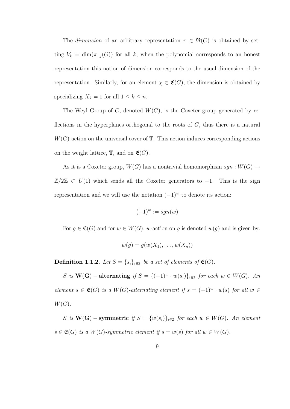The dimension of an arbitrary representation  $\pi \in \mathfrak{R}(G)$  is obtained by setting  $V_k = \dim(\pi_{\omega_k}(G))$  for all k; when the polynomial corresponds to an honest representation this notion of dimension corresponds to the usual dimension of the representation. Similarly, for an element  $\chi \in \mathfrak{E}(G)$ , the dimension is obtained by specializing  $X_k = 1$  for all  $1 \leq k \leq n$ .

The Weyl Group of  $G$ , denoted  $W(G)$ , is the Coxeter group generated by reflections in the hyperplanes orthogonal to the roots of  $G$ , thus there is a natural  $W(G)$ -action on the universal cover of  $\mathbb T$ . This action induces corresponding actions on the weight lattice,  $\mathbb{T}$ , and on  $\mathfrak{E}(G)$ .

As it is a Coxeter group,  $W(G)$  has a nontrivial homomorphism  $sgn: W(G) \rightarrow$  $\mathbb{Z}/2\mathbb{Z} \subset U(1)$  which sends all the Coxeter generators to  $-1$ . This is the sign representation and we will use the notation  $(-1)^w$  to denote its action:

$$
(-1)^w := sgn(w)
$$

For  $g \in \mathfrak{E}(G)$  and for  $w \in W(G)$ , w-action on g is denoted  $w(g)$  and is given by:

$$
w(g) = g(w(X_1), \ldots, w(X_n))
$$

**Definition 1.1.2.** Let  $S = \{s_i\}_{i \in \mathcal{I}}$  be a set of elements of  $\mathfrak{E}(G)$ .

S is  $\mathbf{W}(\mathbf{G})$  – alternating if  $S = \{(-1)^w \cdot w(s_i)\}_{i \in \mathcal{I}}$  for each  $w \in W(G)$ . An element  $s \in \mathfrak{E}(G)$  is a W(G)-alternating element if  $s = (-1)^w \cdot w(s)$  for all  $w \in$  $W(G).$ 

S is  $\mathbf{W}(\mathbf{G})$  – symmetric if  $S = \{w(s_i)\}_{i \in \mathcal{I}}$  for each  $w \in W(G)$ . An element  $s \in \mathfrak{E}(G)$  is a  $W(G)$ -symmetric element if  $s = w(s)$  for all  $w \in W(G)$ .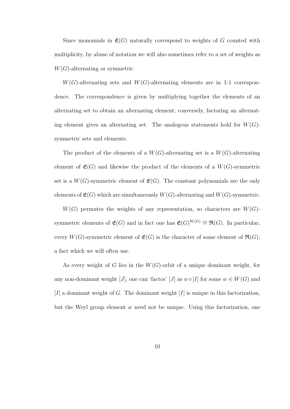Since monomials in  $\mathfrak{E}(G)$  naturally correspond to weights of G counted with multiplicity, by abuse of notation we will also sometimes refer to a set of weights as  $W(G)$ -alternating or symmetric.

 $W(G)$ -alternating sets and  $W(G)$ -alternating elements are in 1-1 correspondence. The correspondence is given by multiplying together the elements of an alternating set to obtain an alternating element; conversely, factoring an alternating element gives an alternating set. The analogous statements hold for  $W(G)$ symmetric sets and elements.

The product of the elements of a  $W(G)$ -alternating set is a  $W(G)$ -alternating element of  $\mathfrak{E}(G)$  and likewise the product of the elements of a  $W(G)$ -symmetric set is a  $W(G)$ -symmetric element of  $\mathfrak{E}(G)$ . The constant polynomials are the only elements of  $\mathfrak{E}(G)$  which are simultaneously  $W(G)$ -alternating and  $W(G)$ -symmetric.

 $W(G)$  permutes the weights of any representation, so characters are  $W(G)$ symmetric elements of  $\mathfrak{E}(G)$  and in fact one has  $\mathfrak{E}(G)^{W(G)} \cong \mathfrak{R}(G)$ . In particular, every  $W(G)$ -symmetric element of  $\mathfrak{E}(G)$  is the character of some element of  $\mathfrak{R}(G)$ , a fact which we will often use.

As every weight of G lies in the  $W(G)$ -orbit of a unique dominant weight, for any non-dominant weight [J], one can 'factor' [J] as  $w \circ [I]$  for some  $w \in W(G)$  and  $[I]$  a dominant weight of G. The dominant weight  $[I]$  is unique in this factorization, but the Weyl group element w need not be unique. Using this factorization, one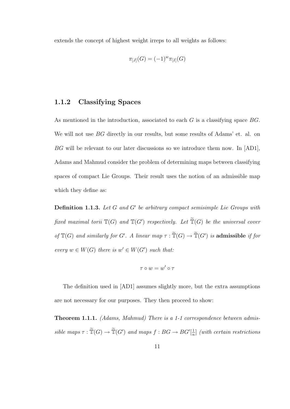extends the concept of highest weight irreps to all weights as follows:

$$
\pi_{[J]}(G) = (-1)^{w} \pi_{[I]}(G)
$$

#### 1.1.2 Classifying Spaces

As mentioned in the introduction, associated to each  $G$  is a classifying space  $BG$ . We will not use BG directly in our results, but some results of Adams' et. al. on BG will be relevant to our later discussions so we introduce them now. In [AD1], Adams and Mahmud consider the problem of determining maps between classifying spaces of compact Lie Groups. Their result uses the notion of an admissible map which they define as:

**Definition 1.1.3.** Let  $G$  and  $G'$  be arbitrary compact semisimple Lie Groups with fixed maximal torii  $\mathbb{T}(G)$  and  $\mathbb{T}(G')$  respectively. Let  $\widetilde{\mathbb{T}}(G)$  be the universal cover of  $\mathbb{T}(G)$  and similarly for G'. A linear map  $\tau : \widetilde{\mathbb{T}}(G) \to \widetilde{\mathbb{T}}(G')$  is admissible if for every  $w \in W(G)$  there is  $w' \in W(G')$  such that:

$$
\tau \circ w = w' \circ \tau
$$

The definition used in [AD1] assumes slightly more, but the extra assumptions are not necessary for our purposes. They then proceed to show:

Theorem 1.1.1. (Adams, Mahmud) There is a 1-1 correspondence between admissible maps  $\tau : \widetilde{\mathbb{T}}(G) \to \widetilde{\mathbb{T}}(G')$  and maps  $f : BG \to BG'[\frac{1}{n}]$  $\frac{1}{n}$  (with certain restrictions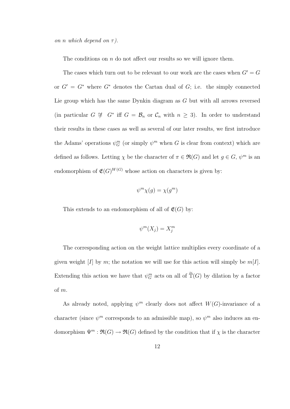on n which depend on  $\tau$ ).

The conditions on  $n$  do not affect our results so we will ignore them.

The cases which turn out to be relevant to our work are the cases when  $G' = G$ or  $G' = G^*$  where  $G^*$  denotes the Cartan dual of  $G$ ; i.e. the simply connected Lie group which has the same Dynkin diagram as G but with all arrows reversed (in particular  $G \not\cong G^*$  iff  $G = \mathcal{B}_n$  or  $\mathcal{C}_n$  with  $n \geq 3$ ). In order to understand their results in these cases as well as several of our later results, we first introduce the Adams' operations  $\psi_G^m$  (or simply  $\psi^m$  when G is clear from context) which are defined as follows. Letting  $\chi$  be the character of  $\pi \in \mathfrak{R}(G)$  and let  $g \in G$ ,  $\psi^m$  is an endomorphism of  $\mathfrak{E}(G)^{W(G)}$  whose action on characters is given by:

$$
\psi^m \chi(g) = \chi(g^m)
$$

This extends to an endomorphism of all of  $\mathfrak{E}(G)$  by:

$$
\psi^m(X_j) = X_j^m
$$

The corresponding action on the weight lattice multiplies every coordinate of a given weight [I] by m; the notation we will use for this action will simply be  $m[I]$ . Extending this action we have that  $\psi_G^m$  acts on all of  $\tilde{T}(G)$  by dilation by a factor of m.

As already noted, applying  $\psi^m$  clearly does not affect  $W(G)$ -invariance of a character (since  $\psi^m$  corresponds to an admissible map), so  $\psi^m$  also induces an endomorphism  $\Psi^m : \mathfrak{R}(G) \to \mathfrak{R}(G)$  defined by the condition that if  $\chi$  is the character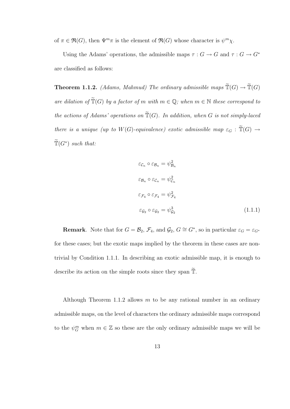of  $\pi \in \mathfrak{R}(G)$ , then  $\Psi^m \pi$  is the element of  $\mathfrak{R}(G)$  whose character is  $\psi^m \chi$ .

Using the Adams' operations, the admissible maps  $\tau:G\rightarrow G$  and  $\tau:G\rightarrow G^*$ are classified as follows:

**Theorem 1.1.2.** (Adams, Mahmud) The ordinary admissible maps  $\widetilde{T}(G) \to \widetilde{T}(G)$ are dilation of  $\widetilde{\mathbb{T}}(G)$  by a factor of m with  $m \in \mathbb{Q}$ ; when  $m \in \mathbb{N}$  these correspond to the actions of Adams' operations on  $\widetilde{\mathbb{T}}(G)$ . In addition, when G is not simply-laced there is a unique (up to  $W(G)$ -equivalence) exotic admissible map  $\varepsilon_G : \mathbb{T}(G) \to$  $\widetilde{\mathbb{T}}(G^*)$  such that:

$$
\varepsilon_{\mathcal{C}_n} \circ \varepsilon_{\mathcal{B}_n} = \psi_{\mathcal{B}_n}^2
$$
  
\n
$$
\varepsilon_{\mathcal{B}_n} \circ \varepsilon_{\mathcal{C}_n} = \psi_{\mathcal{C}_n}^2
$$
  
\n
$$
\varepsilon_{\mathcal{F}_4} \circ \varepsilon_{\mathcal{F}_4} = \psi_{\mathcal{F}_4}^2
$$
  
\n
$$
\varepsilon_{\mathcal{G}_2} \circ \varepsilon_{\mathcal{G}_2} = \psi_{\mathcal{G}_2}^3
$$
\n(1.1.1)

**Remark**. Note that for  $G = \mathcal{B}_2$ ,  $\mathcal{F}_4$ , and  $\mathcal{G}_2$ ,  $G \cong G^*$ , so in particular  $\varepsilon_G = \varepsilon_{G^*}$ for these cases; but the exotic maps implied by the theorem in these cases are nontrivial by Condition 1.1.1. In describing an exotic admissible map, it is enough to describe its action on the simple roots since they span  $\widetilde{\mathbb{T}}$ .

Although Theorem 1.1.2 allows  $m$  to be any rational number in an ordinary admissible maps, on the level of characters the ordinary admissible maps correspond to the  $\psi_G^m$  when  $m \in \mathbb{Z}$  so these are the only ordinary admissible maps we will be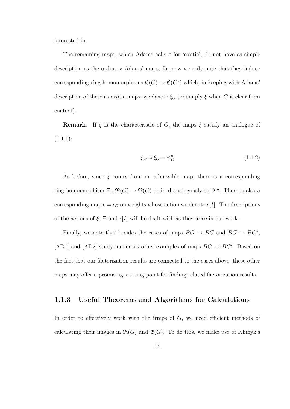interested in.

The remaining maps, which Adams calls  $\varepsilon$  for 'exotic', do not have as simple description as the ordinary Adams' maps; for now we only note that they induce corresponding ring homomorphisms  $\mathfrak{E}(G) \to \mathfrak{E}(G^*)$  which, in keeping with Adams' description of these as exotic maps, we denote  $\xi_G$  (or simply  $\xi$  when G is clear from context).

**Remark.** If q is the characteristic of G, the maps  $\xi$  satisfy an analogue of  $(1.1.1):$ 

$$
\xi_{G^*} \circ \xi_G = \psi_G^q \tag{1.1.2}
$$

As before, since  $\xi$  comes from an admissible map, there is a corresponding ring homomorphism  $\Xi : \mathfrak{R}(G) \to \mathfrak{R}(G)$  defined analogously to  $\Psi^m$ . There is also a corresponding map  $\epsilon = \epsilon_G$  on weights whose action we denote  $\epsilon[I]$ . The descriptions of the actions of  $\xi$ ,  $\Xi$  and  $\epsilon$ [I] will be dealt with as they arise in our work.

Finally, we note that besides the cases of maps  $BG \rightarrow BG$  and  $BG \rightarrow BG^*$ , [AD1] and [AD2] study numerous other examples of maps  $BG \rightarrow BG'$ . Based on the fact that our factorization results are connected to the cases above, these other maps may offer a promising starting point for finding related factorization results.

#### 1.1.3 Useful Theorems and Algorithms for Calculations

In order to effectively work with the irreps of  $G$ , we need efficient methods of calculating their images in  $\mathfrak{R}(G)$  and  $\mathfrak{E}(G)$ . To do this, we make use of Klimyk's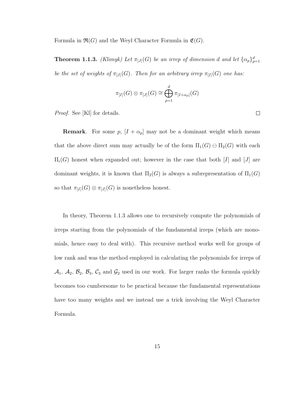Formula in  $\mathfrak{R}(G)$  and the Weyl Character Formula in  $\mathfrak{E}(G)$ .

**Theorem 1.1.3.** (Klimyk) Let  $\pi_{[J]}(G)$  be an irrep of dimension d and let  $\{\alpha_p\}_{p=1}^d$ be the set of weights of  $\pi_{[J]}(G)$ . Then for an arbitrary irrep  $\pi_{[I]}(G)$  one has:

$$
\pi_{[I]}(G)\otimes \pi_{[J]}(G)\cong \bigoplus_{p=1}^d \pi_{[I+\alpha_p]}(G)
$$

Proof. See [Kl] for details.

**Remark.** For some p,  $[I + \alpha_p]$  may not be a dominant weight which means that the above direct sum may actually be of the form  $\Pi_1(G) \ominus \Pi_2(G)$  with each  $\Pi_i(G)$  honest when expanded out; however in the case that both [I] and [J] are dominant weights, it is known that  $\Pi_2(G)$  is always a subrepresentation of  $\Pi_1(G)$ so that  $\pi_{[I]}(G) \otimes \pi_{[J]}(G)$  is nonetheless honest.

In theory, Theorem 1.1.3 allows one to recursively compute the polynomials of irreps starting from the polynomials of the fundamental irreps (which are monomials, hence easy to deal with). This recursive method works well for groups of low rank and was the method employed in calculating the polynomials for irreps of  $A_1$ ,  $A_2$ ,  $B_3$ ,  $B_3$ ,  $C_3$  and  $G_2$  used in our work. For larger ranks the formula quickly becomes too cumbersome to be practical because the fundamental representations have too many weights and we instead use a trick involving the Weyl Character Formula.

 $\Box$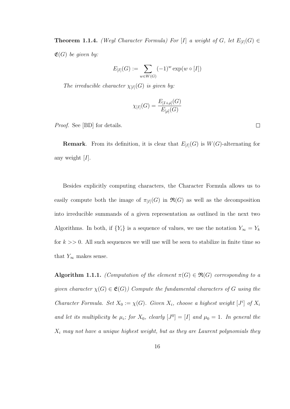**Theorem 1.1.4.** (Weyl Character Formula) For [I] a weight of G, let  $E_{[I]}(G) \in$  $\mathfrak{E}(G)$  be given by:

$$
E_{[I]}(G) := \sum_{w \in W(G)} (-1)^w \exp(w \circ [I])
$$

The irreducible character  $\chi_{[I]}(G)$  is given by:

$$
\chi_{[I]}(G) = \frac{E_{[I+\rho]}(G)}{E_{[\rho]}(G)}
$$

Proof. See [BD] for details.

**Remark.** From its definition, it is clear that  $E_{[I]}(G)$  is  $W(G)$ -alternating for any weight  $[I]$ .

Besides explicitly computing characters, the Character Formula allows us to easily compute both the image of  $\pi_{[I]}(G)$  in  $\mathfrak{R}(G)$  as well as the decomposition into irreducible summands of a given representation as outlined in the next two Algorithms. In both, if  $\{Y_i\}$  is a sequence of values, we use the notation  $Y_\infty = Y_k$ for  $k \geq 0$ . All such sequences we will use will be seen to stabilize in finite time so that  $Y_{\infty}$  makes sense.

**Algorithm 1.1.1.** (Computation of the element  $\pi(G) \in \mathfrak{R}(G)$  corresponding to a given character  $\chi(G) \in \mathfrak{E}(G)$ ) Compute the fundamental characters of G using the Character Formula. Set  $X_0 := \chi(G)$ . Given  $X_i$ , choose a highest weight  $[J^i]$  of  $X_i$ and let its multiplicity be  $\mu_i$ ; for  $X_0$ , clearly  $[J^0] = [I]$  and  $\mu_0 = 1$ . In general the  $X_i$  may not have a unique highest weight, but as they are Laurent polynomials they

 $\Box$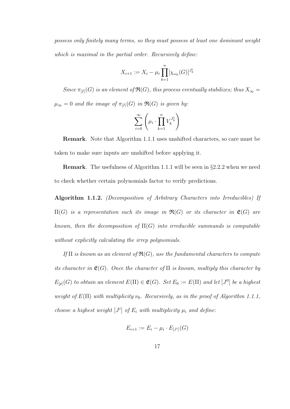possess only finitely many terms, so they must possess at least one dominant weight which is maximal in the partial order. Recursively define:

$$
X_{i+1} := X_i - \mu_i \prod_{k=1}^n [\chi_{\omega_k}(G)]^{J_k^i}
$$

Since  $\pi_{[I]}(G)$  is an element of  $\mathfrak{R}(G)$ , this process eventually stabilizes; thus  $X_{\infty} =$  $\mu_{\infty}=0$  and the image of  $\pi_{[I]}(G)$  in  $\mathfrak{R}(G)$  is given by:

$$
\sum_{i=0}^{\infty} \left( \mu_i \cdot \prod_{k=1}^{n} V_k^{J_k^i} \right)
$$

Remark. Note that Algorithm 1.1.1 uses unshifted characters, so care must be taken to make sure inputs are unshifted before applying it.

Remark. The usefulness of Algorithm 1.1.1 will be seen in §2.2.2 when we need to check whether certain polynomials factor to verify predictions.

Algorithm 1.1.2. (Decomposition of Arbitrary Characters into Irreducibles) If  $\Pi(G)$  is a representation such its image in  $\mathfrak{R}(G)$  or its character in  $\mathfrak{E}(G)$  are known, then the decomposition of  $\Pi(G)$  into irreducible summands is computable without explicitly calculating the irrep polynomials.

If  $\Pi$  is known as an element of  $\mathfrak{R}(G)$ , use the fundamental characters to compute its character in  $\mathfrak{E}(G)$ . Once the character of  $\Pi$  is known, multiply this character by  $E_{[\rho]}(G)$  to obtain an element  $E(\Pi) \in \mathfrak{E}(G)$ . Set  $E_0 := E(\Pi)$  and let  $[J^0]$  be a highest weight of  $E(\Pi)$  with multiplicity  $\nu_0$ . Recursively, as in the proof of Algorithm 1.1.1, choose a highest weight  $[J^i]$  of  $E_i$  with multiplicity  $\mu_i$  and define:

$$
E_{i+1} := E_i - \mu_i \cdot E_{[J^i]}(G)
$$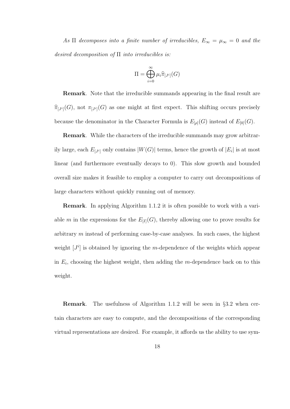As  $\Pi$  decomposes into a finite number of irreducibles,  $E_{\infty} = \mu_{\infty} = 0$  and the desired decomposition of  $\Pi$  into irreducibles is:

$$
\Pi = \bigoplus_{i=0}^{\infty} \mu_i \widehat{\pi}_{[J^i]}(G)
$$

Remark. Note that the irreducible summands appearing in the final result are  $\widehat{\pi}_{[J^i]}(G)$ , not  $\pi_{[J^i]}(G)$  as one might at first expect. This shifting occurs precisely because the denominator in the Character Formula is  $E_{[\rho]}(G)$  instead of  $E_{[0]}(G)$ .

Remark. While the characters of the irreducible summands may grow arbitrarily large, each  $E_{[J^i]}$  only contains  $|W(G)|$  terms, hence the growth of  $|E_i|$  is at most linear (and furthermore eventually decays to 0). This slow growth and bounded overall size makes it feasible to employ a computer to carry out decompositions of large characters without quickly running out of memory.

Remark. In applying Algorithm 1.1.2 it is often possible to work with a variable m in the expressions for the  $E_{[I]}(G)$ , thereby allowing one to prove results for arbitrary  $m$  instead of performing case-by-case analyses. In such cases, the highest weight  $[J<sup>i</sup>]$  is obtained by ignoring the m-dependence of the weights which appear in  $E_i$ , choosing the highest weight, then adding the m-dependence back on to this weight.

Remark. The usefulness of Algorithm 1.1.2 will be seen in §3.2 when certain characters are easy to compute, and the decompositions of the corresponding virtual representations are desired. For example, it affords us the ability to use sym-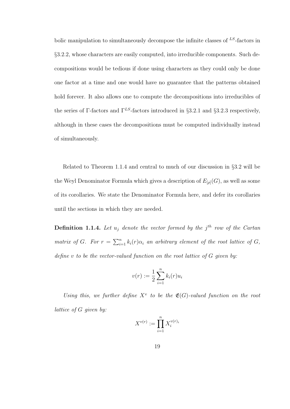bolic manipulation to simultaneously decompose the infinite classes of  $^{LS}$ -factors in §3.2.2, whose characters are easily computed, into irreducible components. Such decompositions would be tedious if done using characters as they could only be done one factor at a time and one would have no guarantee that the patterns obtained hold forever. It also allows one to compute the decompositions into irreducibles of the series of Γ-factors and  $\Gamma^{LS}$ -factors introduced in §3.2.1 and §3.2.3 respectively, although in these cases the decompositions must be computed individually instead of simultaneously.

Related to Theorem 1.1.4 and central to much of our discussion in §3.2 will be the Weyl Denominator Formula which gives a description of  $E_{[\rho]}(G)$ , as well as some of its corollaries. We state the Denominator Formula here, and defer its corollaries until the sections in which they are needed.

**Definition 1.1.4.** Let  $u_j$  denote the vector formed by the j<sup>th</sup> row of the Cartan matrix of G. For  $r = \sum_{i=1}^{n} k_i(r) \alpha_i$  an arbitrary element of the root lattice of G, define  $v$  to be the vector-valued function on the root lattice of  $G$  given by:

$$
v(r) := \frac{1}{2} \sum_{i=1}^{n} k_i(r) u_i
$$

Using this, we further define  $X^v$  to be the  $\mathfrak{E}(G)$ -valued function on the root lattice of G given by:

$$
X^{v(r)} := \prod_{i=1}^n X_i^{v(r)_i}
$$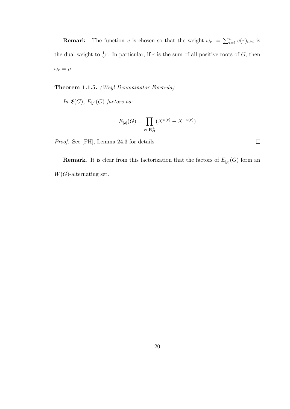**Remark**. The function v is chosen so that the weight  $\omega_r := \sum_{i=1}^n v(r)_i \omega_i$  is the dual weight to  $\frac{1}{2}r$ . In particular, if r is the sum of all positive roots of G, then  $\omega_r = \rho$ .

Theorem 1.1.5. (Weyl Denominator Formula)

In  $\mathfrak{E}(G)$ ,  $E_{[\rho]}(G)$  factors as:

$$
E_{[\rho]}(G) = \prod_{r \in \mathbf{R}_{\mathbf{G}}^+} (X^{v(r)} - X^{-v(r)})
$$

Proof. See [FH], Lemma 24.3 for details.

**Remark**. It is clear from this factorization that the factors of  $E_{[\rho]}(G)$  form an  $W(G)$ -alternating set.

 $\Box$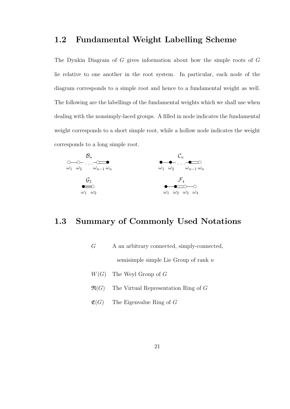## 1.2 Fundamental Weight Labelling Scheme

The Dynkin Diagram of G gives information about how the simple roots of G lie relative to one another in the root system. In particular, each node of the diagram corresponds to a simple root and hence to a fundamental weight as well. The following are the labellings of the fundamental weights which we shall use when dealing with the nonsimply-laced groups. A filled in node indicates the fundamental weight corresponds to a short simple root, while a hollow node indicates the weight corresponds to a long simple root.



## 1.3 Summary of Commonly Used Notations

 $G$  A an arbitrary connected, simply-connected, semisimple simple Lie Group of rank  $n$ 

- $W(G)$  The Weyl Group of G
- $\mathfrak{R}(G)$  The Virtual Representation Ring of G
- $\mathfrak{E}(G)$  The Eigenvalue Ring of G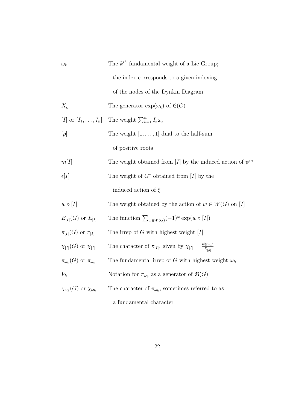| $\omega_k$                                                                                                | The $k^{th}$ fundamental weight of a Lie Group;                                        |  |  |
|-----------------------------------------------------------------------------------------------------------|----------------------------------------------------------------------------------------|--|--|
|                                                                                                           | the index corresponds to a given indexing                                              |  |  |
|                                                                                                           | of the nodes of the Dynkin Diagram                                                     |  |  |
| $X_k$                                                                                                     | The generator $\exp(\omega_k)$ of $\mathfrak{E}(G)$                                    |  |  |
| [ <i>I</i> ] or $[I_1, \ldots, I_n]$                                                                      | The weight $\sum_{k=1}^{n} I_k \omega_k$                                               |  |  |
| $[\rho]$                                                                                                  | The weight $[1, \ldots, 1]$ dual to the half-sum                                       |  |  |
|                                                                                                           | of positive roots                                                                      |  |  |
| m[I]                                                                                                      | The weight obtained from [I] by the induced action of $\psi^m$                         |  |  |
| The weight of $G^*$ obtained from [I] by the<br>$\epsilon[I]$                                             |                                                                                        |  |  |
|                                                                                                           | induced action of $\xi$                                                                |  |  |
| $w \circ [I]$                                                                                             | The weight obtained by the action of $w \in W(G)$ on [I]                               |  |  |
| $E_{[I]}(G)$ or $E_{[I]}$                                                                                 | The function $\sum_{w \in W(G)} (-1)^w \exp(w \circ [I])$                              |  |  |
| $\pi_{[I]}(G)$ or $\pi_{[I]}$                                                                             | The irrep of G with highest weight $[I]$                                               |  |  |
| $\chi_{[I]}(G)$ or $\chi_{[I]}$                                                                           | The character of $\pi_{[I]},$ given by $\chi_{[I]} = \frac{E_{[I+\rho]}}{E_{I\cap I}}$ |  |  |
| $\pi_{\omega_k}(G)$ or $\pi_{\omega_k}$<br>The fundamental irrep of G with highest weight $\omega_k$      |                                                                                        |  |  |
| $V_k$                                                                                                     | Notation for $\pi_{\omega_k}$ as a generator of $\Re(G)$                               |  |  |
| $\chi_{\omega_k}(G)$ or $\chi_{\omega_k}$<br>The character of $\pi_{\omega_k}$ , sometimes referred to as |                                                                                        |  |  |
|                                                                                                           | a fundamental character                                                                |  |  |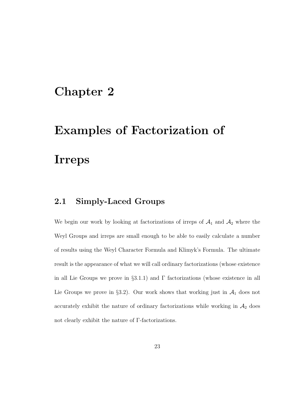## Chapter 2

# Examples of Factorization of Irreps

## 2.1 Simply-Laced Groups

We begin our work by looking at factorizations of irreps of  $A_1$  and  $A_2$  where the Weyl Groups and irreps are small enough to be able to easily calculate a number of results using the Weyl Character Formula and Klimyk's Formula. The ultimate result is the appearance of what we will call ordinary factorizations (whose existence in all Lie Groups we prove in  $\S3.1.1$ ) and  $\Gamma$  factorizations (whose existence in all Lie Groups we prove in §3.2). Our work shows that working just in  $A_1$  does not accurately exhibit the nature of ordinary factorizations while working in  $A_2$  does not clearly exhibit the nature of Γ-factorizations.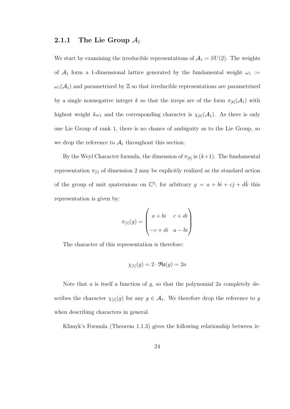#### 2.1.1 The Lie Group  $\mathcal{A}_1$

We start by examining the irreducible representations of  $A_1 = SU(2)$ . The weights of  $\mathcal{A}_1$  form a 1-dimensional lattice generated by the fundamental weight  $\omega_1$  :=  $\omega_1(\mathcal{A}_1)$  and parametrized by Z so that irreducible representations are parametrized by a single nonnegative integer k so that the irreps are of the form  $\pi_{[k]}(\mathcal{A}_1)$  with highest weight  $k\omega_1$  and the corresponding character is  $\chi_{[k]}(\mathcal{A}_1)$ . As there is only one Lie Group of rank 1, there is no chance of ambiguity as to the Lie Group, so we drop the reference to  $A_1$  throughout this section.

By the Weyl Character formula, the dimension of  $\pi_{[k]}$  is  $(k+1)$ . The fundamental representation  $\pi_{11}$  of dimension 2 may be explicitly realized as the standard action of the group of unit quaternions on  $\mathbb{C}^2$ ; for arbitrary  $g = a + b\hat{i} + c\hat{j} + d\hat{k}$  this representation is given by:

$$
\pi_{[1]}(g) = \begin{pmatrix} a+bi & c+di \\ -c+di & a-bi \end{pmatrix}
$$

The character of this representation is therefore:

$$
\chi_{[1]}(g) = 2 \cdot \Re(\mathfrak{e}(g)) = 2a
$$

Note that  $a$  is itself a function of  $g$ , so that the polynomial  $2a$  completely describes the character  $\chi_{[1]}(g)$  for any  $g \in \mathcal{A}_1$ . We therefore drop the reference to g when describing characters in general.

Klimyk's Formula (Theorem 1.1.3) gives the following relationship between ir-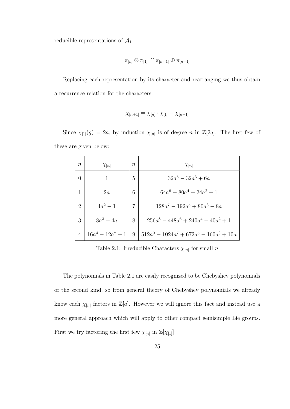reducible representations of  $\mathcal{A}_1$ :

$$
\pi_{[n]} \otimes \pi_{[1]} \cong \pi_{[n+1]} \oplus \pi_{[n-1]}
$$

Replacing each representation by its character and rearranging we thus obtain a recurrence relation for the characters:

$$
\chi_{[n+1]} = \chi_{[n]} \cdot \chi_{[1]} - \chi_{[n-1]}
$$

Since  $\chi_{[1]}(g) = 2a$ , by induction  $\chi_{[n]}$  is of degree n in  $\mathbb{Z}[2a]$ . The first few of these are given below:

| $\boldsymbol{n}$ | $\chi_{[n]}$        | $\boldsymbol{n}$ | $\chi_{[n]}$                               |
|------------------|---------------------|------------------|--------------------------------------------|
| $\theta$         |                     | 5                | $32a^5 - 32a^3 + 6a$                       |
| 1                | 2a                  | 6                | $64a^6 - 80a^4 + 24a^2 - 1$                |
| $\overline{2}$   | $4a^2 - 1$          | 7                | $128a^7 - 192a^5 + 80a^3 - 8a$             |
| 3                | $8a^3-4a$           | 8                | $256a^8 - 448a^6 + 240a^4 - 40a^2 + 1$     |
| $\overline{4}$   | $16a^4 - 12a^2 + 1$ | -9               | $512a^9 - 1024a^7 + 672a^5 - 160a^3 + 10a$ |

Table 2.1: Irreducible Characters  $\chi_{[n]}$  for small n

The polynomials in Table 2.1 are easily recognized to be Chebyshev polynomials of the second kind, so from general theory of Chebyshev polynomials we already know each  $\chi_{[n]}$  factors in  $\mathbb{Z}[a]$ . However we will ignore this fact and instead use a more general approach which will apply to other compact semisimple Lie groups. First we try factoring the first few  $\chi_{[n]}$  in  $\mathbb{Z}[\chi_{[1]}]$ :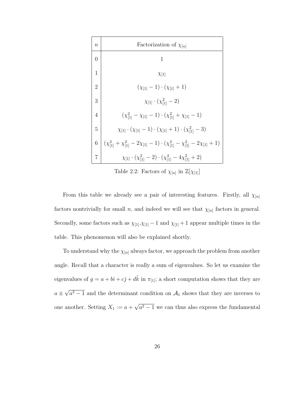

Table 2.2: Factors of  $\chi_{[n]}$  in  $\mathbb{Z}[\chi_{[1]}]$ 

From this table we already see a pair of interesting features. Firstly, all  $\chi_{[n]}$ factors nontrivially for small n, and indeed we will see that  $\chi_{[n]}$  factors in general. Secondly, some factors such as  $\chi_{[1]}, \chi_{[1]}-1$  and  $\chi_{[1]}+1$  appear multiple times in the table. This phenomenon will also be explained shortly.

To understand why the  $\chi_{[n]}$  always factor, we approach the problem from another angle. Recall that a character is really a sum of eigenvalues. So let us examine the eigenvalues of  $g = a + b\hat{i} + c\hat{j} + d\hat{k}$  in  $\pi_{[1]}$ ; a short computation shows that they are  $a \pm$ √  $a^2 - 1$  and the determinant condition on  $\mathcal{A}_1$  shows that they are inverses to one another. Setting  $X_1 := a +$ √  $a<sup>2</sup>-1$  we can thus also express the fundamental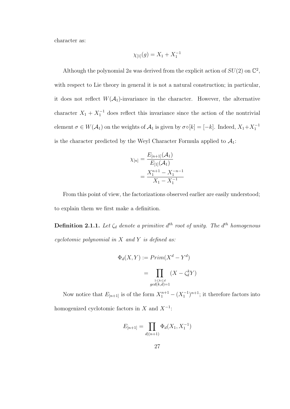character as:

$$
\chi_{[1]}(g) = X_1 + X_1^{-1}
$$

Although the polynomial 2a was derived from the explicit action of  $SU(2)$  on  $\mathbb{C}^2$ , with respect to Lie theory in general it is not a natural construction; in particular, it does not reflect  $W(A_1)$ -invariance in the character. However, the alternative character  $X_1 + X_1^{-1}$  does reflect this invariance since the action of the nontrivial element  $\sigma \in W(\mathcal{A}_1)$  on the weights of  $\mathcal{A}_1$  is given by  $\sigma \circ [k] = [-k]$ . Indeed,  $X_1 + X_1^{-1}$ is the character predicted by the Weyl Character Formula applied to  $\mathcal{A}_1$ :

$$
\chi_{[n]} = \frac{E_{[n+1]}(\mathcal{A}_1)}{E_{[1]}(\mathcal{A}_1)}
$$
  
= 
$$
\frac{X_1^{n+1} - X_1^{-n-1}}{X_1 - X_1^{-1}}
$$

From this point of view, the factorizations observed earlier are easily understood; to explain them we first make a definition.

**Definition 2.1.1.** Let  $\zeta_d$  denote a primitive  $d^{th}$  root of unity. The  $d^{th}$  homogenous cyclotomic polynomial in  $X$  and  $Y$  is defined as:

$$
\Phi_d(X, Y) := Prim(X^d - Y^d)
$$

$$
= \prod_{\substack{1 \le k \le d \\ gcd(k, d) = 1}} (X - \zeta_d^k Y)
$$

Now notice that  $E_{[n+1]}$  is of the form  $X_1^{n+1} - (X_1^{-1})^{n+1}$ ; it therefore factors into homogenized cyclotomic factors in  $X$  and  $X^{-1}$ :

$$
E_{[n+1]} = \prod_{d|(n+1)} \Phi_d(X_1, X_1^{-1})
$$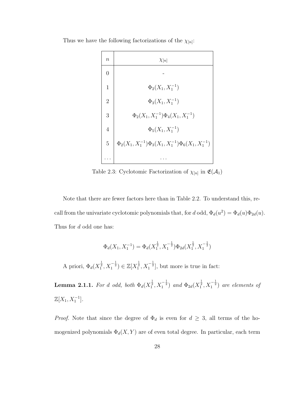Thus we have the following factorizations of the  $\chi_{[n]}$ :



Table 2.3: Cyclotomic Factorization of  $\chi_{[n]}$  in  $\mathfrak{E}(\mathcal{A}_1)$ 

Note that there are fewer factors here than in Table 2.2. To understand this, recall from the univariate cyclotomic polynomials that, for d odd,  $\Phi_d(u^2) = \Phi_d(u)\Phi_{2d}(u)$ . Thus for d odd one has:

$$
\Phi_d(X_1, X_1^{-1}) = \Phi_d(X_1^{\frac{1}{2}}, X_1^{-\frac{1}{2}}) \Phi_{2d}(X_1^{\frac{1}{2}}, X_1^{-\frac{1}{2}})
$$

A priori,  $\Phi_d(X_1^{\frac{1}{2}}, X_1^{-\frac{1}{2}}) \in \mathbb{Z}[X_1^{\frac{1}{2}}, X_1^{-\frac{1}{2}}]$ , but more is true in fact:

**Lemma 2.1.1.** For d odd, both  $\Phi_d(X_1^{\frac{1}{2}}, X_1^{-\frac{1}{2}})$  and  $\Phi_{2d}(X_1^{\frac{1}{2}}, X_1^{-\frac{1}{2}})$  are elements of  $\mathbb{Z}[X_1, X_1^{-1}].$ 

*Proof.* Note that since the degree of  $\Phi_d$  is even for  $d \geq 3$ , all terms of the homogenized polynomials  $\Phi_d(X, Y)$  are of even total degree. In particular, each term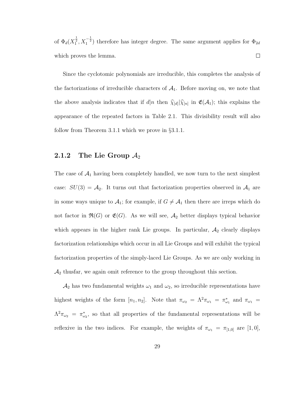of  $\Phi_d(X_1^{\frac{1}{2}}, X_1^{-\frac{1}{2}})$  therefore has integer degree. The same argument applies for  $\Phi_{2d}$ which proves the lemma.  $\Box$ 

Since the cyclotomic polynomials are irreducible, this completes the analysis of the factorizations of irreducible characters of  $A_1$ . Before moving on, we note that the above analysis indicates that if  $d|n$  then  $\widehat{\chi}_{[d]}|\widehat{\chi}_{[n]}$  in  $\mathfrak{E}(\mathcal{A}_1)$ ; this explains the appearance of the repeated factors in Table 2.1. This divisibility result will also follow from Theorem 3.1.1 which we prove in §3.1.1.

#### 2.1.2 The Lie Group  $\mathcal{A}_2$

The case of  $A_1$  having been completely handled, we now turn to the next simplest case:  $SU(3) = A_2$ . It turns out that factorization properties observed in  $A_1$  are in some ways unique to  $A_1$ ; for example, if  $G \neq A_1$  then there are irreps which do not factor in  $\mathfrak{R}(G)$  or  $\mathfrak{E}(G)$ . As we will see,  $\mathcal{A}_2$  better displays typical behavior which appears in the higher rank Lie groups. In particular,  $A_2$  clearly displays factorization relationships which occur in all Lie Groups and will exhibit the typical factorization properties of the simply-laced Lie Groups. As we are only working in  $\mathcal{A}_2$  thus<br>far, we again omit reference to the group throughout this section.

 $\mathcal{A}_2$  has two fundamental weights  $\omega_1$  and  $\omega_2$ , so irreducible representations have highest weights of the form  $[n_1, n_2]$ . Note that  $\pi_{\omega_2} = \Lambda^2 \pi_{\omega_1} = \pi_{\omega_1}^*$  and  $\pi_{\omega_1} =$  $\Lambda^2 \pi_{\omega_2} = \pi_{\omega_2}^*$ , so that all properties of the fundamental representations will be reflexive in the two indices. For example, the weights of  $\pi_{\omega_1} = \pi_{[1,0]}$  are  $[1,0]$ ,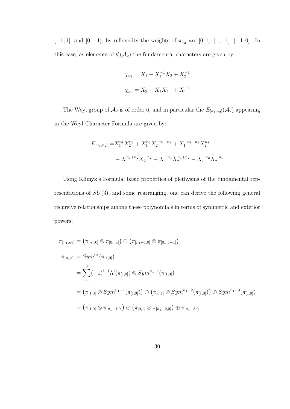[−1, 1], and [0, −1]; by reflexivity the weights of  $\pi_{\omega_2}$  are [0, 1], [1, −1], [−1, 0]. In this case, as elements of  $\mathfrak{E}(\mathcal{A}_2)$  the fundamental characters are given by:

$$
\chi_{\omega_1} = X_1 + X_1^{-1} X_2 + X_2^{-1}
$$
  

$$
\chi_{\omega_2} = X_2 + X_1 X_2^{-1} + X_1^{-1}
$$

The Weyl group of  $\mathcal{A}_2$  is of order 6, and in particular the  $E_{[n_1,n_2]}(\mathcal{A}_2)$  appearing in the Weyl Character Formula are given by:

$$
E_{[n_1,n_2]} = X_1^{n_1} X_2^{n_2} + X_1^{n_2} X_2^{-n_1-n_2} + X_1^{-n_1-n_2} X_2^{n_1}
$$

$$
- X_1^{n_1+n_2} X_2^{-n_2} - X_1^{-n_1} X_2^{n_1+n_2} - X_1^{-n_2} X_2^{-n_1}
$$

Using Klimyk's Formula, basic properties of plethysms of the fundamental representations of  $SU(3)$ , and some rearranging, one can derive the following general recursive relationships among these polynomials in terms of symmetric and exterior powers:

$$
\pi_{[n_1,n_2]} = (\pi_{[n_1,0]} \otimes \pi_{[0,n_2]}) \ominus (\pi_{[n_1-1,0]} \otimes \pi_{[0,n_2-1]})
$$
  
\n
$$
\pi_{[n_1,0]} = Sym^{n_1}(\pi_{[1,0]})
$$
  
\n
$$
= \sum_{i=1}^{3} (-1)^{i-1} \Lambda^i(\pi_{[1,0]}) \otimes Sym^{n_1-i}(\pi_{[1,0]})
$$
  
\n
$$
= (\pi_{[1,0]} \otimes Sym^{n_1-1}(\pi_{[1,0]})) \ominus (\pi_{[0,1]} \otimes Sym^{n_1-2}(\pi_{[1,0]})) \oplus Sym^{n_1-3}(\pi_{[1,0]})
$$
  
\n
$$
= (\pi_{[1,0]} \otimes \pi_{[n_1-1,0]}) \ominus (\pi_{[0,1]} \otimes \pi_{[n_1-2,0]}) \oplus \pi_{[n_1-3,0]}
$$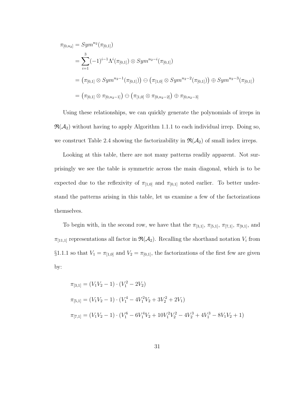$$
\pi_{[0,n_2]} = Sym^{n_2}(\pi_{[0,1]})
$$
\n
$$
= \sum_{i=1}^3 (-1)^{i-1} \Lambda^i(\pi_{[0,1]}) \otimes Sym^{n_2-i}(\pi_{[0,1]})
$$
\n
$$
= (\pi_{[0,1]} \otimes Sym^{n_2-1}(\pi_{[0,1]})) \oplus (\pi_{[1,0]} \otimes Sym^{n_2-2}(\pi_{[0,1]})) \oplus Sym^{n_2-3}(\pi_{[0,1]})
$$
\n
$$
= (\pi_{[0,1]} \otimes \pi_{[0,n_2-1]}) \oplus (\pi_{[1,0]} \otimes \pi_{[0,n_2-2]}) \oplus \pi_{[0,n_2-3]}
$$

Using these relationships, we can quickly generate the polynomials of irreps in  $\mathfrak{R}(\mathcal{A}_2)$  without having to apply Algorithm 1.1.1 to each individual irrep. Doing so, we construct Table 2.4 showing the factorizability in  $\mathfrak{R}(\mathcal{A}_2)$  of small index irreps.

Looking at this table, there are not many patterns readily apparent. Not surprisingly we see the table is symmetric across the main diagonal, which is to be expected due to the reflexivity of  $\pi_{1,0}$  and  $\pi_{0,1}$  noted earlier. To better understand the patterns arising in this table, let us examine a few of the factorizations themselves.

To begin with, in the second row, we have that the  $\pi_{[3,1]}, \pi_{[5,1]}, \pi_{[7,1]}, \pi_{[9,1]},$  and  $\pi_{[11,1]}$  representations all factor in  $\mathfrak{R}(\mathcal{A}_2)$ . Recalling the shorthand notation  $V_i$  from §1.1.1 so that  $V_1 = \pi_{[1,0]}$  and  $V_2 = \pi_{[0,1]}$ , the factorizations of the first few are given by:

$$
\pi_{[3,1]} = (V_1V_2 - 1) \cdot (V_1^2 - 2V_2)
$$
  
\n
$$
\pi_{[5,1]} = (V_1V_2 - 1) \cdot (V_1^4 - 4V_1^2V_2 + 3V_2^2 + 2V_1)
$$
  
\n
$$
\pi_{[7,1]} = (V_1V_2 - 1) \cdot (V_1^6 - 6V_1^4V_2 + 10V_1^2V_2^2 - 4V_2^3 + 4V_1^3 - 8V_1V_2 + 1)
$$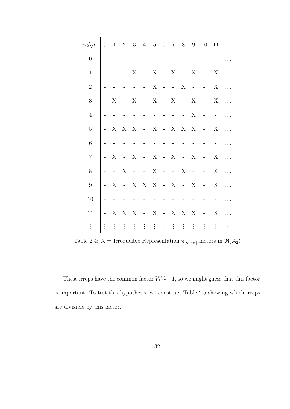| $n_2 \backslash n_1$ | $\overline{0}$      |                     |                                                | $1 \t2 \t3 \t4 \t5 \t6 \t7$                     |                             |                |                             |                   |                                                | 8 9                       |                                                         | $10 \quad 11 \quad \dots$ |            |
|----------------------|---------------------|---------------------|------------------------------------------------|-------------------------------------------------|-----------------------------|----------------|-----------------------------|-------------------|------------------------------------------------|---------------------------|---------------------------------------------------------|---------------------------|------------|
| $\overline{0}$       |                     |                     |                                                |                                                 |                             |                |                             |                   |                                                |                           |                                                         |                           |            |
| $\mathbf{1}$         |                     |                     |                                                | X                                               | $\sim 10^{-10}$             | $\mathbf X$    | $\mathcal{L} = \mathcal{L}$ | $\mathbf X$       | $-X$                                           |                           | $\sim 10^{-10}$                                         | X                         | $\ddots$   |
| $\sqrt{2}$           |                     |                     |                                                | $\bar{\phantom{a}}$                             | $\sim$                      | $\mathbf X$    |                             | $  X$             |                                                |                           | $\mathcal{L}(\mathbf{z})$ and $\mathcal{L}(\mathbf{z})$ | $\mathbf X$               | $\ddotsc$  |
| 3                    | $\omega_{\rm{max}}$ | X                   | $-X$                                           |                                                 |                             | $-X - X$       |                             |                   | $- X$                                          |                           | $\sim 10^{-10}$                                         | $\mathbf X$               | $\ddotsc$  |
| $\overline{4}$       |                     |                     |                                                |                                                 | $\bar{\mathbb{Z}}$          | $\mathbb{Z}^2$ |                             | $\omega_{\rm c}$  | $\omega_{\rm{max}}$                            | $\boldsymbol{\mathrm{X}}$ | $\equiv$                                                |                           |            |
| $\overline{5}$       | $\omega_{\rm{max}}$ |                     | X X X                                          |                                                 | $-X$                        |                |                             | $-X-X-X$          |                                                |                           | $\sim 10^{-10}$                                         | $X_{-}$                   | $\ldots$   |
| 6                    |                     |                     |                                                |                                                 |                             | $\overline{a}$ | $\overline{a}$              | $\qquad \qquad -$ |                                                |                           |                                                         |                           |            |
| $\overline{7}$       | $\mathbf{r}$        | X                   | $- X$                                          |                                                 | $\mathcal{L} = \mathcal{L}$ | $\mathbf X$    | $-X$                        |                   | $- X$                                          |                           | $\sim 10^{-10}$                                         | $\mathbf X$               | $\ddotsc$  |
| $8\,$                |                     | $\omega_{\rm{max}}$ | $\mathbf X$                                    | $\mathcal{L}(\omega)$ , $\mathcal{L}(\omega)$ , |                             | $\mathbf X$    |                             | $- - X$           |                                                | $\sim 10^{-11}$           | $\omega_{\rm{max}}$                                     | X                         | $\dddotsc$ |
| $\boldsymbol{9}$     | $\omega_{\rm{max}}$ | X                   |                                                | - X X X - X                                     |                             |                |                             |                   | $- X$                                          |                           | $\alpha$ and $\alpha$                                   | X                         | $\ddotsc$  |
| 10                   |                     |                     |                                                |                                                 |                             |                |                             |                   |                                                |                           |                                                         |                           |            |
| $11\,$               | $\omega_{\rm{max}}$ |                     | $\mathbf{X} \quad \mathbf{X} \quad \mathbf{X}$ |                                                 | $\sim$ $ \sim$              | X              | $\sim$ $-$                  |                   | $\mathbf{X} \quad \mathbf{X} \quad \mathbf{X}$ |                           | $\sim 10^{-10}$                                         | $\mathbf X$               | $\dddotsc$ |
| $\vdots$             | $\vdots$            | $\frac{1}{2}$ .     |                                                | <b>(4) 4</b>                                    |                             |                |                             |                   |                                                | 生活性 电压电压                  | $\ddot{\cdot}$                                          | $\vdots$                  | ÷.         |

Table 2.4:  $X = \text{Irreducible Representation } \pi_{[n_1,n_2]}$  factors in  $\Re(\mathcal{A}_2)$ 

These irreps have the common factor  $V_1V_2-1$ , so we might guess that this factor is important. To test this hypothesis, we construct Table 2.5 showing which irreps are divisible by this factor.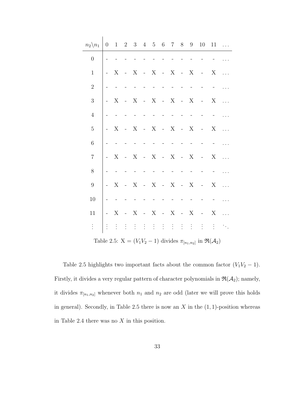| $n_2 \backslash n_1$ |                           |                |             |                     |                           |                 | $0$ 1 2 3 4 5 6 7 8                                                |                 | 9             | 10 <sup>1</sup>                                                                 | 11                        |  |
|----------------------|---------------------------|----------------|-------------|---------------------|---------------------------|-----------------|--------------------------------------------------------------------|-----------------|---------------|---------------------------------------------------------------------------------|---------------------------|--|
| $\overline{0}$       |                           |                |             |                     |                           |                 |                                                                    |                 |               |                                                                                 |                           |  |
| $\mathbf{1}$         | X                         |                | X           | $\mathbb{Z}^2$      | $X - X$                   |                 |                                                                    | $\sim 100$      | X             |                                                                                 | X                         |  |
| $\sqrt{2}$           |                           |                |             |                     |                           |                 |                                                                    |                 |               |                                                                                 |                           |  |
| 3                    | X                         |                | X           | $\bar{\mathbb{Z}}$  | $X - X$                   |                 |                                                                    | $\sim 100$      | X             |                                                                                 | $\mathbf X$               |  |
| $\overline{4}$       |                           |                |             |                     |                           |                 |                                                                    |                 |               |                                                                                 |                           |  |
| $\overline{5}$       | X                         |                | X           | $\bar{\mathbb{Z}}$  | $X - X$                   |                 |                                                                    | $\sim 10^{-10}$ | X             |                                                                                 | X                         |  |
| $\,6$                |                           |                |             |                     |                           |                 |                                                                    |                 |               |                                                                                 |                           |  |
| $\overline{7}$       | $\boldsymbol{\mathrm{X}}$ |                | X           | $\Box$              | $X - X$                   |                 |                                                                    | $\sim 10^{-11}$ | X             |                                                                                 | X                         |  |
| $8\,$                |                           |                |             |                     |                           |                 |                                                                    |                 |               |                                                                                 |                           |  |
| $\boldsymbol{9}$     | X                         |                | X           | $\bar{\mathbb{Z}}$  | $\boldsymbol{\mathrm{X}}$ | $\sim 10^{-10}$ | X                                                                  | $\sim$ $-$      | X             |                                                                                 | X                         |  |
| 10                   |                           |                |             |                     |                           |                 |                                                                    |                 |               |                                                                                 |                           |  |
| 11                   | X                         | $\overline{a}$ | X           | $\bar{\mathcal{A}}$ | X                         | $\sim 10^{-10}$ | X                                                                  | $\sim$ $-$      | X             |                                                                                 | $\boldsymbol{\mathrm{X}}$ |  |
| $\vdots$             | $\vdots$                  | $\frac{1}{2}$  | $\pm$ $\pm$ |                     |                           |                 | $\mathcal{A} \in \mathbb{R}^n$ . If $\mathcal{A} \in \mathbb{R}^n$ |                 | $\frac{1}{2}$ | $\vdots$                                                                        | $\frac{1}{2}$             |  |
|                      |                           |                |             |                     |                           |                 |                                                                    |                 |               | Table 2.5: $X = (V_1V_2 - 1)$ divides $\pi_{[n_1,n_2]}$ in $\Re(\mathcal{A}_2)$ |                           |  |

Table 2.5 highlights two important facts about the common factor  $(V_1V_2 - 1)$ . Firstly, it divides a very regular pattern of character polynomials in  $\mathfrak{R}(\mathcal{A}_2)$ ; namely, it divides  $\pi_{[n_1,n_2]}$  whenever both  $n_1$  and  $n_2$  are odd (later we will prove this holds in general). Secondly, in Table 2.5 there is now an  $X$  in the  $(1, 1)$ -position whereas in Table 2.4 there was no  $X$  in this position.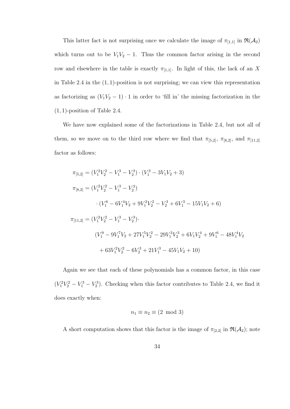This latter fact is not surprising once we calculate the image of  $\pi_{[1,1]}$  in  $\mathfrak{R}(\mathcal{A}_2)$ which turns out to be  $V_1V_2 - 1$ . Thus the common factor arising in the second row and elsewhere in the table is exactly  $\pi_{[1,1]}$ . In light of this, the lack of an X in Table 2.4 in the  $(1, 1)$ -position is not surprising; we can view this representation as factorizing as  $(V_1V_2 - 1) \cdot 1$  in order to 'fill in' the missing factorization in the (1, 1)-position of Table 2.4.

We have now explained some of the factorizations in Table 2.4, but not all of them, so we move on to the third row where we find that  $\pi_{[5,2]}$ ,  $\pi_{[8,2]}$ , and  $\pi_{[11,2]}$ factor as follows:

$$
\pi_{[5,2]} = (V_1^2 V_2^2 - V_1^3 - V_2^3) \cdot (V_1^3 - 3V_1 V_2 + 3)
$$
  
\n
$$
\pi_{[8,2]} = (V_1^2 V_2^2 - V_1^3 - V_2^3)
$$
  
\n
$$
\cdot (V_1^6 - 6V_1^4 V_2 + 9V_1^2 V_2^2 - V_2^3 + 6V_1^3 - 15V_1 V_2 + 6)
$$
  
\n
$$
\pi_{[11,2]} = (V_1^2 V_2^2 - V_1^3 - V_2^3)
$$
  
\n
$$
(V_1^9 - 9V_1^7 V_2 + 27V_1^5 V_2^2 - 29V_1^3 V_2^3 + 6V_1 V_2^4 + 9V_1^6 - 48V_1^4 V_2
$$
  
\n
$$
+ 63V_1^2 V_2^2 - 6V_2^3 + 21V_1^3 - 45V_1 V_2 + 10)
$$

Again we see that each of these polynomials has a common factor, in this case  $(V_1^2V_2^2 - V_1^3 - V_2^3)$ . Checking when this factor contributes to Table 2.4, we find it does exactly when:

$$
n_1 \equiv n_2 \equiv (2 \mod 3)
$$

A short computation shows that this factor is the image of  $\pi_{[2,2]}$  in  $\mathfrak{R}(\mathcal{A}_2)$ ; note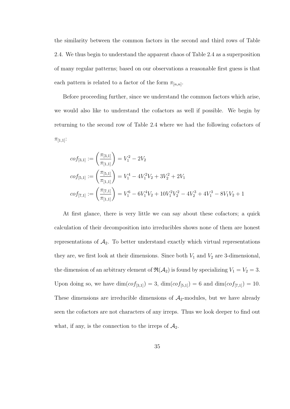the similarity between the common factors in the second and third rows of Table 2.4. We thus begin to understand the apparent chaos of Table 2.4 as a superposition of many regular patterns; based on our observations a reasonable first guess is that each pattern is related to a factor of the form  $\pi_{[n,n]}$ .

Before proceeding further, since we understand the common factors which arise, we would also like to understand the cofactors as well if possible. We begin by returning to the second row of Table 2.4 where we had the following cofactors of  $\pi_{[1,1]}$ :

$$
cof_{[3,1]} := \left(\frac{\pi_{[3,1]}}{\pi_{[1,1]}}\right) = V_1^2 - 2V_2
$$
  
\n
$$
cof_{[5,1]} := \left(\frac{\pi_{[5,1]}}{\pi_{[1,1]}}\right) = V_1^4 - 4V_1^2V_2 + 3V_2^2 + 2V_1
$$
  
\n
$$
cof_{[7,1]} := \left(\frac{\pi_{[7,1]}}{\pi_{[1,1]}}\right) = V_1^6 - 6V_1^4V_2 + 10V_1^2V_2^2 - 4V_2^3 + 4V_1^3 - 8V_1V_2 + 1
$$

At first glance, there is very little we can say about these cofactors; a quick calculation of their decomposition into irreducibles shows none of them are honest representations of  $A_2$ . To better understand exactly which virtual representations they are, we first look at their dimensions. Since both  $V_1$  and  $V_2$  are 3-dimensional, the dimension of an arbitrary element of  $\mathfrak{R}(\mathcal{A}_2)$  is found by specializing  $V_1 = V_2 = 3$ . Upon doing so, we have  $\dim(cof_{[3,1]}) = 3$ ,  $\dim(cof_{[5,1]}) = 6$  and  $\dim(cof_{[7,1]}) = 10$ . These dimensions are irreducible dimensions of  $A_2$ -modules, but we have already seen the cofactors are not characters of any irreps. Thus we look deeper to find out what, if any, is the connection to the irreps of  $\mathcal{A}_2$ .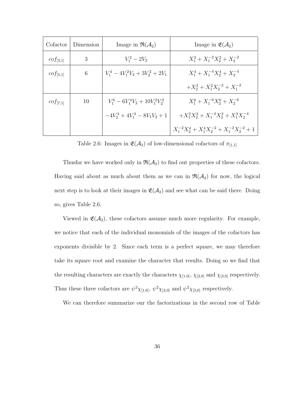| Cofactor      | Dimension | Image in $\mathfrak{R}(\mathcal{A}_2)$ | Image in $\mathfrak{E}(\mathcal{A}_2)$                 |
|---------------|-----------|----------------------------------------|--------------------------------------------------------|
| $cof_{[3,1]}$ | 3         | $V_1^2 - 2V_2$                         | $X_1^2 + X_1^{-2}X_2^2 + X_2^{-2}$                     |
| $cof_{[5,1]}$ | 6         | $V_1^4 - 4V_1^2V_2 + 3V_2^2 + 2V_1$    | $X_1^4 + X_1^{-4}X_2^4 + X_2^{-4}$                     |
|               |           |                                        | $+X_2^2+X_1^2X_2^{-2}+X_1^{-2}$                        |
| $cof_{[7,1]}$ | 10        | $V_1^6 - 6V_1^4V_2 + 10V_1^2V_2^2$     | $X_1^6 + X_1^{-6} X_2^6 + X_2^{-6}$                    |
|               |           | $-4V_2^3 + 4V_1^3 - 8V_1V_2 + 1$       | $+X_1^2X_2^2+X_1^{-4}X_2^2+X_1^2X_2^{-4}$              |
|               |           |                                        | $X_1^{-2}X_2^4 + X_1^4X_2^{-2} + X_1^{-2}X_2^{-2} + 1$ |

Table 2.6: Images in  $\mathfrak{E}(\mathcal{A}_2)$  of low-dimensional cofactors of  $\pi_{[1,1]}$ 

Thusfar we have worked only in  $\mathfrak{R}(\mathcal{A}_2)$  to find out properties of these cofactors. Having said about as much about them as we can in  $\mathfrak{R}(\mathcal{A}_2)$  for now, the logical next step is to look at their images in  $\mathfrak{E}(\mathcal{A}_2)$  and see what can be said there. Doing so, gives Table 2.6.

Viewed in  $\mathfrak{E}(\mathcal{A}_2)$ , these cofactors assume much more regularity. For example, we notice that each of the individual monomials of the images of the cofactors has exponents divisible by 2. Since each term is a perfect square, we may therefore take its square root and examine the character that results. Doing so we find that the resulting characters are exactly the characters  $\chi_{[1,0]}, \chi_{[2,0]}$  and  $\chi_{[3,0]}$  respectively. Thus these three cofactors are  $\psi^2 \chi_{[1,0]}, \psi^2 \chi_{[2,0]}$  and  $\psi^2 \chi_{[3,0]}$  respectively.

We can therefore summarize our the factorizations in the second row of Table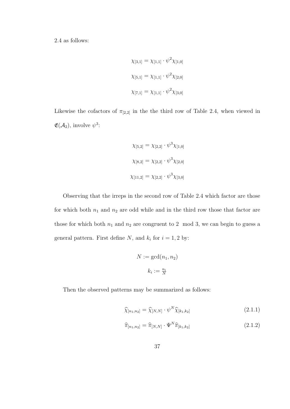2.4 as follows:

$$
\chi_{[3,1]} = \chi_{[1,1]} \cdot \psi^2 \chi_{[1,0]}
$$
  

$$
\chi_{[5,1]} = \chi_{[1,1]} \cdot \psi^2 \chi_{[2,0]}
$$
  

$$
\chi_{[7,1]} = \chi_{[1,1]} \cdot \psi^2 \chi_{[3,0]}
$$

Likewise the cofactors of  $\pi_{[2,2]}$  in the the third row of Table 2.4, when viewed in  $\mathfrak{E}(\mathcal{A}_2)$ , involve  $\psi^3$ :

$$
\chi_{[5,2]} = \chi_{[2,2]} \cdot \psi^3 \chi_{[1,0]}
$$

$$
\chi_{[8,2]} = \chi_{[2,2]} \cdot \psi^3 \chi_{[2,0]}
$$

$$
\chi_{[11,2]} = \chi_{[2,2]} \cdot \psi^3 \chi_{[3,0]}
$$

Observing that the irreps in the second row of Table 2.4 which factor are those for which both  $n_1$  and  $n_2$  are odd while and in the third row those that factor are those for which both  $n_1$  and  $n_2$  are congruent to 2 mod 3, we can begin to guess a general pattern. First define N, and  $k_i$  for  $i = 1, 2$  by:

$$
N := \gcd(n_1, n_2)
$$
  

$$
k_i := \frac{n_i}{N}
$$

Then the observed patterns may be summarized as follows:

$$
\widehat{\chi}_{[n_1,n_2]} = \widehat{\chi}_{[N,N]} \cdot \psi^N \widehat{\chi}_{[k_1,k_2]}
$$
\n(2.1.1)

$$
\widehat{\pi}_{[n_1,n_2]} = \widehat{\pi}_{[N,N]} \cdot \Psi^N \widehat{\pi}_{[k_1,k_2]}
$$
\n(2.1.2)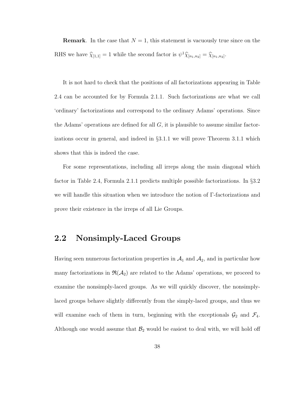**Remark.** In the case that  $N = 1$ , this statement is vacuously true since on the RHS we have  $\hat{\chi}_{[1,1]} = 1$  while the second factor is  $\psi^1 \hat{\chi}_{[n_1,n_2]} = \hat{\chi}_{[n_1,n_2]}$ .

It is not hard to check that the positions of all factorizations appearing in Table 2.4 can be accounted for by Formula 2.1.1. Such factorizations are what we call 'ordinary' factorizations and correspond to the ordinary Adams' operations. Since the Adams' operations are defined for all  $G$ , it is plausible to assume similar factorizations occur in general, and indeed in §3.1.1 we will prove Theorem 3.1.1 which shows that this is indeed the case.

For some representations, including all irreps along the main diagonal which factor in Table 2.4, Formula 2.1.1 predicts multiple possible factorizations. In §3.2 we will handle this situation when we introduce the notion of Γ-factorizations and prove their existence in the irreps of all Lie Groups.

### 2.2 Nonsimply-Laced Groups

Having seen numerous factorization properties in  $A_1$  and  $A_2$ , and in particular how many factorizations in  $\mathfrak{R}(\mathcal{A}_2)$  are related to the Adams' operations, we proceed to examine the nonsimply-laced groups. As we will quickly discover, the nonsimplylaced groups behave slightly differently from the simply-laced groups, and thus we will examine each of them in turn, beginning with the exceptionals  $\mathcal{G}_2$  and  $\mathcal{F}_4$ . Although one would assume that  $\mathcal{B}_2$  would be easiest to deal with, we will hold off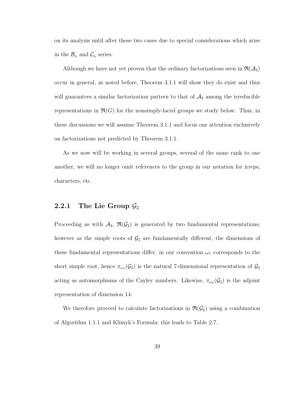on its analysis until after these two cases due to special considerations which arise in the  $\mathcal{B}_n$  and  $\mathcal{C}_n$  series.

Although we have not yet proven that the ordinary factorizations seen in  $\mathfrak{R}(\mathcal{A}_2)$ occur in general, as noted before, Theorem 3.1.1 will show they do exist and thus will guarantees a similar factorization pattern to that of  $A_2$  among the irreducible representations in  $\mathfrak{R}(G)$  for the nonsimply-laced groups we study below. Thus, in these discussions we will assume Theorem 3.1.1 and focus our attention exclusively on factorizations not predicted by Theorem 3.1.1.

As we now will be working in several groups, several of the same rank to one another, we will no longer omit references to the group in our notation for irreps, characters, etc.

#### 2.2.1 The Lie Group  $\mathcal{G}_2$

Proceeding as with  $\mathcal{A}_2$ ,  $\mathfrak{R}(\mathcal{G}_2)$  is generated by two fundamental representations; however as the simple roots of  $\mathcal{G}_2$  are fundamentally different, the dimensions of these fundamental representations differ; in our convention  $\omega_1$  corresponds to the short simple root, hence  $\pi_{\omega_1}(\mathcal{G}_2)$  is the natural 7-dimensional representation of  $\mathcal{G}_2$ acting as automorphisms of the Cayley numbers. Likewise,  $\pi_{\omega_2}(\mathcal{G}_2)$  is the adjoint representation of dimension 14.

We therefore proceed to calculate factorizations in  $\mathfrak{R}(\mathcal{G}_2)$  using a combination of Algorithm 1.1.1 and Klimyk's Formula; this leads to Table 2.7.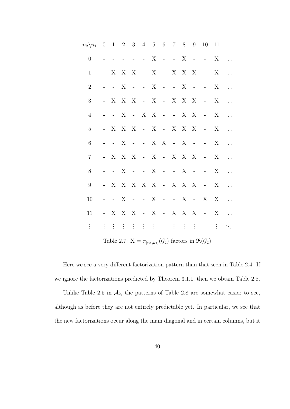| $n_2 \backslash n_1$ | $\overline{0}$ |                  |                                                |                             |                  |             | $1 \t2 \t3 \t4 \t5 \t6 \t7$                                             |                     | 8 | 9               | 10 <sup>1</sup>                                                                          | 11      |                             |
|----------------------|----------------|------------------|------------------------------------------------|-----------------------------|------------------|-------------|-------------------------------------------------------------------------|---------------------|---|-----------------|------------------------------------------------------------------------------------------|---------|-----------------------------|
| $\boldsymbol{0}$     |                |                  |                                                |                             | $\omega_{\rm c}$ | $\mathbf X$ | $\sim 10^{-10}$                                                         | $\omega_{\rm{max}}$ | X | $\sim$ $-$      | $\mathcal{L}^{\mathcal{L}}(\mathcal{L}^{\mathcal{L}}(\mathcal{L}))$                      | X       |                             |
| $\mathbf{1}$         |                | X                | X                                              | X                           |                  |             | - X - X $X$ X                                                           |                     |   |                 | $\sim 1000$ km s $^{-1}$                                                                 | $X_{-}$ |                             |
| $\sqrt{2}$           |                | $\pm$ .          | X                                              | $\mathcal{L}_{\mathcal{A}}$ |                  |             | $- X - -$                                                               |                     | X | $\sim$ $-$      | $\omega_{\rm{max}}$                                                                      | X       |                             |
| 3                    |                | X                | X X                                            |                             |                  |             | - X - X $X$ X                                                           |                     |   |                 | $\sim 10^{-10}$                                                                          | X       |                             |
| $\overline{4}$       |                | $\pm$ .          | X                                              | $\sim 10^{-10}$             |                  |             | $X \tX - -$                                                             |                     |   | $X$ X           | $\sim 10^{-10}$                                                                          | X       |                             |
| $\overline{5}$       |                | X                | X X                                            |                             |                  |             | $-X-X-X-X$                                                              |                     |   |                 | $\sim 10^{-10}$                                                                          | X       |                             |
| 6                    |                | $\pm$ .          | X                                              | $\mathcal{L}_{\mathcal{A}}$ |                  | $-X-X$      |                                                                         | $\sim 10^{-10}$     | X | $\sim$ $-$      | $\omega_{\rm{max}}$                                                                      | X       |                             |
| $\overline{7}$       |                | X                | X X                                            |                             |                  |             | - X - X $X$ X                                                           |                     |   |                 | $\mathcal{L} = \mathcal{L}$ .                                                            | X       |                             |
| 8                    |                | $\omega_{\rm c}$ | X                                              | $\mathcal{L}_{\mathcal{A}}$ | $-X$             |             | $\alpha$ , $\alpha$ , $\alpha$ , $\alpha$ , $\alpha$                    |                     | X | $\sim$ $-$      | $\omega_{\rm{max}}$                                                                      | X       |                             |
| $\boldsymbol{9}$     |                | X                |                                                |                             |                  |             | $\begin{array}{cccccccccc} & X & X & X & X & - & X & X & X \end{array}$ |                     |   |                 | $\sim 10^{-10}$                                                                          | X       |                             |
| 10                   |                | $\equiv$ .       | X                                              | $\mathcal{L}_{\mathcal{A}}$ | $-X$             |             | $\alpha$ and $\alpha$ and $\alpha$                                      |                     | X | $\sim 10^{-10}$ | X                                                                                        | X       |                             |
| 11                   |                |                  | $\mathbf{X} \quad \mathbf{X} \quad \mathbf{X}$ |                             |                  |             | $-X-X-X-X$                                                              |                     |   |                 | $\sim 10^{-10}$                                                                          | X       |                             |
| $\vdots$             |                | $\vdots$         | $\pm$ $\pm$                                    |                             |                  |             |                                                                         |                     |   |                 |                                                                                          | ÷       | $\mathcal{O}_{\mathcal{A}}$ |
|                      |                |                  |                                                |                             |                  |             |                                                                         |                     |   |                 | Table 2.7: $X = \pi_{[n_1,n_2]}(\mathcal{G}_2)$ factors in $\mathfrak{R}(\mathcal{G}_2)$ |         |                             |

Here we see a very different factorization pattern than that seen in Table 2.4. If we ignore the factorizations predicted by Theorem 3.1.1, then we obtain Table 2.8.

Unlike Table 2.5 in  $A_2$ , the patterns of Table 2.8 are somewhat easier to see, although as before they are not entirely predictable yet. In particular, we see that the new factorizations occur along the main diagonal and in certain columns, but it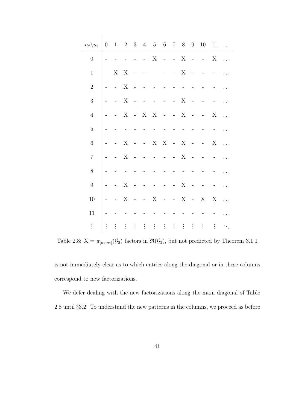| $n_2 \backslash n_1$ | $\theta$            |                     |                           |               |                     |                      |                               |       |          |                          | $1 \quad 2 \quad 3 \quad 4 \quad 5 \quad 6 \quad 7 \quad 8 \quad 9 \quad 10$ |             | $11 \ldots$    |
|----------------------|---------------------|---------------------|---------------------------|---------------|---------------------|----------------------|-------------------------------|-------|----------|--------------------------|------------------------------------------------------------------------------|-------------|----------------|
| $\overline{0}$       |                     |                     |                           |               |                     |                      |                               |       |          |                          | - - X - - X - -                                                              | $\mathbf X$ | $\dddotsc$     |
| $\mathbf{1}$         | $\omega_{\rm{max}}$ | X X                 |                           | $\sim$        |                     | $\sim$ $-$           | $\overline{a}$                |       | - $X$    | $\overline{\phantom{a}}$ |                                                                              |             |                |
| $\sqrt{2}$           |                     | $\omega_{\rm{eff}}$ | $\boldsymbol{\mathrm{X}}$ | $\sim$        |                     |                      |                               |       |          |                          |                                                                              |             |                |
| $\sqrt{3}$           |                     |                     | - $X$                     | $\sim$ $-$    | $\bar{\phantom{a}}$ | $\sim$ $-$           | $\sim$ $-$                    | $- X$ |          | $\sim$                   |                                                                              |             |                |
| $\overline{4}$       |                     |                     | - X - X $X$               |               |                     |                      | $- - X$                       |       |          | $\sim$ $-$               |                                                                              | X           | $\mathbb{R}^2$ |
| $\mathbf 5$          |                     |                     |                           |               |                     |                      |                               |       |          |                          |                                                                              |             |                |
| $\,6$                | $\frac{1}{2}$       | $- X$               |                           |               |                     |                      |                               |       |          |                          | $  X$ $X$ $ X$ $ -$                                                          | X           |                |
| $\overline{7}$       |                     | $\overline{a}$      | X                         | $\sim$        |                     | $\sim$ $\sim$ $\sim$ |                               |       | - $X$    | $\sim$                   |                                                                              |             |                |
| 8                    |                     |                     |                           |               |                     |                      |                               |       |          |                          |                                                                              |             |                |
| $\boldsymbol{9}$     |                     | $\Delta \sim 10^4$  | $\boldsymbol{\mathrm{X}}$ |               |                     | $\frac{1}{2}$        | $\overline{\phantom{0}}$      |       | $- X$    | $\sim$                   |                                                                              |             |                |
| 10                   |                     | $\bar{\mathbb{L}}$  | X                         | $\sim$ $-$    | $- X$               |                      |                               |       |          |                          | $  X$ $ X$                                                                   | X           | $\ddotsc$      |
| 11                   |                     |                     |                           |               |                     |                      |                               |       |          |                          |                                                                              |             |                |
| $\vdots$             | $\vdots$            | $\vdots$            | $\frac{1}{2}$             | $\frac{1}{2}$ | $\vdots$            | $\vdots$             | $\frac{1}{2}$ , $\frac{1}{2}$ |       | $\vdots$ | $\vdots$                 | $\vdots$                                                                     | ÷           |                |

Table 2.8:  $X = \pi_{[n_1,n_2]}(\mathcal{G}_2)$  factors in  $\mathfrak{R}(\mathcal{G}_2)$ , but not predicted by Theorem 3.1.1

is not immediately clear as to which entries along the diagonal or in these columns correspond to new factorizations.

We defer dealing with the new factorizations along the main diagonal of Table 2.8 until §3.2. To understand the new patterns in the columns, we proceed as before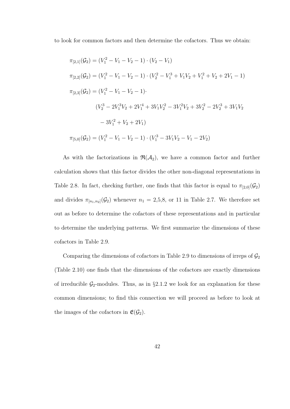to look for common factors and then determine the cofactors. Thus we obtain:

$$
\pi_{[2,1]}(\mathcal{G}_2) = (V_1^2 - V_1 - V_2 - 1) \cdot (V_2 - V_1)
$$
  
\n
$$
\pi_{[2,2]}(\mathcal{G}_2) = (V_1^2 - V_1 - V_2 - 1) \cdot (V_2^2 - V_1^3 + V_1 V_2 + V_1^2 + V_2 + 2V_1 - 1)
$$
  
\n
$$
\pi_{[2,3]}(\mathcal{G}_2) = (V_1^2 - V_1 - V_2 - 1).
$$
  
\n
$$
(V_2^3 - 2V_1^3 V_2 + 2V_1^4 + 3V_1 V_2^2 - 3V_1^2 V_2 + 3V_2^2 - 2V_2^3 + 3V_1 V_2
$$
  
\n
$$
-3V_1^2 + V_2 + 2V_1)
$$
  
\n
$$
\pi_{[5,0]}(\mathcal{G}_2) = (V_1^2 - V_1 - V_2 - 1) \cdot (V_1^3 - 3V_1 V_2 - V_1 - 2V_2)
$$

As with the factorizations in  $\mathfrak{R}(\mathcal{A}_2)$ , we have a common factor and further calculation shows that this factor divides the other non-diagonal representations in Table 2.8. In fact, checking further, one finds that this factor is equal to  $\pi_{[2,0]}(\mathcal{G}_2)$ and divides  $\pi_{[n_1,n_2]}(\mathcal{G}_2)$  whenever  $n_1 = 2,5,8$ , or 11 in Table 2.7. We therefore set out as before to determine the cofactors of these representations and in particular to determine the underlying patterns. We first summarize the dimensions of these cofactors in Table 2.9.

Comparing the dimensions of cofactors in Table 2.9 to dimensions of irreps of  $\mathcal{G}_2$ (Table 2.10) one finds that the dimensions of the cofactors are exactly dimensions of irreducible  $\mathcal{G}_2$ -modules. Thus, as in §2.1.2 we look for an explanation for these common dimensions; to find this connection we will proceed as before to look at the images of the cofactors in  $\mathfrak{E}(\mathcal{G}_2)$ .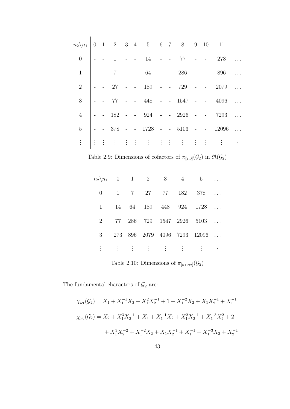|                |  |  |  |  |  | $n_2 \setminus n_1$   0 1 2 3 4 5 6 7 8 9 10 11 |  |
|----------------|--|--|--|--|--|-------------------------------------------------|--|
|                |  |  |  |  |  | $0 \mid -$ - 1 - - 14 - - 77 - - 273            |  |
|                |  |  |  |  |  | $\vert -$ - 7 - - 64 - - 286 - - 896            |  |
|                |  |  |  |  |  |                                                 |  |
| $\overline{3}$ |  |  |  |  |  | $\vert$ - 77 - - 448 - - 1547 - - 4096          |  |
|                |  |  |  |  |  | $\vert$ - 182 - - 924 - - 2926 - - 7293         |  |
|                |  |  |  |  |  | $5 \Big $ - - 378 - - 1728 - - 5103 - - 12096   |  |
|                |  |  |  |  |  |                                                 |  |

Table 2.9: Dimensions of cofactors of  $\pi_{[2,0]}(\mathcal{G}_2)$  in  $\Re(\mathcal{G}_2)$ 

|                |  |  |                                                                   | $n_2 \backslash n_1 \begin{array}{ ccc } 0 & 1 & 2 & 3 & 4 & 5 \end{array}$ |  |
|----------------|--|--|-------------------------------------------------------------------|-----------------------------------------------------------------------------|--|
| $\overline{0}$ |  |  |                                                                   | $\begin{array}{cccccccc} 1 & 7 & 27 & 77 & 182 & 378 & . \end{array}$       |  |
| 1              |  |  |                                                                   | $\begin{vmatrix} 14 & 64 & 189 & 448 & 924 & 1728 \end{vmatrix}$            |  |
| $\overline{2}$ |  |  |                                                                   | 77 286 729 1547 2926 5103                                                   |  |
| 3 <sup>1</sup> |  |  |                                                                   | 273 896 2079 4096 7293 12096                                                |  |
|                |  |  | $E = \begin{bmatrix} 1 & 1 & 1 & 1 & 1 & 1 & 1 & 1 \end{bmatrix}$ |                                                                             |  |

Table 2.10: Dimensions of  $\pi_{[n_1,n_2]}(\mathcal{G}_2)$ 

The fundamental characters of  $\mathcal{G}_2$  are:

$$
\chi_{\omega_1}(\mathcal{G}_2) = X_1 + X_1^{-1}X_2 + X_1^2X_2^{-1} + 1 + X_1^{-2}X_2 + X_1X_2^{-1} + X_1^{-1}
$$
  

$$
\chi_{\omega_2}(\mathcal{G}_2) = X_2 + X_1^3X_2^{-1} + X_1 + X_1^{-1}X_2 + X_1^2X_2^{-1} + X_1^{-3}X_2^2 + 2
$$
  

$$
+ X_1^3X_2^{-2} + X_1^{-2}X_2 + X_1X_2^{-1} + X_1^{-1} + X_1^{-3}X_2 + X_2^{-1}
$$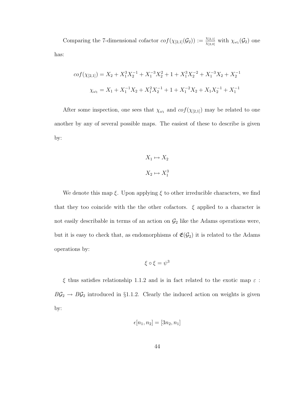Comparing the 7-dimensional cofactor  $cof(\chi_{[2,1]}(\mathcal{G}_2)) := \frac{\chi_{[2,1]}}{\chi_{[2,0]}}$  with  $\chi_{\omega_1}(\mathcal{G}_2)$  one has:

$$
cof(\chi_{[2,1]}) = X_2 + X_1^3 X_2^{-1} + X_1^{-3} X_2^2 + 1 + X_1^3 X_2^{-2} + X_1^{-3} X_2 + X_2^{-1}
$$
  

$$
\chi_{\omega_1} = X_1 + X_1^{-1} X_2 + X_1^2 X_2^{-1} + 1 + X_1^{-2} X_2 + X_1 X_2^{-1} + X_1^{-1}
$$

After some inspection, one sees that  $\chi_{\omega_1}$  and  $cof(\chi_{[2,1]})$  may be related to one another by any of several possible maps. The easiest of these to describe is given by:

$$
X_1 \mapsto X_2
$$

$$
X_2 \mapsto X_1^3
$$

We denote this map  $\xi$ . Upon applying  $\xi$  to other irreducible characters, we find that they too coincide with the the other cofactors.  $\xi$  applied to a character is not easily describable in terms of an action on  $\mathcal{G}_2$  like the Adams operations were, but it is easy to check that, as endomorphisms of  $\mathfrak{E}(\mathcal{G}_2)$  it is related to the Adams operations by:

$$
\xi\circ\xi=\psi^3
$$

 $\xi$  thus satisfies relationship 1.1.2 and is in fact related to the exotic map  $\varepsilon$ :  $B\mathcal{G}_2 \rightarrow B\mathcal{G}_2$  introduced in §1.1.2. Clearly the induced action on weights is given by:

$$
\epsilon[n_1, n_2] = [3n_2, n_1]
$$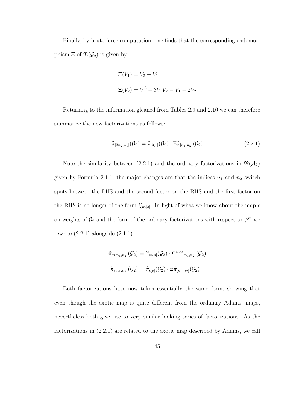Finally, by brute force computation, one finds that the corresponding endomorphism  $\Xi$  of  $\mathfrak{R}(\mathcal{G}_2)$  is given by:

$$
\Xi(V_1) = V_2 - V_1
$$
  

$$
\Xi(V_2) = V_1^3 - 3V_1V_2 - V_1 - 2V_2
$$

Returning to the information gleaned from Tables 2.9 and 2.10 we can therefore summarize the new factorizations as follows:

$$
\widehat{\pi}_{[3n_2,n_1]}(\mathcal{G}_2) = \widehat{\pi}_{[3,1]}(\mathcal{G}_2) \cdot \Xi \widehat{\pi}_{[n_1,n_2]}(\mathcal{G}_2)
$$
\n(2.2.1)

Note the similarity between (2.2.1) and the ordinary factorizations in  $\mathfrak{R}(\mathcal{A}_2)$ given by Formula 2.1.1; the major changes are that the indices  $n_1$  and  $n_2$  switch spots between the LHS and the second factor on the RHS and the first factor on the RHS is no longer of the form  $\widehat{\chi}_{m[\rho]}$ . In light of what we know about the map  $\epsilon$ on weights of  $\mathcal{G}_2$  and the form of the ordinary factorizations with respect to  $\psi^m$  we rewrite  $(2.2.1)$  alongside  $(2.1.1)$ :

$$
\widehat{\pi}_{m[n_1,n_2]}(\mathcal{G}_2) = \widehat{\pi}_{m[\rho]}(\mathcal{G}_2) \cdot \Psi^m \widehat{\pi}_{[n_1,n_2]}(\mathcal{G}_2)
$$

$$
\widehat{\pi}_{\epsilon[n_1,n_2]}(\mathcal{G}_2) = \widehat{\pi}_{\epsilon[\rho]}(\mathcal{G}_2) \cdot \Xi \widehat{\pi}_{[n_1,n_2]}(\mathcal{G}_2)
$$

Both factorizations have now taken essentially the same form, showing that even though the exotic map is quite different from the ordianry Adams' maps, nevertheless both give rise to very similar looking series of factorizations. As the factorizations in (2.2.1) are related to the exotic map described by Adams, we call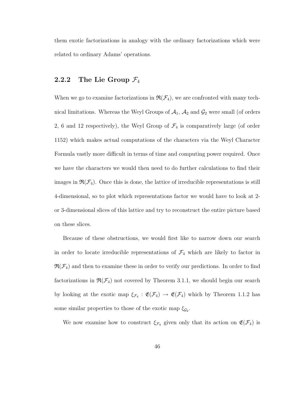them exotic factorizations in analogy with the ordinary factorizations which were related to ordinary Adams' operations.

#### 2.2.2 The Lie Group  $\mathcal{F}_4$

When we go to examine factorizations in  $\mathfrak{R}(\mathcal{F}_4)$ , we are confronted with many technical limitations. Whereas the Weyl Groups of  $A_1$ ,  $A_2$  and  $G_2$  were small (of orders 2, 6 and 12 respectively), the Weyl Group of  $\mathcal{F}_4$  is comparatively large (of order 1152) which makes actual computations of the characters via the Weyl Character Formula vastly more difficult in terms of time and computing power required. Once we have the characters we would then need to do further calculations to find their images in  $\mathfrak{R}(\mathcal{F}_4)$ . Once this is done, the lattice of irreducible representations is still 4-dimensional, so to plot which representations factor we would have to look at 2 or 3-dimensional slices of this lattice and try to reconstruct the entire picture based on these slices.

Because of these obstructions, we would first like to narrow down our search in order to locate irreducible representations of  $\mathcal{F}_4$  which are likely to factor in  $\mathfrak{R}(\mathcal{F}_4)$  and then to examine these in order to verify our predictions. In order to find factorizations in  $\mathfrak{R}(\mathcal{F}_4)$  not covered by Theorem 3.1.1, we should begin our search by looking at the exotic map  $\xi_{\mathcal{F}_4}: \mathfrak{E}(\mathcal{F}_4) \to \mathfrak{E}(\mathcal{F}_4)$  which by Theorem 1.1.2 has some similar properties to those of the exotic map  $\xi_{\mathcal{G}_2}$ .

We now examine how to construct  $\xi_{\mathcal{F}_4}$  given only that its action on  $\mathfrak{E}(\mathcal{F}_4)$  is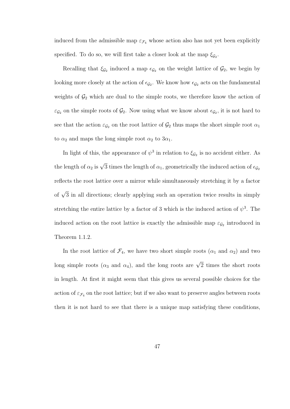induced from the admissible map  $\varepsilon_{\mathcal{F}_4}$  whose action also has not yet been explicitly specified. To do so, we will first take a closer look at the map  $\xi_{\mathcal{G}_2}$ .

Recalling that  $\xi_{\mathcal{G}_2}$  induced a map  $\epsilon_{\mathcal{G}_2}$  on the weight lattice of  $\mathcal{G}_2$ , we begin by looking more closely at the action of  $\epsilon_{\mathcal{G}_2}$ . We know how  $\epsilon_{\mathcal{G}_2}$  acts on the fundamental weights of  $\mathcal{G}_2$  which are dual to the simple roots, we therefore know the action of  $\varepsilon_{\mathcal{G}_2}$  on the simple roots of  $\mathcal{G}_2$ . Now using what we know about  $\epsilon_{\mathcal{G}_2}$ , it is not hard to see that the action  $\varepsilon_{\mathcal{G}_2}$  on the root lattice of  $\mathcal{G}_2$  thus maps the short simple root  $\alpha_1$ to  $\alpha_2$  and maps the long simple root  $\alpha_2$  to  $3\alpha_1$ .

In light of this, the appearance of  $\psi^3$  in relation to  $\xi_{\mathcal{G}_2}$  is no accident either. As the length of  $\alpha_2$  is  $\sqrt{3}$  times the length of  $\alpha_1$ , geometrically the induced action of  $\epsilon_{\mathcal{G}_2}$ reflects the root lattice over a mirror while simultaneously stretching it by a factor of  $\sqrt{3}$  in all directions; clearly applying such an operation twice results in simply stretching the entire lattice by a factor of 3 which is the induced action of  $\psi^3$ . The induced action on the root lattice is exactly the admissible map  $\varepsilon_{\mathcal{G}_2}$  introduced in Theorem 1.1.2.

In the root lattice of  $\mathcal{F}_4$ , we have two short simple roots  $(\alpha_1 \text{ and } \alpha_2)$  and two long simple roots ( $\alpha_3$  and  $\alpha_4$ ), and the long roots are  $\sqrt{2}$  times the short roots in length. At first it might seem that this gives us several possible choices for the action of  $\varepsilon_{\mathcal{F}_4}$  on the root lattice; but if we also want to preserve angles between roots then it is not hard to see that there is a unique map satisfying these conditions,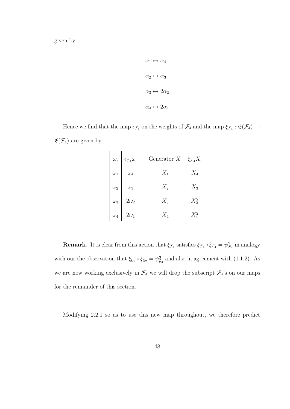given by:

$$
\alpha_1 \mapsto \alpha_4
$$
  
\n
$$
\alpha_2 \mapsto \alpha_3
$$
  
\n
$$
\alpha_3 \mapsto 2\alpha_2
$$
  
\n
$$
\alpha_4 \mapsto 2\alpha_1
$$

Hence we find that the map  $\epsilon_{\mathcal{F}_4}$  on the weights of  $\mathcal{F}_4$  and the map  $\xi_{\mathcal{F}_4}$ :  $\mathfrak{E}(\mathcal{F}_4) \to$  $\mathfrak{E}(\mathcal{F}_4)$  are given by:

| $\omega_i$ | $\epsilon_{\mathcal{F}_4}\omega_i$ | Generator $X_i$ | $\xi_{\mathcal{F}_4} X_i$ |
|------------|------------------------------------|-----------------|---------------------------|
| $\omega_1$ | $\omega_4$                         | $X_1$           | $X_4$                     |
| $\omega_2$ | $\omega_3$                         | $X_2$           | $X_3$                     |
| $\omega_3$ | $2\omega_2$                        | $X_3$           | $X_2^2$                   |
| $\omega_4$ | $2\omega_1$                        | $X_4$           | $X_1^2$                   |

**Remark**. It is clear from this action that  $\xi_{\mathcal{F}_4}$  satisfies  $\xi_{\mathcal{F}_4} \circ \xi_{\mathcal{F}_4} = \psi_{\mathcal{F}_4}^2$  in analogy with our the observation that  $\xi_{\mathcal{G}_2} \circ \xi_{\mathcal{G}_2} = \psi_{\mathcal{G}_2}^3$  and also in agreement with (1.1.2). As we are now working exclusively in  $\mathcal{F}_4$  we will drop the subscript  $\mathcal{F}_4$ 's on our maps for the remainder of this section.

Modifying 2.2.1 so as to use this new map throughout, we therefore predict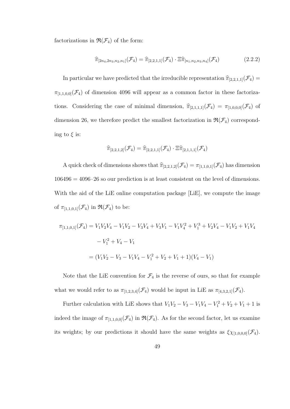factorizations in  $\mathfrak{R}(\mathcal{F}_4)$  of the form:

$$
\widehat{\pi}_{[2n_4,2n_3,n_2,n_1]}(\mathcal{F}_4) = \widehat{\pi}_{[2,2,1,1]}(\mathcal{F}_4) \cdot \Xi \widehat{\pi}_{[n_1,n_2,n_3,n_4]}(\mathcal{F}_4)
$$
\n(2.2.2)

In particular we have predicted that the irreducible representation  $\hat{\pi}_{[2,2,1,1]}(\mathcal{F}_4)$  =  $\pi_{[1,1,0,0]}(\mathcal{F}_4)$  of dimension 4096 will appear as a common factor in these factorizations. Considering the case of minimal dimension,  $\hat{\pi}_{[2,1,1,1]}(\mathcal{F}_4) = \pi_{[1,0,0,0]}(\mathcal{F}_4)$  of dimension 26, we therefore predict the smallest factorization in  $\mathfrak{R}(\mathcal{F}_4)$  corresponding to  $\xi$  is:

$$
\widehat{\pi}_{[2,2,1,2]}(\mathcal{F}_4) = \widehat{\pi}_{[2,2,1,1]}(\mathcal{F}_4) \cdot \Xi \widehat{\pi}_{[2,1,1,1]}(\mathcal{F}_4)
$$

A quick check of dimensions shows that  $\widehat{\pi}_{[2,2,1,2]}(\mathcal{F}_4) = \pi_{[1,1,0,1]}(\mathcal{F}_4)$  has dimension  $106496 = 4096 \cdot 26$  so our prediction is at least consistent on the level of dimensions. With the aid of the LiE online computation package [LiE], we compute the image of  $\pi_{[1,1,0,1]}(\mathcal{F}_4)$  in  $\mathfrak{R}(\mathcal{F}_4)$  to be:

$$
\pi_{[1,1,0,1]}(\mathcal{F}_4) = V_1 V_2 V_4 - V_1 V_2 - V_3 V_4 + V_3 V_1 - V_1 V_4^2 + V_1^3 + V_2 V_4 - V_1 V_2 + V_1 V_4
$$

$$
- V_1^2 + V_4 - V_1
$$

$$
= (V_1 V_2 - V_3 - V_1 V_4 - V_1^2 + V_2 + V_1 + 1)(V_4 - V_1)
$$

Note that the LiE convention for  $\mathcal{F}_4$  is the reverse of ours, so that for example what we would refer to as  $\pi_{[1,2,3,4]}(\mathcal{F}_4)$  would be input in LiE as  $\pi_{[4,3,2,1]}(\mathcal{F}_4)$ .

Further calculation with LiE shows that  $V_1V_2 - V_3 - V_1V_4 - V_1^2 + V_2 + V_1 + 1$  is indeed the image of  $\pi_{[1,1,0,0]}(\mathcal{F}_4)$  in  $\mathfrak{R}(\mathcal{F}_4)$ . As for the second factor, let us examine its weights; by our predictions it should have the same weights as  $\xi \chi_{[1,0,0,0]}(\mathcal{F}_4)$ .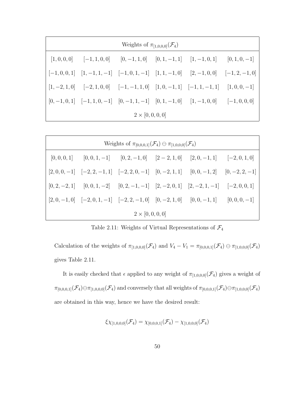|                         | Weights of $\pi_{[1,0,0,0]}(\mathcal{F}_4)$ |                                                                                                                                                                                                                                                                            |  |  |  |  |  |  |  |  |  |  |
|-------------------------|---------------------------------------------|----------------------------------------------------------------------------------------------------------------------------------------------------------------------------------------------------------------------------------------------------------------------------|--|--|--|--|--|--|--|--|--|--|
|                         |                                             | $[1,0,0,0]$ $[-1,1,0,0]$ $[0,-1,1,0]$ $[0,1,-1,1]$ $[1,-1,0,1]$ $[0,1,0,-1]$                                                                                                                                                                                               |  |  |  |  |  |  |  |  |  |  |
|                         |                                             | $\begin{bmatrix} -1, 0, 0, 1 \end{bmatrix}$ $\begin{bmatrix} 1, -1, 1, -1 \end{bmatrix}$ $\begin{bmatrix} -1, 0, 1, -1 \end{bmatrix}$ $\begin{bmatrix} 1, 1, -1, 0 \end{bmatrix}$ $\begin{bmatrix} 2, -1, 0, 0 \end{bmatrix}$ $\begin{bmatrix} -1, 2, -1, 0 \end{bmatrix}$ |  |  |  |  |  |  |  |  |  |  |
|                         |                                             | $\begin{bmatrix} 1, -2, 1, 0 \end{bmatrix}$ $\begin{bmatrix} -2, 1, 0, 0 \end{bmatrix}$ $\begin{bmatrix} -1, -1, 1, 0 \end{bmatrix}$ $\begin{bmatrix} 1, 0, -1, 1 \end{bmatrix}$ $\begin{bmatrix} -1, 1, -1, 1 \end{bmatrix}$ $\begin{bmatrix} 1, 0, 0, -1 \end{bmatrix}$  |  |  |  |  |  |  |  |  |  |  |
|                         |                                             | $\begin{bmatrix} 0, -1, 0, 1 \end{bmatrix}$ $\begin{bmatrix} -1, 1, 0, -1 \end{bmatrix}$ $\begin{bmatrix} 0, -1, 1, -1 \end{bmatrix}$ $\begin{bmatrix} 0, 1, -1, 0 \end{bmatrix}$ $\begin{bmatrix} 1, -1, 0, 0 \end{bmatrix}$ $\begin{bmatrix} -1, 0, 0, 0 \end{bmatrix}$  |  |  |  |  |  |  |  |  |  |  |
| $2 \times [0, 0, 0, 0]$ |                                             |                                                                                                                                                                                                                                                                            |  |  |  |  |  |  |  |  |  |  |

| Weights of $\pi_{[0,0,0,1]}(\mathcal{F}_{4}) \ominus \pi_{[1,0,0,0]}(\mathcal{F}_{4})$ |  |                                                                                                                                                                                                                                                          |  |  |  |  |  |  |  |  |  |
|----------------------------------------------------------------------------------------|--|----------------------------------------------------------------------------------------------------------------------------------------------------------------------------------------------------------------------------------------------------------|--|--|--|--|--|--|--|--|--|
|                                                                                        |  | $[0,0,0,1]$ $[0,0,1,-1]$ $[0,2,-1,0]$ $[2-2,1,0]$ $[2,0,-1,1]$ $[-2,0,1,0]$                                                                                                                                                                              |  |  |  |  |  |  |  |  |  |
|                                                                                        |  | $\begin{bmatrix} 2,0,0,-1 \end{bmatrix}$ $\begin{bmatrix} -2,2,-1,1 \end{bmatrix}$ $\begin{bmatrix} -2,2,0,-1 \end{bmatrix}$ $\begin{bmatrix} 0,-2,1,1 \end{bmatrix}$ $\begin{bmatrix} 0,0,-1,2 \end{bmatrix}$ $\begin{bmatrix} 0,-2,2,-1 \end{bmatrix}$ |  |  |  |  |  |  |  |  |  |
|                                                                                        |  | $[0,2,-2,1]$ $[0,0,1,-2]$ $[0,2,-1,-1]$ $[2,-2,0,1]$ $[2,-2,1,-1]$ $[-2,0,0,1]$                                                                                                                                                                          |  |  |  |  |  |  |  |  |  |
|                                                                                        |  | $[2,0,-1,0]$ $[-2,0,1,-1]$ $[-2,2,-1,0]$ $[0,-2,1,0]$ $[0,0,-1,1]$ $[0,0,0,-1]$                                                                                                                                                                          |  |  |  |  |  |  |  |  |  |
| $2 \times [0, 0, 0, 0]$                                                                |  |                                                                                                                                                                                                                                                          |  |  |  |  |  |  |  |  |  |

Table 2.11: Weights of Virtual Representations of  $\mathcal{F}_4$ 

Calculation of the weights of  $\pi_{[1,0,0,0]}(\mathcal{F}_4)$  and  $V_4 - V_1 = \pi_{[0,0,0,1]}(\mathcal{F}_4) \ominus \pi_{[1,0,0,0]}(\mathcal{F}_4)$ gives Table 2.11.

It is easily checked that  $\epsilon$  applied to any weight of  $\pi_{[1,0,0,0]}(\mathcal{F}_4)$  gives a weight of  $\pi_{[0,0,0,1]}(\mathcal{F}_4)\ominus \pi_{[1,0,0,0]}(\mathcal{F}_4)$  and conversely that all weights of  $\pi_{[0,0,0,1]}(\mathcal{F}_4)\ominus \pi_{[1,0,0,0]}(\mathcal{F}_4)$ are obtained in this way, hence we have the desired result:

$$
\xi\chi_{[1,0,0,0]}(\mathcal{F}_{4})=\chi_{[0,0,0,1]}(\mathcal{F}_{4})-\chi_{[1,0,0,0]}(\mathcal{F}_{4})
$$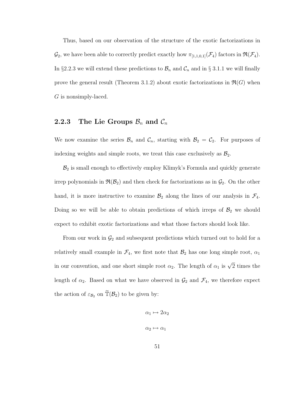Thus, based on our observation of the structure of the exotic factorizations in  $\mathcal{G}_2$ , we have been able to correctly predict exactly how  $\pi_{[1,1,0,1]}(\mathcal{F}_4)$  factors in  $\mathfrak{R}(\mathcal{F}_4)$ . In §2.2.3 we will extend these predictions to  $\mathcal{B}_n$  and  $\mathcal{C}_n$  and in § 3.1.1 we will finally prove the general result (Theorem 3.1.2) about exotic factorizations in  $\mathfrak{R}(G)$  when G is nonsimply-laced.

#### 2.2.3 The Lie Groups  $\mathcal{B}_n$  and  $\mathcal{C}_n$

We now examine the series  $\mathcal{B}_n$  and  $\mathcal{C}_n$ , starting with  $\mathcal{B}_2 = \mathcal{C}_2$ . For purposes of indexing weights and simple roots, we treat this case exclusively as  $\mathcal{B}_2$ .

 $B_2$  is small enough to effectively employ Klimyk's Formula and quickly generate irrep polynomials in  $\mathfrak{R}(\mathcal{B}_2)$  and then check for factorizations as in  $\mathcal{G}_2$ . On the other hand, it is more instructive to examine  $\mathcal{B}_2$  along the lines of our analysis in  $\mathcal{F}_4$ . Doing so we will be able to obtain predictions of which irreps of  $\mathcal{B}_2$  we should expect to exhibit exotic factorizations and what those factors should look like.

From our work in  $\mathcal{G}_2$  and subsequent predictions which turned out to hold for a relatively small example in  $\mathcal{F}_4$ , we first note that  $\mathcal{B}_2$  has one long simple root,  $\alpha_1$ in our convention, and one short simple root  $\alpha_2$ . The length of  $\alpha_1$  is  $\sqrt{2}$  times the length of  $\alpha_2$ . Based on what we have observed in  $\mathcal{G}_2$  and  $\mathcal{F}_4$ , we therefore expect the action of  $\varepsilon_{\mathcal{B}_2}$  on  $\widetilde{\mathbb{T}}(\mathcal{B}_2)$  to be given by:

$$
\alpha_1 \mapsto 2\alpha_2
$$
  

$$
\alpha_2 \mapsto \alpha_1
$$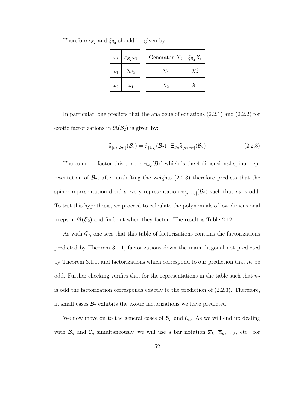| $\omega_i$ | $\varepsilon_{\mathcal{B}_2} \omega_i$ | Generator $X_i   \xi_{\mathcal{B}_2} X_i$ |  |
|------------|----------------------------------------|-------------------------------------------|--|
| $\omega_1$ | $2\omega_2$                            |                                           |  |
| $\omega_2$ | $\omega_1$                             | $X_2$                                     |  |

Therefore  $\epsilon_{\mathcal{B}_2}$  and  $\xi_{\mathcal{B}_2}$  should be given by:

In particular, one predicts that the analogue of equations (2.2.1) and (2.2.2) for exotic factorizations in  $\mathfrak{R}(\mathcal{B}_2)$  is given by:

$$
\widehat{\pi}_{[n_2,2n_1]}(\mathcal{B}_2) = \widehat{\pi}_{[1,2]}(\mathcal{B}_2) \cdot \Xi_{\mathcal{B}_2} \widehat{\pi}_{[n_1,n_2]}(\mathcal{B}_2)
$$
\n(2.2.3)

The common factor this time is  $\pi_{\omega_2}(\mathcal{B}_2)$  which is the 4-dimensional spinor representation of  $\mathcal{B}_2$ ; after unshifting the weights (2.2.3) therefore predicts that the spinor representation divides every representation  $\pi_{[n_1,n_2]}(\mathcal{B}_2)$  such that  $n_2$  is odd. To test this hypothesis, we proceed to calculate the polynomials of low-dimensional irreps in  $\mathfrak{R}(\mathcal{B}_2)$  and find out when they factor. The result is Table 2.12.

As with  $\mathcal{G}_2$ , one sees that this table of factorizations contains the factorizations predicted by Theorem 3.1.1, factorizations down the main diagonal not predicted by Theorem 3.1.1, and factorizations which correspond to our prediction that  $n_2$  be odd. Further checking verifies that for the representations in the table such that  $n_2$ is odd the factorization corresponds exactly to the prediction of (2.2.3). Therefore, in small cases  $\mathcal{B}_2$  exhibits the exotic factorizations we have predicted.

We now move on to the general cases of  $\mathcal{B}_n$  and  $\mathcal{C}_n$ . As we will end up dealing with  $\mathcal{B}_n$  and  $\mathcal{C}_n$  simultaneously, we will use a bar notation  $\overline{\omega}_k$ ,  $\overline{\alpha}_k$ ,  $\overline{V}_k$ , etc. for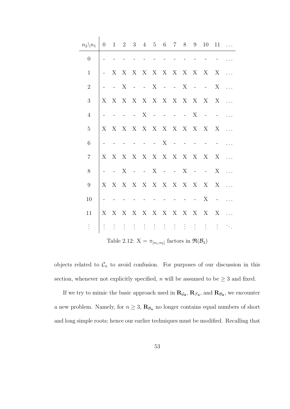| $n_2 \backslash n_1$ | $\overline{0}$                                                    |                     |   |  |                          |        | $1 \t2 \t3 \t4 \t5 \t6 \t7 \t8 \t9$ |            |                          |                          | 10                                                                                               | 11         |              |
|----------------------|-------------------------------------------------------------------|---------------------|---|--|--------------------------|--------|-------------------------------------|------------|--------------------------|--------------------------|--------------------------------------------------------------------------------------------------|------------|--------------|
| $\overline{0}$       |                                                                   |                     |   |  |                          | $\sim$ | $\sim$ $-$                          |            | $\overline{\phantom{a}}$ | $\overline{\phantom{a}}$ | $\sim$ $-$                                                                                       |            |              |
| $\mathbf{1}$         |                                                                   |                     |   |  |                          |        |                                     |            |                          |                          |                                                                                                  |            |              |
| $\overline{2}$       |                                                                   | $\sim$              | X |  |                          |        | $  X$ $  X$                         |            |                          |                          | $- - - X$                                                                                        |            |              |
| 3                    |                                                                   |                     |   |  |                          |        | X X X X X X X X X X X               |            |                          |                          |                                                                                                  | $X \ldots$ |              |
| $\overline{4}$       |                                                                   | $\blacksquare$      |   |  | $- X$                    |        | $    X$                             |            |                          |                          | $\alpha$ and $\alpha$ and $\alpha$                                                               |            |              |
| $\overline{5}$       | X                                                                 |                     |   |  |                          |        | X X X X X X X X X X X               |            |                          |                          |                                                                                                  | $X \ldots$ |              |
| 6                    |                                                                   | $\blacksquare$      |   |  |                          | $ -$ X |                                     | $\sim$ $-$ |                          | $\pm$ .                  | $\sim$ $-$                                                                                       |            |              |
| $\overline{7}$       |                                                                   |                     |   |  |                          |        |                                     |            |                          |                          | $X \quad X \quad X \quad X \quad X \quad X \quad X \quad X \quad X \quad X \quad X \quad \ldots$ |            |              |
| 8                    |                                                                   | $\omega_{\rm{max}}$ | X |  |                          |        | $  X$ $  X$                         |            |                          |                          | $  X$                                                                                            |            | $\mathbb{R}$ |
| $9\phantom{.0}$      |                                                                   |                     |   |  |                          |        | X X X X X X X X X X X               |            |                          |                          |                                                                                                  | X X        |              |
| 10                   |                                                                   |                     |   |  | $\overline{\phantom{0}}$ |        | $\Delta \phi = \Delta \phi$         |            |                          | $\sim 10^{-10}$          | X                                                                                                | $\sim 100$ |              |
| 11                   | X                                                                 |                     |   |  |                          |        |                                     |            |                          |                          | X X X X X X X X X X X X                                                                          |            |              |
| $\vdots$             |                                                                   |                     |   |  |                          |        |                                     |            |                          |                          | 生生生生生生生生生生物                                                                                      |            |              |
|                      | Table 2.12: $X = \pi_{[n_1,n_2]}$ factors in $\Re(\mathcal{B}_2)$ |                     |   |  |                          |        |                                     |            |                          |                          |                                                                                                  |            |              |

objects related to  $\mathcal{C}_n$  to avoid confusion. For purposes of our discussion in this section, whenever not explicitly specified,  $n$  will be assumed to be  $\geq 3$  and fixed.

If we try to mimic the basic approach used in  $\mathbf{R}_{\mathcal{G}_2}$ ,  $\mathbf{R}_{\mathcal{F}_4}$ , and  $\mathbf{R}_{\mathcal{B}_2}$ , we encounter a new problem. Namely, for  $n \geq 3$ ,  $\mathbf{R}_{\mathcal{B}_n}$  no longer contains equal numbers of short and long simple roots; hence our earlier techniques must be modified. Recalling that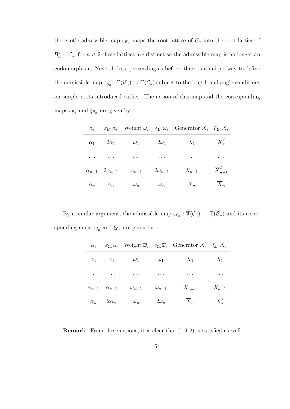the exotic admissible map  $\varepsilon_{\mathcal{B}_n}$  maps the root lattice of  $\mathcal{B}_n$  into the root lattice of  $\mathcal{B}_n^* = \mathcal{C}_n$ ; for  $n \geq 2$  these lattices are distinct so the admissible map is no longer and endomorphism. Nevertheless, proceeding as before, there is a unique way to define the admissible map  $\varepsilon_{\mathcal{B}_n} : \widetilde{\mathbb{T}}(\mathcal{B}_n) \to \widetilde{\mathbb{T}}(\mathcal{C}_n)$  subject to the length and angle conditions on simple roots introduced earlier. The action of this map and the corresponding maps  $\epsilon_{\mathcal{B}_n}$  and  $\xi_{\mathcal{B}_n}$  are given by:

| $\alpha_i$     | $\varepsilon_{\mathcal{B}_n}\alpha_i$ | Weight $\omega_i$ $\epsilon_{\mathcal{B}_n}\omega_i$ |                            | Generator $X_i$ $\xi_{\mathcal{B}_n} X_i$ |                        |
|----------------|---------------------------------------|------------------------------------------------------|----------------------------|-------------------------------------------|------------------------|
| $\alpha_1$     | $2\overline{\alpha}_1$                | $\omega_1$                                           | $2\overline{\omega}_1$     | $X_1$                                     | $\overline{X}_1^2$     |
|                | $\cdots$                              | $\cdots$                                             |                            |                                           |                        |
| $\alpha_{n-1}$ | $2\overline{\alpha}_{n-1}$            | $\omega_{n-1}$                                       | $2\overline{\omega}_{n-1}$ | $X_{n-1}$                                 | $\overline{X}_{n-1}^2$ |
| $\alpha_n$     | $\overline{\alpha}_n$                 | $\omega_n$                                           | $\overline{\omega}_n$      | $X_n$                                     | $\overline{X}_n$       |

By a similar argument, the admissible map  $\varepsilon_{\mathcal{C}_n} : \widetilde{\mathbb{T}}(\mathcal{C}_n) \to \widetilde{\mathbb{T}}(\mathcal{B}_n)$  and its corresponding maps  $\epsilon_{\mathcal{C}_n}$  and  $\xi_{\mathcal{C}_n}$  are given by:

| $\alpha_i$                | $\varepsilon_{\mathcal{C}_n}\alpha_i$ |                           |                | Weight $\overline{\omega}_i$ $\epsilon_{\mathcal{C}_n} \overline{\omega}_i$ Generator $\overline{X}_i$ $\xi_{\mathcal{C}_n} \overline{X}_i$ |           |
|---------------------------|---------------------------------------|---------------------------|----------------|---------------------------------------------------------------------------------------------------------------------------------------------|-----------|
| $\overline{\alpha}_1$     | $\alpha_1$                            | $\overline{\omega}_1$     | $\omega_1$     | $\overline{X}_1$                                                                                                                            | $X_1$     |
|                           |                                       | $\cdots$                  | $\cdots$       | $\cdots$                                                                                                                                    |           |
| $\overline{\alpha}_{n-1}$ | $\alpha_{n-1}$                        | $\overline{\omega}_{n-1}$ | $\omega_{n-1}$ | $X_{n-1}$                                                                                                                                   | $X_{n-1}$ |
|                           | $\overline{\alpha}_n$ 2 $\alpha_n$    | $\overline{\omega}_n$     | $2\omega_n$    | $X_n$                                                                                                                                       |           |

Remark. From these actions, it is clear that (1.1.2) is satisfied as well.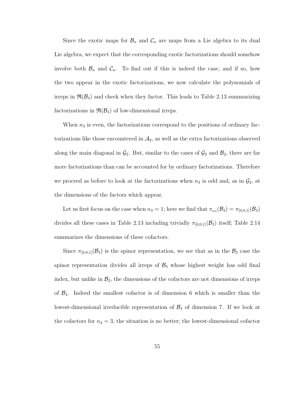Since the exotic maps for  $\mathcal{B}_n$  and  $\mathcal{C}_n$  are maps from a Lie algebra to its dual Lie algebra, we expect that the corresponding exotic factorizations should somehow involve both  $\mathcal{B}_n$  and  $\mathcal{C}_n$ . To find out if this is indeed the case, and if so, how the two appear in the exotic factorizations, we now calculate the polynomials of irreps in  $\mathfrak{R}(\mathcal{B}_3)$  and check when they factor. This leads to Table 2.13 summarizing factorizations in  $\mathfrak{R}(\mathcal{B}_3)$  of low-dimensional irreps.

When  $n_3$  is even, the factorizations correspond to the positions of ordinary factorizations like those encountered in  $A_2$ , as well as the extra factorizations observed along the main diagonal in  $\mathcal{G}_2$ . But, similar to the cases of  $\mathcal{G}_2$  and  $\mathcal{B}_2$ , there are far more factorizations than can be accounted for by ordinary factorizations. Therefore we proceed as before to look at the factorizations when  $n_3$  is odd and, as in  $\mathcal{G}_2$ , at the dimensions of the factors which appear.

Let us first focus on the case when  $n_3 = 1$ ; here we find that  $\pi_{\omega_3}(\mathcal{B}_3) = \pi_{[0,0,1]}(\mathcal{B}_3)$ divides all these cases in Table 2.13 including trivially  $\pi_{[0,0,1]}(\mathcal{B}_3)$  itself; Table 2.14 summarizes the dimensions of these cofactors.

Since  $\pi_{[0,0,1]}(\mathcal{B}_3)$  is the spinor representation, we see that as in the  $\mathcal{B}_2$  case the spinor representation divides all irreps of  $\mathcal{B}_3$  whose highest weight has odd final index, but unlike in  $\mathcal{B}_2$ , the dimensions of the cofactors are not dimensions of irreps of  $\mathcal{B}_3$ . Indeed the smallest cofactor is of dimension 6 which is smaller than the lowest-dimensional irreducible representation of  $\mathcal{B}_3$  of dimension 7. If we look at the cofactors for  $n_3 = 3$ , the situation is no better; the lowest-dimensional cofactor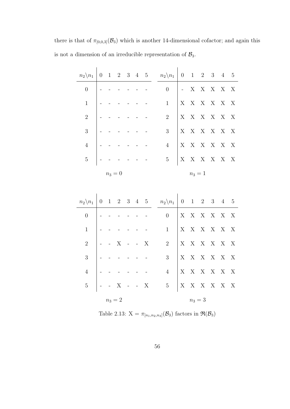there is that of  $\pi_{[0,0,3]}(\mathcal{B}_3)$  which is another 14-dimensional cofactor; and again this is not a dimension of an irreducible representation of  $\mathcal{B}_3$ .

| $n_2 \backslash n_1$ | $\boldsymbol{0}$ | $\mathbf{1}$ | $\overline{2}$ | 3 | $\overline{4}$ | $\bf 5$     | $n_2 \backslash n_1$ | $\overline{0}$    | $\mathbf{1}$              | $\overline{2}$          | 3                       | $\overline{4}$            | $\overline{5}$            |
|----------------------|------------------|--------------|----------------|---|----------------|-------------|----------------------|-------------------|---------------------------|-------------------------|-------------------------|---------------------------|---------------------------|
| $\boldsymbol{0}$     |                  |              |                |   |                |             | $\overline{0}$       | $\Box$            | $\mathbf X$               | $\mathbf X$             | $\mathbf X$             | $\mathbf X$               | $\overline{X}$            |
| $\mathbf{1}$         |                  |              |                |   |                |             | $\mathbf{1}$         | $\mathbf X$       | $\mathbf X$               | $\mathbf X$             | $\mathbf X$             | $\mathbf X$               | X                         |
| $\sqrt{2}$           |                  |              |                |   |                |             | $\sqrt{2}$           | X                 | $\mathbf X$               | X                       | $\mathbf X$             | X                         | $\boldsymbol{\mathrm{X}}$ |
| $\overline{3}$       |                  |              |                |   |                |             | 3                    | X                 | $\mathbf X$               | $\mathbf X$             | $\mathbf X$             | X                         | $\boldsymbol{\mathrm{X}}$ |
| $\overline{4}$       |                  |              |                |   |                |             | $\overline{4}$       | X                 | $\mathbf X$               | $\mathbf X$             | $\mathbf{X}-\mathbf{X}$ |                           | X                         |
| $\overline{5}$       |                  |              |                |   |                |             | $\mathbf 5$          | X                 | $\mathbf X$               | $\mathbf X$             | $X$ X                   |                           | X                         |
|                      |                  | $n_3 = 0$    |                |   |                |             |                      |                   | $n_3 = 1$                 |                         |                         |                           |                           |
|                      |                  |              |                |   |                |             |                      |                   |                           |                         |                         |                           |                           |
|                      |                  |              |                |   |                |             |                      |                   |                           |                         |                         |                           |                           |
| $n_2 \backslash n_1$ | $\boldsymbol{0}$ | 1            | 2 3            |   |                | $4\quad 5$  | $n_2 \backslash n_1$ | $\overline{0}$    | 1                         | $\overline{2}$          | 3 4                     |                           | $-5$                      |
| $\overline{0}$       |                  |              |                |   |                |             | $\overline{0}$       | X                 | $\mathbf X$               | $\mathbf X$             | $\mathbf X$             | $\mathbf X$               | $\overline{X}$            |
| $\mathbf{1}$         |                  |              |                |   |                |             | $\mathbf{1}$         | X                 | $\mathbf X$               | $\mathbf X$             | $\mathbf X$             | $\boldsymbol{\mathrm{X}}$ | $\boldsymbol{\mathrm{X}}$ |
| $\sqrt{2}$           |                  |              | X              |   |                | $\mathbf X$ | $\sqrt{2}$           | X                 | $\boldsymbol{\mathrm{X}}$ | $\mathbf X$             |                         | $\mathbf{X}-\mathbf{X}$   | X                         |
| 3                    |                  |              |                |   |                |             | $\mathfrak{Z}$       | X                 | $\mathbf X$               | X                       | $\mathbf X$             | X                         | X                         |
| $\overline{4}$       |                  |              |                |   |                |             | $\overline{4}$       | $\mathbf X$       | $\mathbf X$               | $\mathbf X$             |                         | $\mathbf{X}-\mathbf{X}$   | X                         |
| $\overline{5}$       |                  |              | $\bar{X}$      |   | $\mathbb{R}^2$ | $\bar{X}$   | $\bf 5$              | $X_{\mathcal{I}}$ |                           | $\mathbf{X}-\mathbf{X}$ |                         | $\mathbf{X}-\mathbf{X}$   | X                         |

Table 2.13:  $X = \pi_{[n_1,n_2,n_3]}(\mathcal{B}_3)$  factors in  $\Re(\mathcal{B}_3)$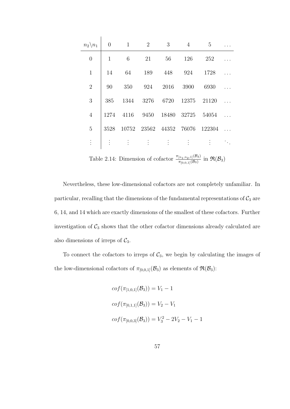| $n_2 \backslash n_1$ | $\overline{0}$ | $\overline{1}$ | 2                    | 3                       | $\overline{4}$ | 5                    |  |
|----------------------|----------------|----------------|----------------------|-------------------------|----------------|----------------------|--|
| $\boldsymbol{0}$     | $\mathbf{1}$   | 6              | 21                   | 56                      | 126            | 252                  |  |
| $\mathbf{1}$         | 14             | 64             | 189                  | 448                     | 924            | 1728                 |  |
| $\overline{2}$       | 90             | 350            | 924                  | 2016                    | 3900           | 6930                 |  |
| 3                    | 385            | 1344           | 3276                 | 6720                    | 12375          | 21120                |  |
| $\overline{4}$       | 1274           | 4116           | 9450                 |                         | 18480 32725    | 54054                |  |
| 5                    | 3528           |                |                      | 10752 23562 44352 76076 |                | 122304               |  |
| $\cdot$              |                |                | $\ddot{\phantom{a}}$ | $\vdots$                | $\ddot{\cdot}$ | $\ddot{\phantom{a}}$ |  |

Table 2.14: Dimension of cofactor  $\frac{\pi_{[n_1,n_2,1]}(\mathcal{B}_3)}{\pi_{[0,0,1]}(\mathcal{B}_3)}$  in  $\mathfrak{R}(\mathcal{B}_3)$ 

Nevertheless, these low-dimensional cofactors are not completely unfamiliar. In particular, recalling that the dimensions of the fundamental representations of  $C_3$  are 6, 14, and 14 which are exactly dimensions of the smallest of these cofactors. Further investigation of  $C_3$  shows that the other cofactor dimensions already calculated are also dimensions of irreps of  $C_3$ .

To connect the cofactors to irreps of  $C_3$ , we begin by calculating the images of the low-dimensional cofactors of  $\pi_{[0,0,1]}(\mathcal{B}_3)$  as elements of  $\mathfrak{R}(\mathcal{B}_3)$ :

$$
cof(\pi_{[1,0,1]}(\mathcal{B}_3)) = V_1 - 1
$$
  
\n
$$
cof(\pi_{[0,1,1]}(\mathcal{B}_3)) = V_2 - V_1
$$
  
\n
$$
cof(\pi_{[0,0,3]}(\mathcal{B}_3)) = V_3^2 - 2V_2 - V_1 - 1
$$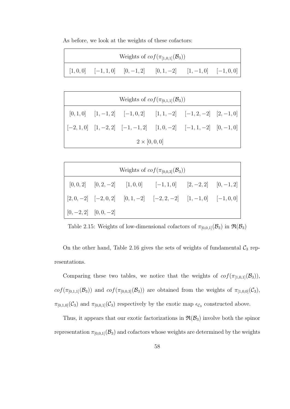As before, we look at the weights of these cofactors:

| Weights of $cof(\pi_{[1,0,1]}(\mathcal{B}_3))$ |  |  |                                                                                                                                                                                                                                          |  |  |  |  |
|------------------------------------------------|--|--|------------------------------------------------------------------------------------------------------------------------------------------------------------------------------------------------------------------------------------------|--|--|--|--|
|                                                |  |  | $\begin{bmatrix} 1,0,0 \end{bmatrix}$ $\begin{bmatrix} -1,1,0 \end{bmatrix}$ $\begin{bmatrix} 0,-1,2 \end{bmatrix}$ $\begin{bmatrix} 0,1,-2 \end{bmatrix}$ $\begin{bmatrix} 1,-1,0 \end{bmatrix}$ $\begin{bmatrix} -1,0,0 \end{bmatrix}$ |  |  |  |  |

| Weights of $cof(\pi_{[0,1,1]}(\mathcal{B}_3))$ |  |                                                                     |  |  |  |  |  |  |
|------------------------------------------------|--|---------------------------------------------------------------------|--|--|--|--|--|--|
|                                                |  | $[0,1,0]$ $[1,-1,2]$ $[-1,0,2]$ $[1,1,-2]$ $[-1,2,-2]$ $[2,-1,0]$   |  |  |  |  |  |  |
|                                                |  | $[-2,1,0]$ $[1,-2,2]$ $[-1,-1,2]$ $[1,0,-2]$ $[-1,1,-2]$ $[0,-1,0]$ |  |  |  |  |  |  |
| $2 \times [0, 0, 0]$                           |  |                                                                     |  |  |  |  |  |  |

| Weights of $cof(\pi_{[0,0,3]}(\mathcal{B}_3))$ |  |  |                                                                    |  |  |  |  |  |
|------------------------------------------------|--|--|--------------------------------------------------------------------|--|--|--|--|--|
|                                                |  |  | $[0,0,2]$ $[0,2,-2]$ $[1,0,0]$ $[-1,1,0]$ $[2,-2,2]$ $[0,-1,2]$    |  |  |  |  |  |
|                                                |  |  | $[2,0,-2]$ $[-2,0,2]$ $[0,1,-2]$ $[-2,2,-2]$ $[1,-1,0]$ $[-1,0,0]$ |  |  |  |  |  |
| $[0, -2, 2]$ $[0, 0, -2]$                      |  |  |                                                                    |  |  |  |  |  |

Table 2.15: Weights of low-dimensional cofactors of  $\pi_{[0,0,1]}(\mathcal{B}_3)$  in  $\mathfrak{R}(\mathcal{B}_3)$ 

On the other hand, Table 2.16 gives the sets of weights of fundamental  $C_3$  representations.

Comparing these two tables, we notice that the weights of  $cof(\pi_{[1,0,1]}(\mathcal{B}_3)),$  $cof(\pi_{[0,1,1]}(\mathcal{B}_3))$  and  $cof(\pi_{[0,0,3]}(\mathcal{B}_3))$  are obtained from the weights of  $\pi_{[1,0,0]}(\mathcal{C}_3)$ ,  $\pi_{[0,1,0]}(\mathcal{C}_3)$  and  $\pi_{[0,0,1]}(\mathcal{C}_3)$  respectively by the exotic map  $\epsilon_{\mathcal{C}_3}$  constructed above.

Thus, it appears that our exotic factorizations in  $\mathfrak{R}(\mathcal{B}_3)$  involve both the spinor representation  $\pi_{[0,0,1]}(\mathcal{B}_3)$  and cofactors whose weights are determined by the weights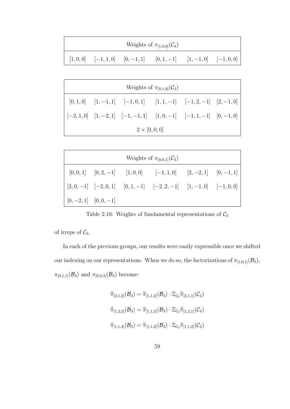|  | Weights of $\pi_{[1,0,0]}(\mathcal{C}_3)$                        |  |
|--|------------------------------------------------------------------|--|
|  | $[1,0,0]$ $[-1,1,0]$ $[0,-1,1]$ $[0,1,-1]$ $[1,-1,0]$ $[-1,0,0]$ |  |

| Weights of $\pi_{[0,1,0]}(\mathcal{C}_3)$ |  |                                                                     |  |  |  |  |  |  |
|-------------------------------------------|--|---------------------------------------------------------------------|--|--|--|--|--|--|
|                                           |  | $[0,1,0]$ $[1,-1,1]$ $[-1,0,1]$ $[1,1,-1]$ $[-1,2,-1]$ $[2,-1,0]$   |  |  |  |  |  |  |
|                                           |  | $[-2,1,0]$ $[1,-2,1]$ $[-1,-1,1]$ $[1,0,-1]$ $[-1,1,-1]$ $[0,-1,0]$ |  |  |  |  |  |  |
| $2 \times [0, 0, 0]$                      |  |                                                                     |  |  |  |  |  |  |

| Weights of $\pi_{[0,0,1]}(\mathcal{C}_3)$ |  |  |                                                                    |  |  |  |  |  |
|-------------------------------------------|--|--|--------------------------------------------------------------------|--|--|--|--|--|
|                                           |  |  | $[0,0,1]$ $[0,2,-1]$ $[1,0,0]$ $[-1,1,0]$ $[2,-2,1]$ $[0,-1,1]$    |  |  |  |  |  |
|                                           |  |  | $[2,0,-1]$ $[-2,0,1]$ $[0,1,-1]$ $[-2,2,-1]$ $[1,-1,0]$ $[-1,0,0]$ |  |  |  |  |  |
| $[0, -2, 1]$ $[0, 0, -1]$                 |  |  |                                                                    |  |  |  |  |  |

Table 2.16: Weights of fundamental representations of  $\mathcal{C}_3$ 

of irreps of  $C_3$ .

In each of the previous groups, our results were easily expressible once we shifted our indexing on our representations. When we do so, the factorizations of  $\pi_{[1,0,1]}(\mathcal{B}_3)$ ,  $\pi_{[0,1,1]}(\mathcal{B}_3)$  and  $\pi_{[0,0,3]}(\mathcal{B}_3)$  become:

$$
\hat{\pi}_{[2,1,2]}(\mathcal{B}_3) = \hat{\pi}_{[1,1,2]}(\mathcal{B}_3) \cdot \Xi_{\mathcal{C}_3} \hat{\pi}_{[2,1,1]}(\mathcal{C}_3)
$$
\n
$$
\hat{\pi}_{[1,2,2]}(\mathcal{B}_3) = \hat{\pi}_{[1,1,2]}(\mathcal{B}_3) \cdot \Xi_{\mathcal{C}_3} \hat{\pi}_{[1,2,1]}(\mathcal{C}_3)
$$
\n
$$
\hat{\pi}_{[1,1,4]}(\mathcal{B}_3) = \hat{\pi}_{[1,1,2]}(\mathcal{B}_3) \cdot \Xi_{\mathcal{C}_3} \hat{\pi}_{[1,1,2]}(\mathcal{C}_3)
$$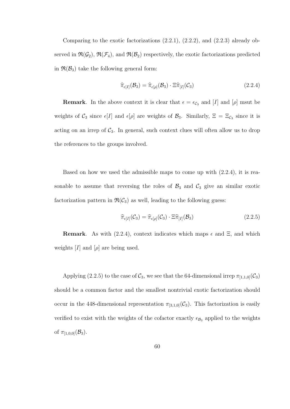Comparing to the exotic factorizations (2.2.1), (2.2.2), and (2.2.3) already observed in  $\mathfrak{R}(\mathcal{G}_2)$ ,  $\mathfrak{R}(\mathcal{F}_4)$ , and  $\mathfrak{R}(\mathcal{B}_2)$  respectively, the exotic factorizations predicted in  $\mathfrak{R}(\mathcal{B}_3)$  take the following general form:

$$
\widehat{\pi}_{\epsilon[I]}(\mathcal{B}_3) = \widehat{\pi}_{\epsilon[\rho]}(\mathcal{B}_3) \cdot \Xi \widehat{\pi}_{[I]}(\mathcal{C}_3)
$$
\n(2.2.4)

**Remark**. In the above context it is clear that  $\epsilon = \epsilon_{\mathcal{C}_3}$  and [I] and [ $\rho$ ] msut be weights of  $\mathcal{C}_3$  since  $\epsilon[I]$  and  $\epsilon[\rho]$  are weights of  $\mathcal{B}_3$ . Similarly,  $\Xi = \Xi_{\mathcal{C}_3}$  since it is acting on an irrep of  $C_3$ . In general, such context clues will often allow us to drop the references to the groups involved.

Based on how we used the admissible maps to come up with (2.2.4), it is reasonable to assume that reversing the roles of  $\mathcal{B}_3$  and  $\mathcal{C}_3$  give an similar exotic factorization pattern in  $\mathfrak{R}(\mathcal{C}_3)$  as well, leading to the following guess:

$$
\widehat{\pi}_{\epsilon[I]}(\mathcal{C}_3) = \widehat{\pi}_{\epsilon[\rho]}(\mathcal{C}_3) \cdot \Xi \widehat{\pi}_{[I]}(\mathcal{B}_3)
$$
\n(2.2.5)

**Remark.** As with (2.2.4), context indicates which maps  $\epsilon$  and  $\Xi$ , and which weights  $[I]$  and  $[\rho]$  are being used.

Applying (2.2.5) to the case of  $\mathcal{C}_3$ , we see that the 64-dimensional irrep  $\pi_{[1,1,0]}(\mathcal{C}_3)$ should be a common factor and the smallest nontrivial exotic factorization should occur in the 448-dimensional representation  $\pi_{[3,1,0]}(\mathcal{C}_3)$ . This factorization is easily verified to exist with the weights of the cofactor exactly  $\epsilon_{\mathcal{B}_3}$  applied to the weights of  $\pi_{[1,0,0]}(\mathcal{B}_3)$ .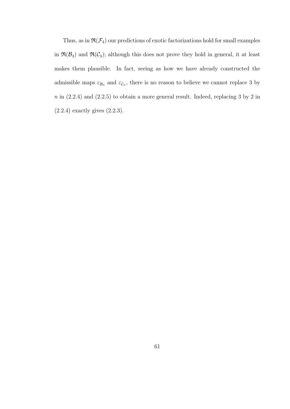Thus, as in  $\Re(\mathcal{F}_4)$  our predictions of exotic factorizations hold for small examples in  $\mathfrak{R}(\mathcal{B}_3)$  and  $\mathfrak{R}(\mathcal{C}_3)$ ; although this does not prove they hold in general, it at least makes them plausible. In fact, seeing as how we have already constructed the admissible maps  $\varepsilon_{\mathcal{B}_n}$  and  $\varepsilon_{\mathcal{C}_n}$ , there is no reason to believe we cannot replace 3 by  $n$  in  $(2.2.4)$  and  $(2.2.5)$  to obtain a more general result. Indeed, replacing 3 by 2 in (2.2.4) exactly gives (2.2.3).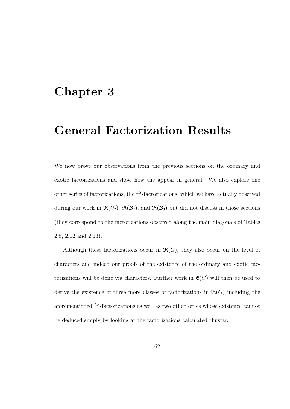## Chapter 3

## General Factorization Results

We now prove our observations from the previous sections on the ordinary and exotic factorizations and show how the appear in general. We also explore one other series of factorizations, the  $^{LS}$ -factorizations, which we have actually observed during our work in  $\mathfrak{R}(\mathcal{G}_2)$ ,  $\mathfrak{R}(\mathcal{B}_2)$ , and  $\mathfrak{R}(\mathcal{B}_3)$  but did not discuss in those sections (they correspond to the factorizations observed along the main diagonals of Tables 2.8, 2.12 and 2.13).

Although these factorizations occur in  $\mathfrak{R}(G)$ , they also occur on the level of characters and indeed our proofs of the existence of the ordinary and exotic factorizations will be done via characters. Further work in  $\mathfrak{E}(G)$  will then be used to derive the existence of three more classes of factorizations in  $\mathfrak{R}(G)$  including the aforementioned <sup>LS</sup>-factorizations as well as two other series whose existence cannot be deduced simply by looking at the factorizations calculated thusfar.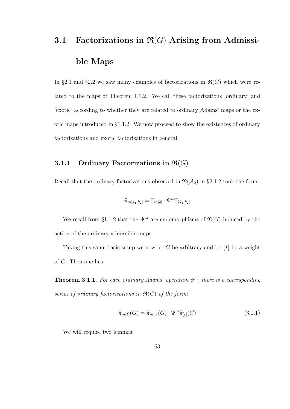# 3.1 Factorizations in  $\mathfrak{R}(G)$  Arising from Admissible Maps

In §2.1 and §2.2 we saw many examples of factorizations in  $\mathfrak{R}(G)$  which were related to the maps of Theorem 1.1.2. We call these factorizations 'ordinary' and 'exotic' according to whether they are related to ordinary Adams' maps or the exotic maps introduced in §1.1.2. We now proceed to show the existences of ordinary factorizations and exotic factorizations in general.

#### 3.1.1 Ordinary Factorizations in  $\mathfrak{R}(G)$

Recall that the ordinary factorizations observed in  $\mathfrak{R}(\mathcal{A}_2)$  in §2.1.2 took the form:

$$
\widehat{\pi}_{m[k_1,k_2]} = \widehat{\pi}_{m[\rho]} \cdot \Psi^m \widehat{\pi}_{[k_1,k_2]}
$$

We recall from §1.1.2 that the  $\Psi^m$  are endomorphisms of  $\mathfrak{R}(G)$  induced by the action of the ordinary admissible maps.

Taking this same basic setup we now let G be arbitrary and let  $[I]$  be a weight of G. Then one has:

**Theorem 3.1.1.** For each ordinary Adams' operation  $\psi^m$ , there is a corresponding series of ordinary factorizations in  $\mathfrak{R}(G)$  of the form:

$$
\widehat{\pi}_{m[I]}(G) = \widehat{\pi}_{m[\rho]}(G) \cdot \Psi^m \widehat{\pi}_{[I]}(G) \tag{3.1.1}
$$

We will require two lemmas: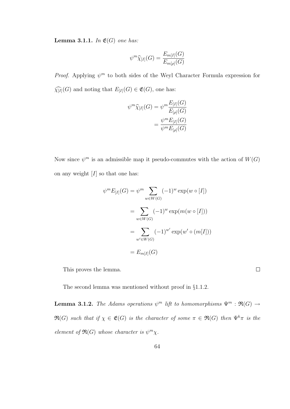**Lemma 3.1.1.** In  $\mathfrak{E}(G)$  one has:

$$
\psi^m \widehat{\chi}_{[I]}(G) = \frac{E_{m[I]}(G)}{E_{m[\rho]}(G)}
$$

*Proof.* Applying  $\psi^m$  to both sides of the Weyl Character Formula expression for  $\widehat{\chi_{[I]}}(G)$  and noting that  $E_{[I]}(G) \in \mathfrak{E}(G)$ , one has:

$$
\psi^m \widehat{\chi}_{[I]}(G) = \psi^m \frac{E_{[I]}(G)}{E_{[\rho]}(G)}
$$

$$
= \frac{\psi^m E_{[I]}(G)}{\psi^m E_{[\rho]}(G)}
$$

Now since  $\psi^m$  is an admissible map it pseudo-commutes with the action of  $W(G)$ on any weight  $[I]$  so that one has:

$$
\psi^m E_{[I]}(G) = \psi^m \sum_{w \in W(G)} (-1)^w \exp(w \circ [I])
$$
  
= 
$$
\sum_{w \in W(G)} (-1)^w \exp(m(w \circ [I]))
$$
  
= 
$$
\sum_{w' \in W(G)} (-1)^{w'} \exp(w' \circ (m[I]))
$$
  
= 
$$
E_{m[I]}(G)
$$

 $\Box$ 

This proves the lemma.

The second lemma was mentioned without proof in §1.1.2.

**Lemma 3.1.2.** The Adams operations  $\psi^m$  lift to homomorphisms  $\Psi^m$ :  $\mathfrak{R}(G) \rightarrow$  $\mathfrak{R}(G)$  such that if  $\chi \in \mathfrak{E}(G)$  is the character of some  $\pi \in \mathfrak{R}(G)$  then  $\Psi^k \pi$  is the element of  $\mathfrak{R}(G)$  whose character is  $\psi^m \chi$ .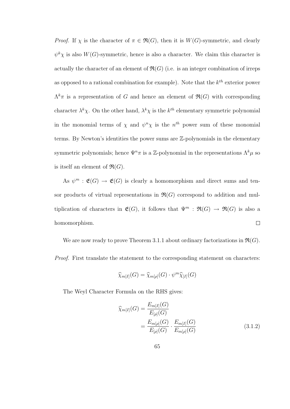*Proof.* If  $\chi$  is the character of  $\pi \in \mathfrak{R}(G)$ , then it is  $W(G)$ -symmetric, and clearly  $\psi^k \chi$  is also  $W(G)$ -symmetric, hence is also a character. We claim this character is actually the character of an element of  $\mathfrak{R}(G)$  (i.e. is an integer combination of irreps as opposed to a rational combination for example). Note that the  $k^{th}$  exterior power  $\Lambda^k \pi$  is a representation of G and hence an element of  $\mathfrak{R}(G)$  with corresponding character  $\lambda^k \chi$ . On the other hand,  $\lambda^k \chi$  is the  $k^{th}$  elementary symmetric polynomial in the monomial terms of  $\chi$  and  $\psi^n \chi$  is the  $n^{th}$  power sum of these monomial terms. By Newton's identities the power sums are Z-polynomials in the elementary symmetric polynomials; hence  $\Psi^n \pi$  is a Z-polynomial in the representations  $\Lambda^k \mu$  so is itself an element of  $\mathfrak{R}(G)$ .

As  $\psi^m : \mathfrak{E}(G) \to \mathfrak{E}(G)$  is clearly a homomorphism and direct sums and tensor products of virtual representations in  $\mathfrak{R}(G)$  correspond to addition and multiplication of characters in  $\mathfrak{E}(G)$ , it follows that  $\Psi^m$ :  $\mathfrak{R}(G) \to \mathfrak{R}(G)$  is also a  $\Box$ homomorphism.

We are now ready to prove Theorem 3.1.1 about ordinary factorizations in  $\mathfrak{R}(G)$ . Proof. First translate the statement to the corresponding statement on characters:

$$
\widehat{\chi}_{m[I]}(G) = \widehat{\chi}_{m[\rho]}(G) \cdot \psi^m \widehat{\chi}_{[I]}(G)
$$

The Weyl Character Formula on the RHS gives:

$$
\widehat{\chi}_{m[I]}(G) = \frac{E_{m[I]}(G)}{E_{[\rho]}(G)} \n= \frac{E_{m[\rho]}(G)}{E_{[\rho]}(G)} \cdot \frac{E_{m[I]}(G)}{E_{m[\rho]}(G)} \tag{3.1.2}
$$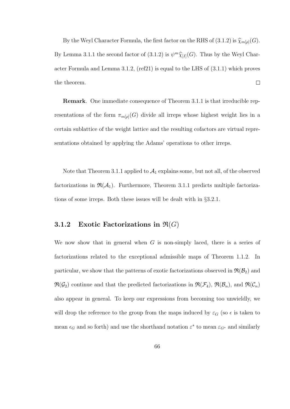By the Weyl Character Formula, the first factor on the RHS of (3.1.2) is  $\widehat{\chi}_{m[\rho]}(G)$ . By Lemma 3.1.1 the second factor of (3.1.2) is  $\psi^m \hat{\chi}_{[I]}(G)$ . Thus by the Weyl Character Formula and Lemma 3.1.2, (ref21) is equal to the LHS of (3.1.1) which proves the theorem.  $\Box$ 

Remark. One immediate consequence of Theorem 3.1.1 is that irreducible representations of the form  $\pi_{m[\rho]}(G)$  divide all irreps whose highest weight lies in a certain sublattice of the weight lattice and the resulting cofactors are virtual representations obtained by applying the Adams' operations to other irreps.

Note that Theorem 3.1.1 applied to  $A_1$  explains some, but not all, of the observed factorizations in  $\mathfrak{R}(\mathcal{A}_1)$ . Furthermore, Theorem 3.1.1 predicts multiple factorizations of some irreps. Both these issues will be dealt with in §3.2.1.

#### 3.1.2 Exotic Factorizations in  $\mathfrak{R}(G)$

We now show that in general when  $G$  is non-simply laced, there is a series of factorizations related to the exceptional admissible maps of Theorem 1.1.2. In particular, we show that the patterns of exotic factorizations observed in  $\mathfrak{R}(\mathcal{B}_2)$  and  $\mathfrak{R}(\mathcal{G}_2)$  continue and that the predicted factorizations in  $\mathfrak{R}(\mathcal{F}_4)$ ,  $\mathfrak{R}(\mathcal{B}_n)$ , and  $\mathfrak{R}(\mathcal{C}_n)$ also appear in general. To keep our expressions from becoming too unwieldly, we will drop the reference to the group from the maps induced by  $\varepsilon_G$  (so  $\epsilon$  is taken to mean  $\epsilon_G$  and so forth) and use the shorthand notation  $\varepsilon^*$  to mean  $\varepsilon_{G^*}$  and similarly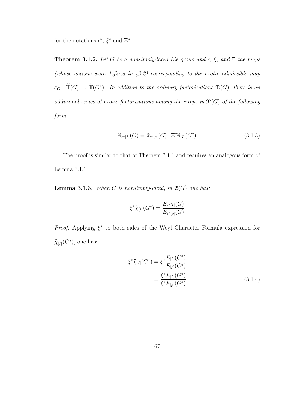for the notations  $\epsilon^*, \xi^*$  and  $\Xi^*.$ 

**Theorem 3.1.2.** Let G be a nonsimply-laced Lie group and  $\epsilon$ ,  $\xi$ , and  $\Xi$  the maps (whose actions were defined in  $\S 2.2$ ) corresponding to the exotic admissible map  $\varepsilon_G : \widetilde{\mathbb{T}}(G) \to \widetilde{\mathbb{T}}(G^*)$ . In addition to the ordinary factorizations  $\mathfrak{R}(G)$ , there is an additional series of exotic factorizations among the irreps in  $\mathfrak{R}(G)$  of the following form:

$$
\widehat{\pi}_{\epsilon^*[I]}(G) = \widehat{\pi}_{\epsilon^*[{\rho}]}(G) \cdot \Xi^* \widehat{\pi}_{[I]}(G^*)
$$
\n(3.1.3)

The proof is similar to that of Theorem 3.1.1 and requires an analogous form of Lemma 3.1.1.

**Lemma 3.1.3.** When G is nonsimply-laced, in  $\mathfrak{E}(G)$  one has:

$$
\xi^* \widehat{\chi}_{[I]}(G^*) = \frac{E_{\epsilon^*[I]}(G)}{E_{\epsilon^*[{\rho}]}(G)}
$$

*Proof.* Applying  $\xi^*$  to both sides of the Weyl Character Formula expression for  $\widehat{\chi}_{[I]}(G^*),$  one has:

$$
\xi^* \widehat{\chi}_{[I]}(G^*) = \xi^* \frac{E_{[I]}(G^*)}{E_{[\rho]}(G^*)}
$$
  
= 
$$
\frac{\xi^* E_{[I]}(G^*)}{\xi^* E_{[\rho]}(G^*)}
$$
(3.1.4)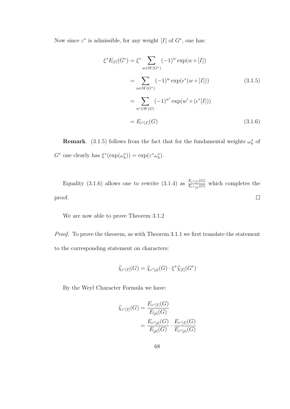Now since  $\varepsilon^*$  is admissible, for any weight [I] of  $G^*$ , one has:

$$
\xi^* E_{[I]}(G^*) = \xi^* \sum_{w \in W(G^*)} (-1)^w \exp(w \circ [I])
$$
  
= 
$$
\sum_{w \in W(G^*)} (-1)^w \exp(\epsilon^*(w \circ [I]))
$$
(3.1.5)  
= 
$$
\sum_{w' \in W(G)} (-1)^{w'} \exp(w' \circ (\epsilon^*[I]))
$$
  
= 
$$
E_{\epsilon^*[I]}(G)
$$
(3.1.6)

**Remark.** (3.1.5) follows from the fact that for the fundamental weights  $\omega_k^*$  of  $G^*$  one clearly has  $\xi^*(\exp(\omega_k^*)) = \exp(\varepsilon^* \omega_k^*)$ .

Equality (3.1.6) allows one to rewrite (3.1.4) as  $\frac{E_{e^*[I]}(G)}{E_{ext}(G)}$  $\frac{E_{\epsilon^*[I]}(G)}{E_{\epsilon^*[{\rho}]}(G)}$  which completes the  $\Box$ proof.

We are now able to prove Theorem 3.1.2

Proof. To prove the theorem, as with Theorem 3.1.1 we first translate the statement to the corresponding statement on characters:

$$
\widehat{\chi}_{\epsilon^*[I]}(G) = \widehat{\chi}_{\epsilon^*[{\rho}]}(G) \cdot \xi^* \widehat{\chi}_{[I]}(G^*)
$$

By the Weyl Character Formula we have:

$$
\widehat{\chi}_{\epsilon^*[I]}(G) = \frac{E_{\epsilon^*[I]}(G)}{E_{[\rho]}(G)}
$$

$$
= \frac{E_{\epsilon^*[{\rho}]}(G)}{E_{[\rho]}(G)} \cdot \frac{E_{\epsilon^*[I]}(G)}{E_{\epsilon^*[{\rho}]}(G)}
$$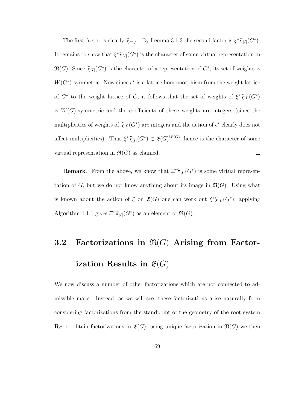The first factor is clearly  $\hat{\chi}_{\epsilon^*[\rho]}$ . By Lemma 3.1.3 the second factor is  $\xi^*\hat{\chi}_{[I]}(G^*)$ . It remains to show that  $\xi^* \widehat{\chi}_{[I]}(G^*)$  is the character of some virtual representation in  $\Re(G)$ . Since  $\widehat{\chi}_{[I]}(G^*)$  is the character of a representation of  $G^*$ , its set of weights is  $W(G^*)$ -symmetric. Now since  $\epsilon^*$  is a lattice homomorphism from the weight lattice of  $G^*$  to the weight lattice of G, it follows that the set of weights of  $\xi^* \widehat{\chi}_{[I]}(G^*)$ is  $W(G)$ -symmetric and the coefficients of these weights are integers (since the multiplicities of weights of  $\widehat{\chi}_{[I]}(G^*)$  are integers and the action of  $\epsilon^*$  clearly does not affect multiplicities). Thus  $\xi^* \widehat{\chi}_{[I]}(G^*) \in \mathfrak{E}(G)^{W(G)}$ , hence is the character of some virtual representation in  $\mathfrak{R}(G)$  as claimed.  $\Box$ 

**Remark**. From the above, we know that  $\Xi^*\hat{\pi}_{[I]}(G^*)$  is some virtual representation of G, but we do not know anything about its image in  $\mathfrak{R}(G)$ . Using what is known about the action of  $\xi$  on  $\mathfrak{E}(G)$  one can work out  $\xi^*\widehat{\chi}_{[I]}(G^*)$ ; applying Algorithm 1.1.1 gives  $\Xi^*\widehat{\pi}_{[I]}(G^*)$  as an element of  $\mathfrak{R}(G)$ .

## 3.2 Factorizations in  $\mathfrak{R}(G)$  Arising from Factorization Results in  $\mathfrak{E}(G)$

We now discuss a number of other factorizations which are not connected to admissible maps. Instead, as we will see, these factorizations arise naturally from considering factorizations from the standpoint of the geometry of the root system  $\mathbf{R}_{\mathbf{G}}$  to obtain factorizations in  $\mathfrak{E}(G)$ ; using unique factorization in  $\mathfrak{R}(G)$  we then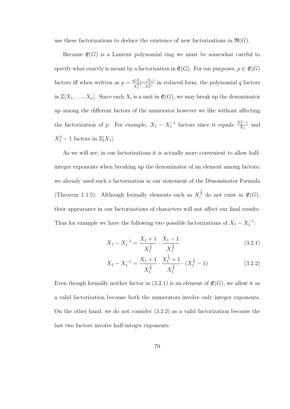use these factorizations to deduce the existence of new factorizations in  $\mathfrak{R}(G)$ .

Because  $\mathfrak{E}(G)$  is a Laurent polynomial ring we must be somewhat careful to specify what exactly is meant by a factorization in  $\mathfrak{E}(G)$ . For our purposes,  $p \in \mathfrak{E}(G)$ factors iff when written as  $p = \frac{q(X_1,...,X_n)}{X_1^k}$  $\frac{N(X_1,...,X_n)}{X_1^{k_1}...X_n^{k_n}}$  in reduced form, the polynomial q factors in  $\mathbb{Z}[X_1,\ldots,X_n]$ . Since each  $X_i$  is a unit in  $\mathfrak{E}(G)$ , we may break up the denominator up among the different factors of the numerator however we like without affecting the factorization of p. For example,  $X_1 - X_1^{-1}$  factors since it equals  $\frac{X_1^2 - 1}{X_1}$  $\frac{x_1-1}{X_1}$  and  $X_1^2 - 1$  factors in  $\mathbb{Z}[X_1]$ .

As we will see, in our factorizations it is actually more convenient to allow halfinteger exponents when breaking up the denominator of an element among factors; we already used such a factorization in our statement of the Denominator Formula (Theorem 1.1.5). Although formally elements such as  $X_i^{\frac{1}{2}}$  do not exist in  $\mathfrak{E}(G)$ , their appearance in our factorizations of characters will not affect our final results. Thus for example we have the following two possible factorizations of  $X_1 - X_1^{-1}$ :

$$
X_1 - X_1^{-1} = \frac{X_1 + 1}{X_1^{\frac{1}{2}}} \cdot \frac{X_1 - 1}{X_1^{\frac{1}{2}}} \tag{3.2.1}
$$

$$
X_1 - X_1^{-1} = \frac{X_1 + 1}{X_1^{\frac{1}{2}}} \cdot \frac{X_1^{\frac{1}{2}} + 1}{X_1^{\frac{1}{2}}} \cdot (X_1^{\frac{1}{2}} - 1)
$$
 (3.2.2)

Even though formally neither factor in  $(3.2.1)$  is an element of  $\mathfrak{E}(G)$ , we allow it as a valid factorization because both the numerators involve only integer exponents. On the other hand, we do not consider (3.2.2) as a valid factorization because the last two factors involve half-integer exponents.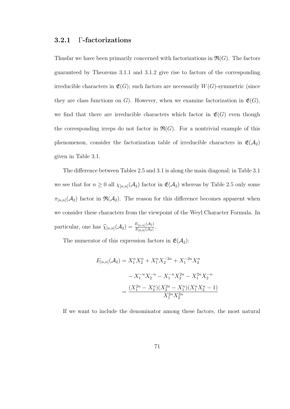#### 3.2.1 Γ-factorizations

Thusfar we have been primarily concerned with factorizations in  $\mathfrak{R}(G)$ . The factors guaranteed by Theorems 3.1.1 and 3.1.2 give rise to factors of the corresponding irreducible characters in  $\mathfrak{E}(G)$ ; such factors are necessarily  $W(G)$ -symmetric (since they are class functions on G). However, when we examine factorization in  $\mathfrak{E}(G)$ , we find that there are irreducible characters which factor in  $\mathfrak{E}(G)$  even though the corresponding irreps do not factor in  $\mathfrak{R}(G)$ . For a nontrivial example of this phenomenon, consider the factorization table of irreducible characters in  $\mathfrak{E}(\mathcal{A}_2)$ given in Table 3.1.

The difference between Tables 2.5 and 3.1 is along the main diagonal; in Table 3.1 we see that for  $n \geq 0$  all  $\chi_{[n,n]}(\mathcal{A}_2)$  factor in  $\mathfrak{E}(\mathcal{A}_2)$  whereas by Table 2.5 only some  $\pi_{[n,n]}(\mathcal{A}_2)$  factor in  $\mathfrak{R}(\mathcal{A}_2)$ . The reason for this difference becomes apparent when we consider these characters from the viewpoint of the Weyl Character Formula. In particular, one has  $\hat{\chi}_{[n,n]}(\mathcal{A}_2) = \frac{E_{[n,n]}(\mathcal{A}_2)}{E_{[0,0]}(\mathcal{A}_2)}$  $\frac{E_{[n,n]}({\cal A}_2)}{E_{[0,0]}({\cal A}_2)}$  .

The numerator of this expression factors in  $\mathfrak{E}(\mathcal{A}_2)$ :

$$
E_{[n,n]}(\mathcal{A}_2) = X_1^n X_2^n + X_1^n X_2^{-2n} + X_1^{-2n} X_2^n
$$

$$
- X_1^{-n} X_2^{-n} - X_1^{-n} X_2^{2n} - X_1^{2n} X_2^{-n}
$$

$$
= \frac{(X_1^{2n} - X_2^n)(X_2^{2n} - X_1^n)(X_1^n X_2^n - 1)}{X_1^{2n} X_2^{2n}}
$$

If we want to include the denominator among these factors, the most natural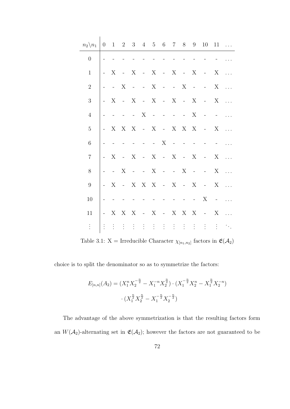| $n_2 \backslash n_1$ | $\overline{0}$                  |                  |                         |                          |        | $1 \t2 \t3 \t4 \t5 \t6 \t7 \t8 \t9$ |                          |            |            |                | 10                                                                                                                                                                                                                                                                                                                                                                                                                                                                              | 11                      | $\ldots$                                  |
|----------------------|---------------------------------|------------------|-------------------------|--------------------------|--------|-------------------------------------|--------------------------|------------|------------|----------------|---------------------------------------------------------------------------------------------------------------------------------------------------------------------------------------------------------------------------------------------------------------------------------------------------------------------------------------------------------------------------------------------------------------------------------------------------------------------------------|-------------------------|-------------------------------------------|
| $\overline{0}$       |                                 |                  |                         |                          |        |                                     |                          |            |            |                |                                                                                                                                                                                                                                                                                                                                                                                                                                                                                 |                         |                                           |
| $\mathbf{1}$         |                                 | $\boldsymbol{X}$ | $-X$                    |                          |        | $-X$ - X - X                        |                          |            |            |                | $\overline{\mathbf{X}}$                                                                                                                                                                                                                                                                                                                                                                                                                                                         |                         |                                           |
| $\overline{2}$       |                                 | $\sim 10^{-11}$  | $\mathbf X$             |                          |        | $  X$ $  X$                         |                          |            |            |                | $  X$                                                                                                                                                                                                                                                                                                                                                                                                                                                                           |                         | $\ldots$                                  |
| $\mathfrak{Z}$       | $\frac{1}{2}$ and $\frac{1}{2}$ | X                | $- X$                   |                          |        | $-X-X-X-X$                          |                          |            |            |                | $- X$                                                                                                                                                                                                                                                                                                                                                                                                                                                                           |                         | $\ldots$                                  |
| $\overline{4}$       |                                 |                  |                         |                          |        |                                     |                          |            |            | X              | $\alpha$ and $\alpha$ and $\alpha$                                                                                                                                                                                                                                                                                                                                                                                                                                              |                         | $\dddotsc$                                |
| $\overline{5}$       |                                 |                  |                         |                          |        |                                     |                          |            |            |                | - X X X - X - X X X - X                                                                                                                                                                                                                                                                                                                                                                                                                                                         |                         | $\sim$                                    |
| $\,$ 6 $\,$          |                                 |                  | $\omega_{\rm{max}}=0.1$ |                          |        | $   X$ $-$                          |                          |            |            | $\equiv$       |                                                                                                                                                                                                                                                                                                                                                                                                                                                                                 |                         |                                           |
| $\overline{7}$       |                                 | X                | $-X$                    |                          |        | - X - X - X                         |                          |            |            |                | $\overline{\phantom{a}}$ $\overline{\phantom{a}}$ $\overline{\phantom{a}}$ $\overline{\phantom{a}}$ $\overline{\phantom{a}}$ $\overline{\phantom{a}}$ $\overline{\phantom{a}}$ $\overline{\phantom{a}}$ $\overline{\phantom{a}}$ $\overline{\phantom{a}}$ $\overline{\phantom{a}}$ $\overline{\phantom{a}}$ $\overline{\phantom{a}}$ $\overline{\phantom{a}}$ $\overline{\phantom{a}}$ $\overline{\phantom{a}}$ $\overline{\phantom{a}}$ $\overline{\phantom{a}}$ $\overline{\$ |                         |                                           |
| 8                    |                                 | $\sim 10^{-10}$  | $\mathbf X$             |                          |        | $  X$ $  X$                         |                          |            |            |                | $\alpha$ and $\alpha$ and $\alpha$                                                                                                                                                                                                                                                                                                                                                                                                                                              | $\mathbf X$             | $\sim$ .                                  |
| $\boldsymbol{9}$     |                                 | $- X$            |                         |                          |        | - X X X - X - X                     |                          |            |            |                | $- X$                                                                                                                                                                                                                                                                                                                                                                                                                                                                           |                         | $\sim$                                    |
| 10                   |                                 |                  |                         | $\overline{\phantom{a}}$ | $\sim$ | $\overline{a}$                      | $\overline{\phantom{a}}$ | $\sim$ $-$ | $\sim$ $-$ | $\sim 10^{-1}$ | X                                                                                                                                                                                                                                                                                                                                                                                                                                                                               | $\alpha_{\rm{max}}=0.1$ | $\ldots$                                  |
| 11                   | $\omega_{\rm{max}}$             |                  | X X X                   |                          |        | - $X$ - $X$ $X$ $X$                 |                          |            |            |                | $\sim 10^{-10}$                                                                                                                                                                                                                                                                                                                                                                                                                                                                 | X                       | $\ddotsc$                                 |
|                      | $\vdots$                        | $\ddot{\cdot}$   |                         |                          |        |                                     |                          |            |            |                |                                                                                                                                                                                                                                                                                                                                                                                                                                                                                 |                         | $\mathcal{F}_{\mathcal{F}_{\mathcal{A}}}$ |

Table 3.1:  $X = \text{Irreducible Character } \chi_{[n_1,n_2]}$  factors in  $\mathfrak{E}(\mathcal{A}_2)$ 

choice is to split the denominator so as to symmetrize the factors:

$$
E_{[n,n]}(A_2) = (X_1^n X_2^{-\frac{n}{2}} - X_1^{-n} X_2^{\frac{n}{2}}) \cdot (X_1^{-\frac{n}{2}} X_2^n - X_1^{\frac{n}{2}} X_2^{-n})
$$

$$
\cdot (X_1^{\frac{n}{2}} X_2^{\frac{n}{2}} - X_1^{-\frac{n}{2}} X_2^{-\frac{n}{2}})
$$

The advantage of the above symmetrization is that the resulting factors form an  $W(\mathcal{A}_2)$ -alternating set in  $\mathfrak{E}(\mathcal{A}_2)$ ; however the factors are not guaranteed to be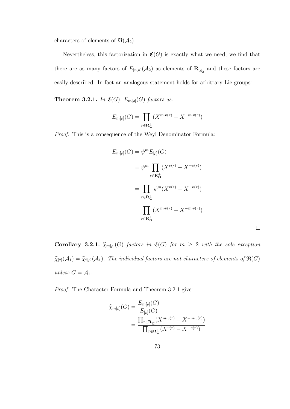characters of elements of  $\mathfrak{R}(\mathcal{A}_2)$ .

Nevertheless, this factorization in  $\mathfrak{E}(G)$  is exactly what we need; we find that there are as many factors of  $E_{[n,n]}(\mathcal{A}_2)$  as elements of  $\mathbb{R}^+_{\mathcal{A}_2}$  and these factors are easily described. In fact an analogous statement holds for arbitrary Lie groups:

**Theorem 3.2.1.** In  $\mathfrak{E}(G)$ ,  $E_{m[\rho]}(G)$  factors as:

$$
E_{m[\rho]}(G) = \prod_{r \in \mathbf{R}_{\mathbf{G}}^+} (X^{m \cdot v(r)} - X^{-m \cdot v(r)})
$$

Proof. This is a consequence of the Weyl Denominator Formula:

$$
E_{m[\rho]}(G) = \psi^m E_{[\rho]}(G)
$$
  
= 
$$
\psi^m \prod_{r \in \mathbf{R}_{\mathbf{G}}^+} (X^{v(r)} - X^{-v(r)})
$$
  
= 
$$
\prod_{r \in \mathbf{R}_{\mathbf{G}}^+} \psi^m (X^{v(r)} - X^{-v(r)})
$$
  
= 
$$
\prod_{r \in \mathbf{R}_{\mathbf{G}}^+} (X^{m \cdot v(r)} - X^{-m \cdot v(r)})
$$

Corollary 3.2.1.  $\widehat{\chi}_{m[\rho]}(G)$  factors in  $\mathfrak{E}(G)$  for  $m \geq 2$  with the sole exception  $\widehat{\chi}_{[2]}(\mathcal{A}_1) = \widehat{\chi}_{2[\rho]}(\mathcal{A}_1)$ . The individual factors are not characters of elements of  $\mathfrak{R}(G)$ unless  $G = A_1$ .

Proof. The Character Formula and Theorem 3.2.1 give:

$$
\widehat{\chi}_{m[\rho]}(G) = \frac{E_{m[\rho]}(G)}{E_{[\rho]}(G)}
$$
  
= 
$$
\frac{\prod_{r \in \mathbf{R}_{\mathbf{G}}^{+}} (X^{m \cdot v(r)} - X^{-m \cdot v(r)})}{\prod_{r \in \mathbf{R}_{\mathbf{G}}^{+}} (X^{v(r)} - X^{-v(r)})}
$$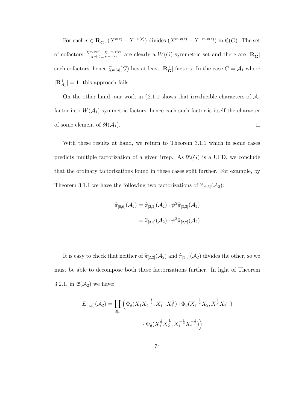For each  $r \in \mathbf{R}_{\mathbf{G}}^+$ ,  $(X^{v(r)} - X^{-v(r)})$  divides  $(X^{m \cdot v(r)} - X^{-m \cdot v(r)})$  in  $\mathfrak{E}(G)$ . The set of cofactors  $\frac{X^{m\cdot v(r)}-X^{-m\cdot v(r)}}{X^{v(r)}-X^{-v(r)}}$  are clearly a  $W(G)$ -symmetric set and there are  $|\mathbf{R_G^+}|$ such cofactors, hence  $\widehat{\chi}_{m[\rho]}(G)$  has at least  $|\mathbf{R}_{\mathbf{G}}^{+}|$  factors. In the case  $G = \mathcal{A}_1$  where  $|\mathbf{R}_{\mathcal{A}_1}^+| = 1$ , this approach fails.

On the other hand, our work in §2.1.1 shows that irreducible characters of  $\mathcal{A}_1$ factor into  $W(\mathcal{A}_1)$ -symmetric factors, hence each such factor is itself the character  $\Box$ of some element of  $\mathfrak{R}(\mathcal{A}_1)$ .

With these results at hand, we return to Theorem 3.1.1 which in some cases predicts multiple factorization of a given irrep. As  $\mathfrak{R}(G)$  is a UFD, we conclude that the ordinary factorizations found in these cases split further. For example, by Theorem 3.1.1 we have the following two factorizations of  $\hat{\pi}_{[6,6]}(\mathcal{A}_2)$ :

$$
\widehat{\pi}_{[6,6]}(\mathcal{A}_2) = \widehat{\pi}_{[2,2]}(\mathcal{A}_2) \cdot \psi^2 \widehat{\pi}_{[3,3]}(\mathcal{A}_2)
$$

$$
= \widehat{\pi}_{[3,3]}(\mathcal{A}_2) \cdot \psi^3 \widehat{\pi}_{[2,2]}(\mathcal{A}_2)
$$

It is easy to check that neither of  $\widehat{\pi}_{[2,2]}(\mathcal{A}_2)$  and  $\widehat{\pi}_{[3,3]}(\mathcal{A}_2)$  divides the other, so we must be able to decompose both these factorizations further. In light of Theorem 3.2.1, in  $\mathfrak{E}(\mathcal{A}_2)$  we have:

$$
E_{[n,n]}(\mathcal{A}_2) = \prod_{d|n} \left( \Phi_d(X_1 X_2^{-\frac{1}{2}}, X_1^{-1} X_2^{\frac{1}{2}}) \cdot \Phi_d(X_1^{-\frac{1}{2}} X_2, X_1^{\frac{1}{2}} X_2^{-1}) \right)
$$

$$
\cdot \Phi_d(X_1^{\frac{1}{2}} X_2^{\frac{1}{2}}, X_1^{-\frac{1}{2}} X_2^{-\frac{1}{2}}) \right)
$$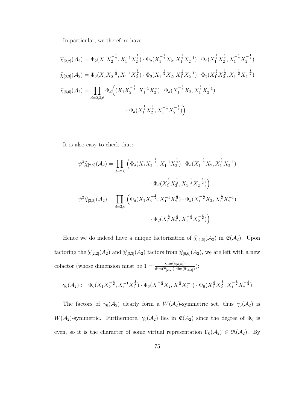In particular, we therefore have:

$$
\widehat{\chi}_{[2,2]}(\mathcal{A}_2) = \Phi_2(X_1 X_2^{-\frac{1}{2}}, X_1^{-1} X_2^{\frac{1}{2}}) \cdot \Phi_2(X_1^{-\frac{1}{2}} X_2, X_1^{\frac{1}{2}} X_2^{-1}) \cdot \Phi_2(X_1^{\frac{1}{2}} X_2^{\frac{1}{2}}, X_1^{-\frac{1}{2}} X_2^{-\frac{1}{2}})
$$
  

$$
\widehat{\chi}_{[3,3]}(\mathcal{A}_2) = \Phi_3(X_1 X_2^{-\frac{1}{2}}, X_1^{-1} X_2^{\frac{1}{2}}) \cdot \Phi_3(X_1^{-\frac{1}{2}} X_2, X_1^{\frac{1}{2}} X_2^{-1}) \cdot \Phi_3(X_1^{\frac{1}{2}} X_2^{\frac{1}{2}}, X_1^{-\frac{1}{2}} X_2^{-\frac{1}{2}})
$$
  

$$
\widehat{\chi}_{[6,6]}(\mathcal{A}_2) = \prod_{d=2,3,6} \Phi_d((X_1 X_2^{-\frac{1}{2}}, X_1^{-1} X_2^{\frac{1}{2}}) \cdot \Phi_d(X_1^{-\frac{1}{2}} X_2, X_1^{\frac{1}{2}} X_2^{-1})
$$
  

$$
\cdot \Phi_d(X_1^{\frac{1}{2}} X_2^{\frac{1}{2}}, X_1^{-\frac{1}{2}} X_2^{-\frac{1}{2}}))
$$

It is also easy to check that:

$$
\psi^3 \widehat{\chi}_{[2,2]}(\mathcal{A}_2) = \prod_{d=2,6} \left( \Phi_d(X_1 X_2^{-\frac{1}{2}}, X_1^{-1} X_2^{\frac{1}{2}}) \cdot \Phi_d(X_1^{-\frac{1}{2}} X_2, X_1^{\frac{1}{2}} X_2^{-1}) \right)
$$
  

$$
\cdot \Phi_d(X_1^{\frac{1}{2}} X_2^{\frac{1}{2}}, X_1^{-\frac{1}{2}} X_2^{-\frac{1}{2}}) \right)
$$
  

$$
\psi^2 \widehat{\chi}_{[3,3]}(\mathcal{A}_2) = \prod_{d=3,6} \left( \Phi_d(X_1 X_2^{-\frac{1}{2}}, X_1^{-1} X_2^{\frac{1}{2}}) \cdot \Phi_d(X_1^{-\frac{1}{2}} X_2, X_1^{\frac{1}{2}} X_2^{-1}) \right)
$$
  

$$
\cdot \Phi_d(X_1^{\frac{1}{2}} X_2^{\frac{1}{2}}, X_1^{-\frac{1}{2}} X_2^{-\frac{1}{2}}) \right)
$$

Hence we do indeed have a unique factorization of  $\widehat{\chi}_{[6,6]}(\mathcal{A}_2)$  in  $\mathfrak{E}(\mathcal{A}_2)$ . Upon factoring the  $\widehat{\chi}_{[2,2]}(A_2)$  and  $\widehat{\chi}_{[3,3]}(A_2)$  factors from  $\widehat{\chi}_{[6,6]}(A_2)$ , we are left with a new cofactor (whose dimension must be  $1 = \frac{\dim(\widehat{\pi}_{[6,6]})}{\dim(\widehat{\pi}_{[6,6]})\dim(\widehat{\pi}_{[6,6]})}$  $\frac{\dim(\pi_{[6,6]})}{\dim(\widehat{\pi}_{[2,2]})\cdot \dim(\widehat{\pi}_{[3,3]})}$ ):

$$
\gamma_6(\mathcal{A}_2):=\Phi_6(X_1X_2^{-\frac{1}{2}},X_1^{-1}X_2^{\frac{1}{2}})\cdot\allowbreak\Phi_6(X_1^{-\frac{1}{2}}X_2,X_1^{\frac{1}{2}}X_2^{-1})\cdot\allowbreak\Phi_6(X_1^{\frac{1}{2}}X_2^{\frac{1}{2}},X_1^{-\frac{1}{2}}X_2^{-\frac{1}{2}})
$$

The factors of  $\gamma_6(\mathcal{A}_2)$  clearly form a  $W(\mathcal{A}_2)$ -symmetric set, thus  $\gamma_6(\mathcal{A}_2)$  is W( $\mathcal{A}_2$ )-symmetric. Furthermore,  $\gamma_6(\mathcal{A}_2)$  lies in  $\mathfrak{E}(A_2)$  since the degree of  $\Phi_6$  is even, so it is the character of some virtual representation  $\Gamma_6(\mathcal{A}_2) \in \mathfrak{R}(\mathcal{A}_2)$ . By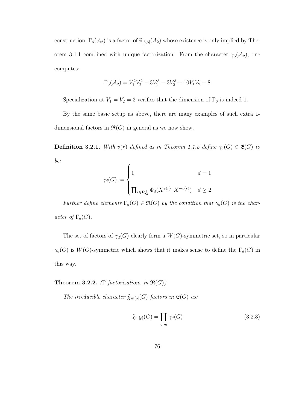construction,  $\Gamma_6(\mathcal{A}_2)$  is a factor of  $\widehat{\pi}_{[6,6]}(\mathcal{A}_2)$  whose existence is only implied by Theorem 3.1.1 combined with unique factorization. From the character  $\gamma_6(\mathcal{A}_2)$ , one computes:

$$
\Gamma_6(\mathcal{A}_2)=V_1^2V_2^2-3V_1^3-3V_2^3+10V_1V_2-8
$$

Specialization at  $V_1 = V_2 = 3$  verifies that the dimension of  $\Gamma_6$  is indeed 1.

By the same basic setup as above, there are many examples of such extra 1 dimensional factors in  $\mathfrak{R}(G)$  in general as we now show.

**Definition 3.2.1.** With  $v(r)$  defined as in Theorem 1.1.5 define  $\gamma_d(G) \in \mathfrak{E}(G)$  to be:

$$
\gamma_d(G) := \begin{cases} 1 & d = 1 \\ \prod_{r \in \mathbf{R}_\mathbf{G}^+} \Phi_d(X^{v(r)}, X^{-v(r)}) & d \ge 2 \end{cases}
$$

Further define elements  $\Gamma_d(G) \in \mathfrak{R}(G)$  by the condition that  $\gamma_d(G)$  is the character of  $\Gamma_d(G)$ .

The set of factors of  $\gamma_d(G)$  clearly form a  $W(G)$ -symmetric set, so in particular  $\gamma_d(G)$  is  $W(G)$ -symmetric which shows that it makes sense to define the  $\Gamma_d(G)$  in this way.

#### **Theorem 3.2.2.** (Γ-factorizations in  $\Re(G)$ )

The irreducible character  $\widehat{\chi}_{m[\rho]}(G)$  factors in  $\mathfrak{E}(G)$  as:

$$
\widehat{\chi}_{m[\rho]}(G) = \prod_{d|m} \gamma_d(G) \tag{3.2.3}
$$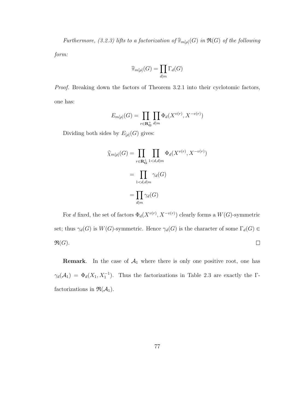Furthermore, (3.2.3) lifts to a factorization of  $\widehat{\pi}_{m[p]}(G)$  in  $\mathfrak{R}(G)$  of the following

form:

$$
\widehat{\pi}_{m[\rho]}(G) = \prod_{d|m} \Gamma_d(G)
$$

Proof. Breaking down the factors of Theorem 3.2.1 into their cyclotomic factors, one has:

$$
E_{m[\rho]}(G) = \prod_{r \in \mathbf{R}_{\mathbf{G}}^+} \prod_{d|m} \Phi_d(X^{v(r)}, X^{-v(r)})
$$

Dividing both sides by  $E_{[\rho]}(G)$  gives:

$$
\widehat{\chi}_{m[\rho]}(G) = \prod_{r \in \mathbf{R}_{\mathbf{G}}^+} \prod_{1 < d, d|m} \Phi_d(X^{v(r)}, X^{-v(r)})
$$
\n
$$
= \prod_{1 < d, d|m} \gamma_d(G)
$$
\n
$$
= \prod_{d|m} \gamma_d(G)
$$

For d fixed, the set of factors  $\Phi_d(X^{v(r)}, X^{-v(r)})$  clearly forms a  $W(G)$ -symmetric set; thus  $\gamma_d(G)$  is  $W(G)$ -symmetric. Hence  $\gamma_d(G)$  is the character of some  $\Gamma_d(G) \in$  $\mathfrak{R}(G).$  $\Box$ 

**Remark.** In the case of  $A_1$  where there is only one positive root, one has  $\gamma_d(\mathcal{A}_1) = \Phi_d(X_1, X_1^{-1})$ . Thus the factorizations in Table 2.3 are exactly the  $\Gamma$ factorizations in  $\mathfrak{R}(\mathcal{A}_1)$ .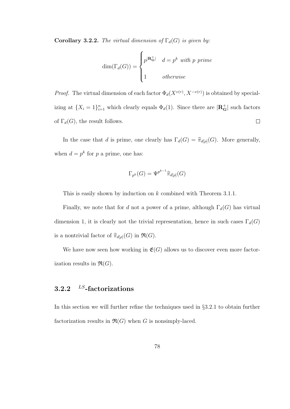Corollary 3.2.2. The virtual dimension of  $\Gamma_d(G)$  is given by:

$$
\dim(\Gamma_d(G)) = \begin{cases} p^{|\mathbf{R_G}|} & d = p^k \text{ with } p \text{ prime} \\ 1 & otherwise \end{cases}
$$

*Proof.* The virtual dimension of each factor  $\Phi_d(X^{v(r)}, X^{-v(r)})$  is obtained by specializing at  $\{X_i = 1\}_{i=1}^n$  which clearly equals  $\Phi_d(1)$ . Since there are  $|\mathbf{R}_{\mathbf{G}}^+|$  such factors of  $\Gamma_d(G)$ , the result follows.  $\Box$ 

In the case that d is prime, one clearly has  $\Gamma_d(G) = \hat{\pi}_{d[\rho]}(G)$ . More generally, when  $d = p^k$  for p a prime, one has:

$$
\Gamma_{p^k}(G) = \Psi^{p^{k-1}} \hat{\pi}_{d[p]}(G)
$$

This is easily shown by induction on k combined with Theorem 3.1.1.

Finally, we note that for d not a power of a prime, although  $\Gamma_d(G)$  has virtual dimension 1, it is clearly not the trivial representation, hence in such cases  $\Gamma_d(G)$ is a nontrivial factor of  $\widehat{\pi}_{d[\rho]}(G)$  in  $\mathfrak{R}(G)$ .

We have now seen how working in  $\mathfrak{E}(G)$  allows us to discover even more factorization results in  $\mathfrak{R}(G)$ .

## 3.2.2  $^{LS}$ -factorizations

In this section we will further refine the techniques used in §3.2.1 to obtain further factorization results in  $\mathfrak{R}(G)$  when G is nonsimply-laced.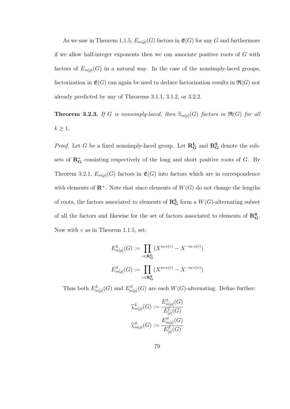As we saw in Theorem 1.1.5,  $E_{m[\rho]}(G)$  factors in  $\mathfrak{E}(G)$  for any G and furthermore if we allow half-integer exponents then we can associate positive roots of G with factors of  $E_{m[\rho]}(G)$  in a natural way. In the case of the nonsimply-laced groups, factorization in  $\mathfrak{E}(G)$  can again be used to deduce factorization results in  $\mathfrak{R}(G)$  not already predicted by any of Theorems 3.1.1, 3.1.2, or 3.2.2.

**Theorem 3.2.3.** If G is nonsimply-laced, then  $\hat{\pi}_{m[\rho]}(G)$  factors in  $\Re(G)$  for all  $k \geq 1$ .

*Proof.* Let G be a fixed nonsimply-laced group. Let  $\mathbb{R}^{\mathbf{L}}_{\mathbf{G}}$  and  $\mathbb{R}^{\mathbf{S}}_{\mathbf{G}}$  denote the subsets of  $\mathbb{R}^+_G$  consisting respectively of the long and short positive roots of G. By Theorem 3.2.1,  $E_{m[\rho]}(G)$  factors in  $\mathfrak{E}(G)$  into factors which are in correspondence with elements of  $\mathbb{R}^+$ . Note that since elements of  $W(G)$  do not change the lengths of roots, the factors associated to elements of  $\mathbf{R}^{\mathbf{L}}_{\mathbf{G}}$  form a  $W(G)$ -alternating subset of all the factors and likewise for the set of factors associated to elements of  $\mathbb{R}^S_{\mathbf{G}}$ . Now with  $v$  as in Theorem 1.1.5, set:

$$
E_{m[\rho]}^{L}(G) := \prod_{r \in \mathbf{R}_{\mathbf{G}}^{L}} (X^{m \cdot v(r)} - X^{-m \cdot v(r)})
$$

$$
E_{m[\rho]}^{S}(G) := \prod_{r \in \mathbf{R}_{\mathbf{G}}^{S}} (X^{m \cdot v(r)} - X^{-m \cdot v(r)})
$$

Thus both  $E_{m[\rho]}^L(G)$  and  $E_{m[\rho]}^S(G)$  are each  $W(G)$ -alternating. Define further:

$$
\widehat{\chi}^{L}_{m[\rho]}(G) := \frac{E^{L}_{m[\rho]}(G)}{E^{L}_{[\rho]}(G)}
$$
  

$$
\widehat{\chi}^{S}_{m[\rho]}(G) := \frac{E^{S}_{m[\rho]}(G)}{E^{S}_{[\rho]}(G)}
$$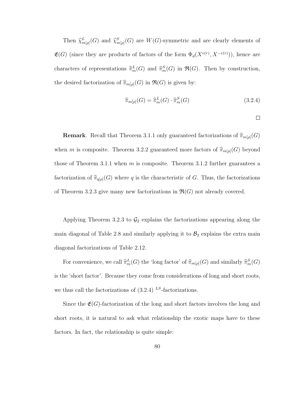Then  $\hat{\chi}_{m[\rho]}^{L}(G)$  and  $\hat{\chi}_{m[\rho]}^{S}(G)$  are  $W(G)$ -symmetric and are clearly elements of  $\mathfrak{E}(G)$  (since they are products of factors of the form  $\Phi_d(X^{v(r)}, X^{-v(r)}))$ , hence are characters of representations  $\hat{\pi}_m^L(G)$  and  $\hat{\pi}_m^S(G)$  in  $\Re(G)$ . Then by construction, the desired factorization of  $\widehat{\pi}_{m[\rho]}(G)$  in  $\mathfrak{R}(G)$  is given by:

$$
\widehat{\pi}_{m[\rho]}(G) = \widehat{\pi}_m^L(G) \cdot \widehat{\pi}_m^S(G) \tag{3.2.4}
$$

 $\Box$ 

**Remark.** Recall that Theorem 3.1.1 only guaranteed factorizations of  $\hat{\pi}_{m[\rho]}(G)$ when m is composite. Theorem 3.2.2 guaranteed more factors of  $\widehat{\pi}_{m[\rho]}(G)$  beyond those of Theorem 3.1.1 when  $m$  is composite. Theorem 3.1.2 further guarantees a factorization of  $\hat{\pi}_{q[\rho]}(G)$  where q is the characteristic of G. Thus, the factorizations of Theorem 3.2.3 give many new factorizations in  $\mathfrak{R}(G)$  not already covered.

Applying Theorem 3.2.3 to  $\mathcal{G}_2$  explains the factorizations appearing along the main diagonal of Table 2.8 and similarly applying it to  $\mathcal{B}_2$  explains the extra main diagonal factorizations of Table 2.12.

For convenience, we call  $\hat{\pi}_m^L(G)$  the 'long factor' of  $\hat{\pi}_{m[\rho]}(G)$  and similarly  $\hat{\pi}_m^S(G)$ is the 'short factor'. Because they come from considerations of long and short roots, we thus call the factorizations of  $(3.2.4)$  LS-factorizations.

Since the  $\mathfrak{E}(G)$ -factorization of the long and short factors involves the long and short roots, it is natural to ask what relationship the exotic maps have to these factors. In fact, the relationship is quite simple: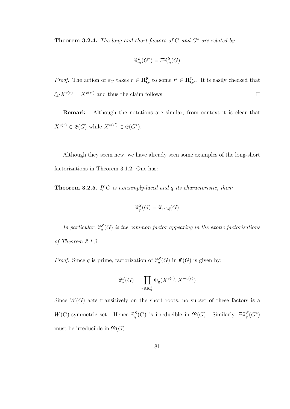**Theorem 3.2.4.** The long and short factors of G and  $G^*$  are related by:

$$
\widehat{\pi}_m^L(G^*) = \Xi \widehat{\pi}_m^S(G)
$$

*Proof.* The action of  $\varepsilon_G$  takes  $r \in \mathbb{R}^S$  to some  $r' \in \mathbb{R}^L_{G^*}$ . It is easily checked that  $\xi_G X^{v(r)} = X^{v(r')}$  and thus the claim follows  $\Box$ 

Remark. Although the notations are similar, from context it is clear that  $X^{v(r)} \in \mathfrak{E}(G)$  while  $X^{v(r')} \in \mathfrak{E}(G^*).$ 

Although they seem new, we have already seen some examples of the long-short factorizations in Theorem 3.1.2. One has:

**Theorem 3.2.5.** If G is nonsimply-laced and  $q$  its characteristic, then:

$$
\widehat{\pi}_q^S(G) = \widehat{\pi}_{\epsilon^*[p]}(G)
$$

In particular,  $\widehat{\pi}_q^S(G)$  is the common factor appearing in the exotic factorizations of Theorem 3.1.2.

*Proof.* Since q is prime, factorization of  $\hat{\pi}_q^S(G)$  in  $\mathfrak{E}(G)$  is given by:

$$
\widehat{\pi}_q^S(G) = \prod_{r \in \mathbf{R}^+_{\mathbf{S}}} \Phi_q(X^{v(r)}, X^{-v(r)})
$$

Since  $W(G)$  acts transitively on the short roots, no subset of these factors is a  $W(G)$ -symmetric set. Hence  $\hat{\pi}_q^S(G)$  is irreducible in  $\mathfrak{R}(G)$ . Similarly,  $\Xi \hat{\pi}_q^S(G^*)$ must be irreducible in  $\mathfrak{R}(G)$ .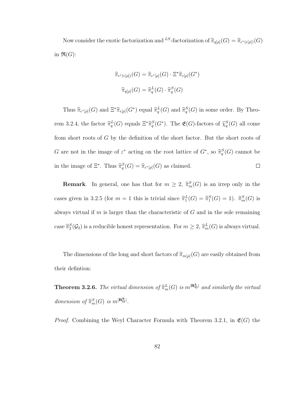Now consider the exotic factorization and <sup>LS</sup>-factorization of  $\hat{\pi}_{q[\rho]}(G) = \hat{\pi}_{\epsilon^*(\epsilon[\rho])}(G)$ in  $\Re(G)$ :

$$
\widehat{\pi}_{\epsilon^*(\epsilon[\rho])}(G) = \widehat{\pi}_{\epsilon^*[\rho]}(G) \cdot \Xi^* \widehat{\pi}_{\epsilon[\rho]}(G^*)
$$

$$
\widehat{\pi}_{q[\rho]}(G) = \widehat{\pi}_q^L(G) \cdot \widehat{\pi}_q^S(G)
$$

Thus  $\widehat{\pi}_{\epsilon^*[{\rho}]}(G)$  and  $\Xi^*\widehat{\pi}_{\epsilon[{\rho}]}(G^*)$  equal  $\widehat{\pi}_q^L(G)$  and  $\widehat{\pi}_q^S(G)$  in some order. By Theorem 3.2.4, the factor  $\hat{\pi}_q^L(G)$  equals  $\Xi^*\hat{\pi}_q^S(G^*)$ . The  $\mathfrak{E}(G)$ -factors of  $\hat{\chi}_q^S(G)$  all come from short roots of G by the definition of the short factor. But the short roots of G are not in the image of  $\varepsilon^*$  acting on the root lattice of  $G^*$ , so  $\widehat{\pi}_q^S(G)$  cannot be in the image of  $\Xi^*$ . Thus  $\widehat{\pi}_q^S(G) = \widehat{\pi}_{\epsilon^*[p]}(G)$  as claimed.  $\Box$ 

**Remark**. In general, one has that for  $m \geq 2$ ,  $\hat{\pi}_m^S(G)$  is an irrep only in the cases given in 3.2.5 (for  $m = 1$  this is trivial since  $\hat{\pi}_1^L(G) = \hat{\pi}_1^S(G) = 1$ ).  $\hat{\pi}_m^S(G)$  is always virtual if  $m$  is larger than the characteristic of  $G$  and in the sole remaining case  $\widehat{\pi}_{2}^{S}(\mathcal{G}_{2})$  is a reducible honest representation. For  $m \geq 2$ ,  $\widehat{\pi}_{m}^{L}(G)$  is always virtual.

The dimensions of the long and short factors of  $\widehat{\pi}_{m[\rho]}(G)$  are easily obtained from their defintion:

**Theorem 3.2.6.** The virtual dimension of  $\hat{\pi}_m^L(G)$  is  $m^{|\mathbf{R_G}|}$  and similarly the virtual dimension of  $\widehat{\pi}_m^S(G)$  is  $m^{\lfloor \mathbf{R}_{\mathbf{G}}^S \rfloor}$ .

*Proof.* Combining the Weyl Character Formula with Theorem 3.2.1, in  $\mathfrak{E}(G)$  the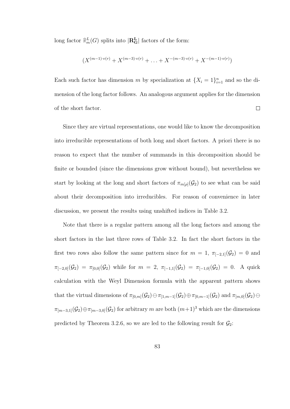long factor  $\hat{\pi}_m^L(G)$  splits into  $|\mathbf{R}_{\mathbf{G}}^{\mathbf{L}}|$  factors of the form:

$$
(X^{(m-1)\cdot v(r)} + X^{(m-3)\cdot v(r)} + \ldots + X^{-(m-3)\cdot v(r)} + X^{-(m-1)\cdot v(r)})
$$

Each such factor has dimension m by specialization at  $\{X_i = 1\}_{i=1}^n$  and so the dimension of the long factor follows. An analogous argument applies for the dimension of the short factor.  $\Box$ 

Since they are virtual representations, one would like to know the decomposition into irreducible representations of both long and short factors. A priori there is no reason to expect that the number of summands in this decomposition should be finite or bounded (since the dimensions grow without bound), but nevertheless we start by looking at the long and short factors of  $\pi_{m[\rho]}(\mathcal{G}_2)$  to see what can be said about their decomposition into irreducibles. For reason of convenience in later discussion, we present the results using unshifted indices in Table 3.2.

Note that there is a regular pattern among all the long factors and among the short factors in the last three rows of Table 3.2. In fact the short factors in the first two rows also follow the same pattern since for  $m = 1$ ,  $\pi_{[-2,1]}(\mathcal{G}_2) = 0$  and  $\pi_{[-2,0]}(\mathcal{G}_2) = \pi_{[0,0]}(\mathcal{G}_2)$  while for  $m = 2$ ,  $\pi_{[-1,1]}(\mathcal{G}_2) = \pi_{[-1,0]}(\mathcal{G}_2) = 0$ . A quick calculation with the Weyl Dimension formula with the apparent pattern shows that the virtual dimensions of  $\pi_{[0,m]}(\mathcal{G}_2) \ominus \pi_{[1,m-1]}(\mathcal{G}_2) \oplus \pi_{[0,m-1]}(\mathcal{G}_2)$  and  $\pi_{[m,0]}(\mathcal{G}_2) \ominus$  $\pi_{[m-3,1]}(\mathcal{G}_2) \oplus \pi_{[m-3,0]}(\mathcal{G}_2)$  for arbitrary m are both  $(m+1)^3$  which are the dimensions predicted by Theorem 3.2.6, so we are led to the following result for  $\mathcal{G}_2$ :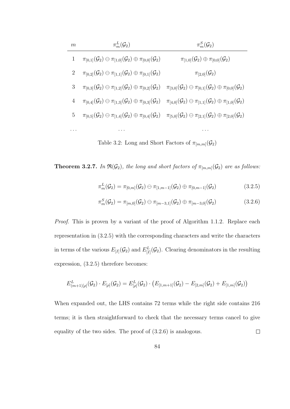| $m\,$ | $\pi_m^L(\mathcal{G}_2)$                                                                                                                                                                                | $\pi_m^S(\mathcal{G}_2)$                                                                        |
|-------|---------------------------------------------------------------------------------------------------------------------------------------------------------------------------------------------------------|-------------------------------------------------------------------------------------------------|
|       | $\pi_{[0,1]}(\mathcal{G}_2) \ominus \pi_{[1,0]}(\mathcal{G}_2) \oplus \pi_{[0,0]}(\mathcal{G}_2)$                                                                                                       | $\pi_{[1,0]}(\mathcal{G}_2) \oplus \pi_{[0,0]}(\mathcal{G}_2)$                                  |
| 2     | $\pi_{[0,2]}(\mathcal{G}_2)\ominus \pi_{[1,1]}(\mathcal{G}_2)\oplus \pi_{[0,1]}(\mathcal{G}_2)$                                                                                                         | $\pi_{[2,0]}(\mathcal{G}_2)$                                                                    |
| 3     | $\pi_{[0,3]}(\mathcal{G}_2) \ominus \pi_{[1,2]}(\mathcal{G}_2) \oplus \pi_{[0,2]}(\mathcal{G}_2) \quad \pi_{[3,0]}(\mathcal{G}_2) \ominus \pi_{[0,1]}(\mathcal{G}_2) \oplus \pi_{[0,0]}(\mathcal{G}_2)$ |                                                                                                 |
| 4     | $\pi_{[0,4]}(\mathcal{G}_2)\ominus \pi_{[1,3]}(\mathcal{G}_2)\oplus \pi_{[0,3]}(\mathcal{G}_2)$                                                                                                         | $\pi_{[4,0]}(\mathcal{G}_2)\ominus \pi_{[1,1]}(\mathcal{G}_2)\oplus \pi_{[1,0]}(\mathcal{G}_2)$ |
| 5     | $\pi_{[0,5]}(\mathcal{G}_2) \ominus \pi_{[1,4]}(\mathcal{G}_2) \oplus \pi_{[0,4]}(\mathcal{G}_2) \quad \pi_{[5,0]}(\mathcal{G}_2) \ominus \pi_{[2,1]}(\mathcal{G}_2) \oplus \pi_{[2,0]}(\mathcal{G}_2)$ |                                                                                                 |
|       |                                                                                                                                                                                                         |                                                                                                 |

Table 3.2: Long and Short Factors of  $\pi_{[m,m]}(\mathcal{G}_2)$ 

**Theorem 3.2.7.** In  $\mathfrak{R}(\mathcal{G}_2)$ , the long and short factors of  $\pi_{[m,m]}(\mathcal{G}_2)$  are as follows:

$$
\pi_m^L(\mathcal{G}_2) = \pi_{[0,m]}(\mathcal{G}_2) \ominus \pi_{[1,m-1]}(\mathcal{G}_2) \oplus \pi_{[0,m-1]}(\mathcal{G}_2)
$$
\n(3.2.5)

$$
\pi_m^S(\mathcal{G}_2) = \pi_{[m,0]}(\mathcal{G}_2) \ominus \pi_{[m-3,1]}(\mathcal{G}_2) \oplus \pi_{[m-3,0]}(\mathcal{G}_2)
$$
\n(3.2.6)

Proof. This is proven by a variant of the proof of Algorithm 1.1.2. Replace each representation in (3.2.5) with the corresponding characters and write the characters in terms of the various  $E_{[I]}(\mathcal{G}_2)$  and  $E_{[I]}^L(\mathcal{G}_2)$ . Clearing denominators in the resulting expression, (3.2.5) therefore becomes:

$$
E_{(m+1)[\rho]}^{L}(\mathcal{G}_{2}) \cdot E_{[\rho]}(\mathcal{G}_{2}) = E_{[\rho]}^{L}(\mathcal{G}_{2}) \cdot (E_{[1,m+1]}(\mathcal{G}_{2}) - E_{[2,m]}(\mathcal{G}_{2}) + E_{[1,m]}(\mathcal{G}_{2}))
$$

When expanded out, the LHS contains 72 terms while the right side contains 216 terms; it is then straightforward to check that the necessary terms cancel to give equality of the two sides. The proof of (3.2.6) is analogous.  $\Box$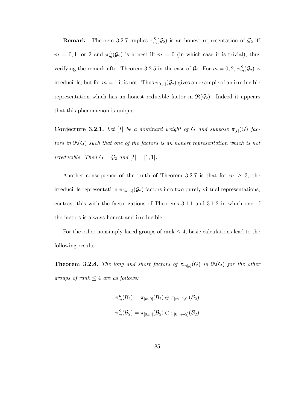**Remark**. Theorem 3.2.7 implies  $\pi_m^S(\mathcal{G}_2)$  is an honest representation of  $\mathcal{G}_2$  iff  $m = 0, 1$ , or 2 and  $\pi_m^L(\mathcal{G}_2)$  is honest iff  $m = 0$  (in which case it is trivial), thus verifying the remark after Theorem 3.2.5 in the case of  $\mathcal{G}_2$ . For  $m = 0, 2, \pi_m^S(\mathcal{G}_2)$  is irreducible, but for  $m = 1$  it is not. Thus  $\pi_{1,1}(\mathcal{G}_2)$  gives an example of an irreducible representation which has an honest reducible factor in  $\mathfrak{R}(\mathcal{G}_2)$ . Indeed it appears that this phenomenon is unique:

Conjecture 3.2.1. Let [I] be a dominant weight of G and suppose  $\pi_{[I]}(G)$  factors in  $\mathfrak{R}(G)$  such that one of the factors is an honest representation which is not irreducible. Then  $G = \mathcal{G}_2$  and  $[I] = [1, 1]$ .

Another consequence of the truth of Theorem 3.2.7 is that for  $m \geq 3$ , the irreducible representation  $\pi_{[m,m]}(\mathcal{G}_2)$  factors into two purely virtual representations; contrast this with the factorizations of Theorems 3.1.1 and 3.1.2 in which one of the factors is always honest and irreducible.

For the other nonsimply-laced groups of rank  $\leq 4$ , basic calculations lead to the following results:

**Theorem 3.2.8.** The long and short factors of  $\pi_{m[\rho]}(G)$  in  $\Re(G)$  for the other groups of rank  $\leq 4$  are as follows:

$$
\pi_m^L(\mathcal{B}_2) = \pi_{[m,0]}(\mathcal{B}_2) \ominus \pi_{[m-1,0]}(\mathcal{B}_2) \\\\ \pi_m^S(\mathcal{B}_2) = \pi_{[0,m]}(\mathcal{B}_2) \ominus \pi_{[0,m-2]}(\mathcal{B}_2)
$$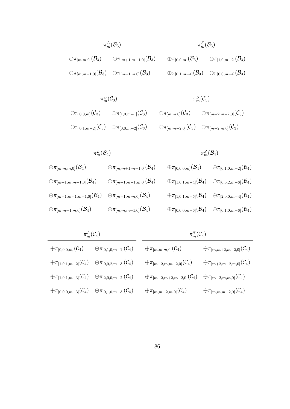|                                            | $\pi_m^L(\mathcal{B}_3)$                                                                  |                                                                                      | $\pi_m^S(\mathcal{B}_3)$ |                                                                                      |
|--------------------------------------------|-------------------------------------------------------------------------------------------|--------------------------------------------------------------------------------------|--------------------------|--------------------------------------------------------------------------------------|
| $\oplus\pi_{[m,m,0]}({\mathcal{B}}_3)$     | $\ominus \pi_{[m+1,m-1,0]}(\mathcal{B}_3)$                                                | $\oplus\pi_{[0,0,m]}(\mathcal{B}_3)$                                                 |                          | $\ominus \pi_{[1,0,m-2]}(\mathcal{B}_3)$                                             |
|                                            | $\oplus \pi_{[m,m-1,0]}(\mathcal{B}_3) \quad \ominus \pi_{[m-1,m,0]}(\mathcal{B}_3)$      |                                                                                      |                          | $\oplus \pi_{[0,1,m-4]}(\mathcal{B}_3) \quad \ominus \pi_{[0,0,m-4]}(\mathcal{B}_3)$ |
|                                            |                                                                                           |                                                                                      |                          |                                                                                      |
|                                            | $\pi_m^L(\mathcal{C}_3)$                                                                  |                                                                                      | $\pi_m^S(\mathcal{C}_3)$ |                                                                                      |
| $\oplus\pi_{[0,0,m]}(\mathcal{C}_3)$       | $\ominus \pi_{[1,0,m-1]}(\mathcal{C}_3)$                                                  | $\oplus\pi_{[m,m,0]}(\mathcal{C}_3)$                                                 |                          | $\ominus \pi_{[m+2,m-2,0]}(\mathcal{C}_3)$                                           |
|                                            | $\oplus \pi_{[0,1,m-2]}(\mathcal{C}_3) \quad \ominus \pi_{[0,0,m-2]}(\mathcal{C}_3) \; .$ | $\oplus \pi_{[m,m-2,0]}(\mathcal{C}_3) \quad \ominus \pi_{[m-2,m,0]}(\mathcal{C}_3)$ |                          |                                                                                      |
|                                            |                                                                                           |                                                                                      |                          |                                                                                      |
| $\pi_m^L(\mathcal{B}_4)$                   |                                                                                           |                                                                                      |                          | $\pi_m^S(\mathcal{B}_4)$                                                             |
| $\oplus\pi_{[m,m,m,0]}({\mathcal{B}}_{4})$ | $\ominus\pi_{[m,m+1,m-1,0]}(\mathcal{B}_{4})$                                             | $\oplus\pi_{[0,0,0,m]}({\mathcal{B}}_{4})$                                           |                          | $\ominus\pi_{[0,1,0,m-2]}(\mathcal{B}_{4})$                                          |

| $\oplus \pi_{[m+1,m,m-1,0]}({\mathcal{B}}_{4})$                                               | $\oplus\pi_{[m+1,m-1,m,0]}({\mathcal{B}}_{4})$ | $\oplus \pi_{[1,0,1,m-4]}(\mathcal{B}_4)$ $\ominus \pi_{[0,0,2,m-6]}(\mathcal{B}_4)$ |                                                                                      |
|-----------------------------------------------------------------------------------------------|------------------------------------------------|--------------------------------------------------------------------------------------|--------------------------------------------------------------------------------------|
| $\oplus\pi_{[m-1,m+1,m-1,0]}(\mathcal{B}_{4})\quad \ominus\pi_{[m-1,m,m,0]}(\mathcal{B}_{4})$ |                                                | $\oplus \pi_{[1,0,1,m-6]}(\mathcal{B}_4)$ $\ominus \pi_{[2,0,0,m-4]}(\mathcal{B}_4)$ |                                                                                      |
| $\oplus\pi_{[m,m-1,m,0]}({\mathcal{B}}_{4})$                                                  | $\ominus\pi_{[m,m,m-1,0]}(\mathcal{B}_{4})$    |                                                                                      | $\oplus \pi_{[0,0,0,m-6]}(\mathcal{B}_4)$ $\ominus \pi_{[0,1,0,m-6]}(\mathcal{B}_4)$ |

|                                            | $\pi_m^L(\mathcal{C}_4)$                    | $\pi_m^S(\mathcal{C}_4)$                      |                                               |  |  |  |
|--------------------------------------------|---------------------------------------------|-----------------------------------------------|-----------------------------------------------|--|--|--|
| $\oplus\pi_{[0,0,0,m]}(\mathcal{C}_{4})$   | $\ominus\pi_{[0,1,0,m-1]}(\mathcal{C}_{4})$ | $\oplus \pi_{[m,m,m,0]}({\cal C}_4)$          | $\ominus\pi_{[m,m+2,m-2,0]}(\mathcal{C}_{4})$ |  |  |  |
| $\oplus\pi_{[1,0,1,m-2]}(\mathcal{C}_{4})$ | $\ominus \pi_{[0,0,2,m-3]}(\mathcal{C}_4)$  | $\oplus \pi_{[m+2,m,m-2,0]}(C_4)$             | $\ominus\pi_{[m+2,m-2,m,0]}(\mathcal{C}_{4})$ |  |  |  |
| $\oplus\pi_{[1,0,1,m-3]}(\mathcal{C}_{4})$ | $\ominus \pi_{[2,0,0,m-2]}(\mathcal{C}_4)$  | $\oplus \pi_{[m-2,m+2,m-2,0]}(\mathcal{C}_4)$ | $\ominus \pi_{[m-2,m,m,0]}(\mathcal{C}_4)$    |  |  |  |
| $\oplus\pi_{[0,0,0,m-3]}(\mathcal{C}_{4})$ | $\ominus \pi_{[0,1,0,m-3]}(\mathcal{C}_4)$  | $\oplus\pi_{[m,m-2,m,0]}(\mathcal{C}_{4})$    | $\ominus\pi_{[m,m,m-2,0]}(\mathcal{C}_{4})$   |  |  |  |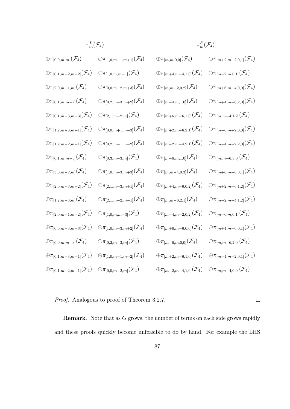|                                              | $\pi_m^L(\mathcal{F}_4)$                      | $\pi_m^S(\mathcal{F}_4)$                     |                                               |
|----------------------------------------------|-----------------------------------------------|----------------------------------------------|-----------------------------------------------|
| $\oplus\pi_{[0,0,m,m]}(\mathcal{F}_4)$       | $\ominus\pi_{[1,0,m-1,m+1]}(\mathcal{F}_{4})$ | $\oplus\pi_{[m,m,0,0]}(\mathcal{F}_{4})$     | $\ominus\pi_{[m+2,m-2,0,1]}(\mathcal{F}_{4})$ |
| $\oplus\pi_{[0,1,m-2,m+2]}(\mathcal{F}_{4})$ | $\ominus\pi_{[1,0,m,m-1]}(\mathcal{F}_{4})$   | $\oplus\pi_{[m+4,m-4,1,0]}(\mathcal{F}_{4})$ | $\ominus\pi_{[m-2,m,0,1]}(\mathcal{F}_{4})$   |
| $\oplus\pi_{[2,0,m-1,m]}(\mathcal{F}_{4})$   | $\ominus\pi_{[0,0,m-2,m+3]}(\mathcal{F}_{4})$ | $\oplus\pi_{[m,m-2,0,2]}(\mathcal{F}_{4})$   | $\ominus\pi_{[m+6,m-4,0,0]}(\mathcal{F}_{4})$ |
| $\oplus\pi_{[0,1,m,m-2]}(\mathcal{F}_{4})$   | $\ominus\pi_{[0,2,m-3,m+2]}(\mathcal{F}_{4})$ | $\oplus \pi_{[m-4,m,1,0]}(\mathcal{F}_4)$    | $\ominus\pi_{[m+4,m-6,2,0]}(\mathcal{F}_{4})$ |
| $\oplus\pi_{[0,1,m-3,m+3]}(\mathcal{F}_{4})$ | $\ominus\pi_{[2,1,m-2,m]}(\mathcal{F}_{4})$   | $\oplus\pi_{[m+6,m-6,1,0]}(\mathcal{F}_{4})$ | $\ominus\pi_{[m,m-4,1,2]}(\mathcal{F}_{4})$   |
| $\oplus \pi_{[1,2,m-3,m+1]}(\mathcal{F}_4)$  | $\ominus\pi_{[0,0,m+1,m-3]}(\mathcal{F}_{4})$ | $\oplus\pi_{[m+2,m-6,2,1]}(\mathcal{F}_{4})$ | $\ominus\pi_{[m-6,m+2,0,0]}(\mathcal{F}_{4})$ |
| $\oplus \pi_{[1,2,m-2,m-1]}(\mathcal{F}_4)$  | $\ominus\pi_{[0,2,m-1,m-2]}(\mathcal{F}_{4})$ | $\oplus \pi_{[m-2,m-4,2,1]}(\mathcal{F}_4)$  | $\ominus\pi_{[m-4,m-2,2,0]}(\mathcal{F}_{4})$ |
| $\oplus\pi_{[0,1,m,m-3]}(\mathcal{F}_{4})$   | $\ominus\pi_{[0,3,m-3,m]}(\mathcal{F}_{4})$   | $\oplus \pi_{[m-6,m,1,0]}(\mathcal{F}_{4})$  | $\ominus\pi_{[m,m-6,3,0]}(\mathcal{F}_{4})$   |
| $\oplus\pi_{[3,0,m-2,m]}(\mathcal{F}_{4})$   | $\ominus\pi_{[1,0,m-3,m+3]}(\mathcal{F}_{4})$ | $\oplus\pi_{[m,m-4,0,3]}(\mathcal{F}_{4})$   | $\ominus\pi_{[m+6,m-6,0,1]}(\mathcal{F}_{4})$ |
| $\oplus \pi_{[2,0,m-3,m+2]}(\mathcal{F}_4)$  | $\ominus\pi_{[2,1,m-3,m+1]}(\mathcal{F}_{4})$ | $\oplus\pi_{[m+4,m-6,0,2]}(\mathcal{F}_{4})$ | $\ominus\pi_{[m+2,m-6,1,2]}(\mathcal{F}_{4})$ |
| $\oplus\pi_{[1,2,m-3,m]}(\mathcal{F}_{4})$   | $\ominus\pi_{[2,1,m-2,m-1]}(\mathcal{F}_{4})$ | $\oplus\pi_{[m,m-6,2,1]}(\mathcal{F}_{4})$   | $\ominus\pi_{[m-2,m-4,1,2]}(\mathcal{F}_{4})$ |
| $\oplus\pi_{[2,0,m-1,m-2]}(\mathcal{F}_{4})$ | $\ominus\pi_{[1,0,m,m-3]}(\mathcal{F}_{4})$   | $\oplus\pi_{[m-4,m-2,0,2]}(\mathcal{F}_{4})$ | $\ominus\pi_{[m-6,m,0,1]}(\mathcal{F}_{4})$   |
| $\oplus \pi_{[0,0,m-3,m+3]}(\mathcal{F}_4)$  | $\ominus\pi_{[1,0,m-3,m+2]}(\mathcal{F}_{4})$ | $\oplus\pi_{[m+6,m-6,0,0]}(\mathcal{F}_{4})$ | $\ominus\pi_{[m+4,m-6,0,1]}(\mathcal{F}_{4})$ |
| $\oplus\pi_{[0,0,m,m-3]}(\mathcal{F}_{4})$   | $\ominus\pi_{[0,2,m-3,m]}(\mathcal{F}_{4})$   | $\oplus\pi_{[m-6,m,0,0]}(\mathcal{F}_{4})$   | $\ominus\pi_{[m,m-6,2,0]}(\mathcal{F}_{4})$   |
| $\oplus \pi_{[0,1,m-3,m+1]}(\mathcal{F}_4)$  | $\ominus\pi_{[1,0,m-1,m-2]}(\mathcal{F}_{4})$ | $\oplus\pi_{[m+2,m-6,1,0]}(\mathcal{F}_{4})$ | $\ominus\pi_{[m-4,m-2,0,1]}(\mathcal{F}_{4})$ |
| $\oplus\pi_{[0,1,m-2,m-1]}(\mathcal{F}_{4})$ | $\ominus\pi_{[0,0,m-2,m]}(\mathcal{F}_{4})$   | $\oplus\pi_{[m-2,m-4,1,0]}(\mathcal{F}_{4})$ | $\ominus\pi_{[m,m-4,0,0]}(\mathcal{F}_{4})$   |

Ĭ,

Proof. Analogous to proof of Theorem 3.2.7.

**Remark.** Note that as  $G$  grows, the number of terms on each side grows rapidly and these proofs quickly become unfeasible to do by hand. For example the LHS

 $\Box$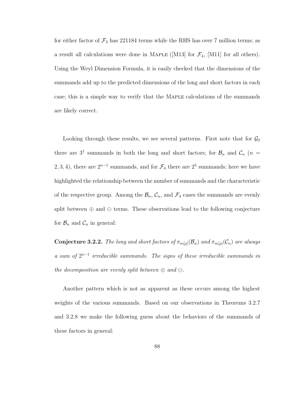for either factor of  $\mathcal{F}_4$  has 221184 terms while the RHS has over 7 million terms; as a result all calculations were done in MAPLE ([M13] for  $\mathcal{F}_4$ , [M11] for all others). Using the Weyl Dimension Formula, it is easily checked that the dimensions of the summands add up to the predicted dimensions of the long and short factors in each case; this is a simple way to verify that the Maple calculations of the summands are likely correct.

Looking through these results, we see several patterns. First note that for  $\mathcal{G}_2$ there are  $3^1$  summands in both the long and short factors; for  $\mathcal{B}_n$  and  $\mathcal{C}_n$  (n = 2, 3, 4), there are  $2^{n-1}$  summands, and for  $\mathcal{F}_4$  there are  $2^5$  summands; here we have highlighted the relationship between the number of summands and the characteristic of the respective group. Among the  $\mathcal{B}_n$ ,  $\mathcal{C}_n$ , and  $\mathcal{F}_4$  cases the summands are evenly split between  $\oplus$  and  $\ominus$  terms. These observations lead to the following conjecture for  $\mathcal{B}_n$  and  $\mathcal{C}_n$  in general:

**Conjecture 3.2.2.** The long and short factors of  $\pi_{m[\rho]}(\mathcal{B}_n)$  and  $\pi_{m[\rho]}(\mathcal{C}_n)$  are always a sum of  $2^{n-1}$  irreducible summands. The signs of these irreducible summands in the decomposition are evenly split between  $\oplus$  and  $\ominus$ .

Another pattern which is not as apparent as these occurs among the highest weights of the various summands. Based on our observations in Theorems 3.2.7 and 3.2.8 we make the following guess about the behaviors of the summands of these factors in general: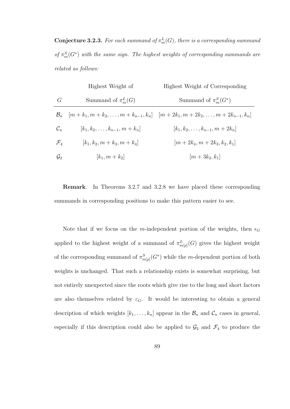**Conjecture 3.2.3.** For each summand of  $\pi_m^L(G)$ , there is a corresponding summand of  $\pi_m^S(G^*)$  with the same sign. The highest weights of corresponding summands are related as follows:

|                 | Highest Weight of                    | Highest Weight of Corresponding                                                                      |
|-----------------|--------------------------------------|------------------------------------------------------------------------------------------------------|
| G               | Summand of $\pi_m^L(G)$              | Summand of $\pi_m^S(G^*)$                                                                            |
| $\mathcal{B}_n$ |                                      | $ m + k_1, m + k_2, \ldots, m + k_{n-1}, k_n  \quad  m + 2k_1, m + 2k_2, \ldots, m + 2k_{n-1}, k_n $ |
| $\mathcal{C}_n$ | $[k_1, k_2, \ldots, k_{n-1}, m+k_n]$ | $[k_1, k_2, \ldots, k_{n-1}, m + 2k_n]$                                                              |
| $\mathcal{F}_4$ | $[k_1, k_2, m+k_3, m+k_4]$           | $ m + 2k_4, m + 2k_3, k_2, k_1 $                                                                     |
| $\mathcal{G}_2$ | $[k_1, m + k_2]$                     | $ m+3k_2, k_1 $                                                                                      |

Remark. In Theorems 3.2.7 and 3.2.8 we have placed these corresponding summands in corresponding positions to make this pattern easier to see.

Note that if we focus on the m-independent portion of the weights, then  $\epsilon_G$ applied to the highest weight of a summand of  $\pi_{m[\rho]}^{L}(G)$  gives the highest weight of the corresponding summand of  $\pi_{m[\rho]}^S(G^*)$  while the m-dependent portion of both weights is unchanged. That such a relationship exists is somewhat surprising, but not entirely unexpected since the roots which give rise to the long and short factors are also themselves related by  $\varepsilon_G$ . It would be interesting to obtain a general description of which weights  $[k_1, \ldots, k_n]$  appear in the  $\mathcal{B}_n$  and  $\mathcal{C}_n$  cases in general, especially if this description could also be applied to  $\mathcal{G}_2$  and  $\mathcal{F}_4$  to produce the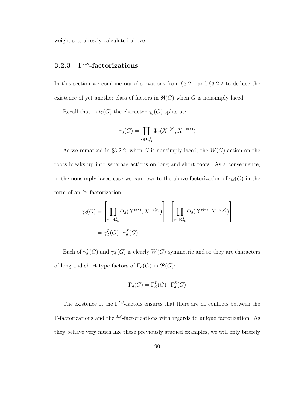weight sets already calculated above.

#### 3.2.3  $\Gamma^{LS}$ -factorizations

In this section we combine our observations from §3.2.1 and §3.2.2 to deduce the existence of yet another class of factors in  $\mathfrak{R}(G)$  when G is nonsimply-laced.

Recall that in  $\mathfrak{E}(G)$  the character  $\gamma_d(G)$  splits as:

$$
\gamma_d(G) = \prod_{r \in \mathbf{R}^+_G} \Phi_d(X^{v(r)}, X^{-v(r)})
$$

As we remarked in §3.2.2, when G is nonsimply-laced, the  $W(G)$ -action on the roots breaks up into separate actions on long and short roots. As a consequence, in the nonsimply-laced case we can rewrite the above factorization of  $\gamma_d(G)$  in the form of an  $^{LS}$ -factorization:

$$
\gamma_d(G) = \left[ \prod_{r \in \mathbf{R}_{\mathbf{G}}^L} \Phi_d(X^{v(r)}, X^{-v(r)}) \right] \cdot \left[ \prod_{r \in \mathbf{R}_{\mathbf{G}}^S} \Phi_d(X^{v(r)}, X^{-v(r)}) \right]
$$

$$
= \gamma_d^L(G) \cdot \gamma_d^S(G)
$$

Each of  $\gamma_d^L(G)$  and  $\gamma_d^S(G)$  is clearly  $W(G)$ -symmetric and so they are characters of long and short type factors of  $\Gamma_d(G)$  in  $\Re(G)$ :

$$
\Gamma_d(G) = \Gamma_d^L(G) \cdot \Gamma_d^S(G)
$$

The existence of the  $\Gamma^{LS}$ -factors ensures that there are no conflicts between the Γ-factorizations and the <sup>LS</sup>-factorizations with regards to unique factorization. As they behave very much like these previously studied examples, we will only briefely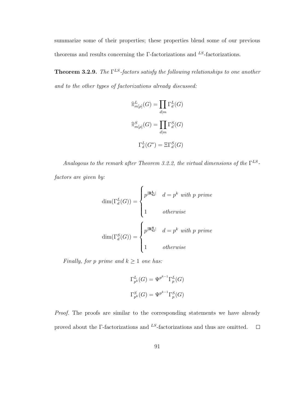summarize some of their properties; these properties blend some of our previous theorems and results concerning the  $\Gamma$ -factorizations and <sup>LS</sup>-factorizations.

**Theorem 3.2.9.** The  $\Gamma^{LS}$ -factors satisfy the following relationships to one another and to the other types of factorizations already discussed:

$$
\widehat{\pi}_{m[p]}^{L}(G) = \prod_{d|m} \Gamma_{d}^{L}(G)
$$

$$
\widehat{\pi}_{m[p]}^{S}(G) = \prod_{d|m} \Gamma_{d}^{S}(G)
$$

$$
\Gamma_{d}^{L}(G^{*}) = \Xi \Gamma_{d}^{S}(G)
$$

Analogous to the remark after Theorem 3.2.2, the virtual dimensions of the  $\Gamma^{LS}$ factors are given by:

$$
\dim(\Gamma_d^L(G)) = \begin{cases} p^{|\mathbf{R_G^L}|} & d = p^k \text{ with } p \text{ prime} \\ 1 & otherwise \end{cases}
$$

$$
\dim(\Gamma_d^S(G)) = \begin{cases} p^{|\mathbf{R_G^S}|} & d = p^k \text{ with } p \text{ prime} \\ 1 & otherwise \end{cases}
$$

Finally, for p prime and  $k \geq 1$  one has:

$$
\Gamma_{p^k}^L(G) = \Psi^{p^{k-1}} \Gamma_p^L(G)
$$
  

$$
\Gamma_{p^k}^S(G) = \Psi^{p^{k-1}} \Gamma_p^S(G)
$$

Proof. The proofs are similar to the corresponding statements we have already proved about the  $\Gamma\text{-}factorizations$  and  $^{LS}\text{-}factorizations$  and thus are omitted.  $\Box$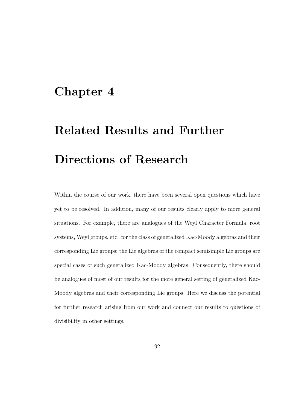## Chapter 4

# Related Results and Further Directions of Research

Within the course of our work, there have been several open questions which have yet to be resolved. In addition, many of our results clearly apply to more general situations. For example, there are analogues of the Weyl Character Formula, root systems, Weyl groups, etc. for the class of generalized Kac-Moody algebras and their corresponding Lie groups; the Lie algebras of the compact semisimple Lie groups are special cases of such generalized Kac-Moody algebras. Consequently, there should be analogues of most of our results for the more general setting of generalized Kac-Moody algebras and their corresponding Lie groups. Here we discuss the potential for further research arising from our work and connect our results to questions of divisibility in other settings.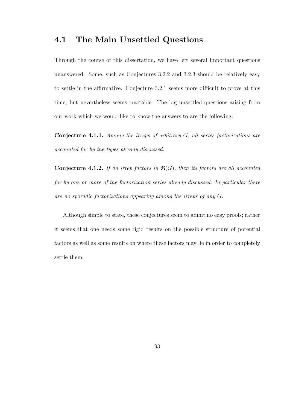### 4.1 The Main Unsettled Questions

Through the course of this dissertation, we have left several important questions unanswered. Some, such as Conjectures 3.2.2 and 3.2.3 should be relatively easy to settle in the affirmative. Conjecture 3.2.1 seems more difficult to prove at this time, but nevertheless seems tractable. The big unsettled questions arising from our work which we would like to know the answers to are the following:

Conjecture 4.1.1. Among the irreps of arbitrary G, all series factorizations are accounted for by the types already discussed.

**Conjecture 4.1.2.** If an irrep factors in  $\mathfrak{R}(G)$ , then its factors are all accounted for by one or more of the factorization series already discussed. In particular there are no sporadic factorizations appearing among the irreps of any G.

Although simple to state, these conjectures seem to admit no easy proofs; rather it seems that one needs some rigid results on the possible structure of potential factors as well as some results on where these factors may lie in order to completely settle them.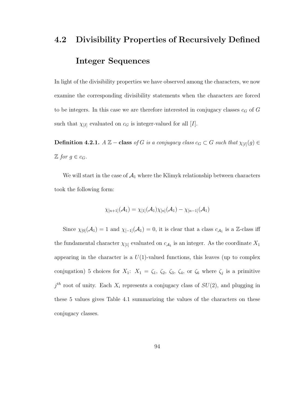# 4.2 Divisibility Properties of Recursively Defined Integer Sequences

In light of the divisibility properties we have observed among the characters, we now examine the corresponding divisibility statements when the characters are forced to be integers. In this case we are therefore interested in conjugacy classes  $c_G$  of G such that  $\chi_{I}$  evaluated on  $c_G$  is integer-valued for all  $[I]$ .

**Definition 4.2.1.**  $A \mathbb{Z}$  − class of G is a conjugacy class  $c_G \subset G$  such that  $\chi_{[I]}(g) \in$  $\mathbb{Z}$  for  $g \in c_G$ .

We will start in the case of  $A_1$  where the Klimyk relationship between characters took the following form:

$$
\chi_{[n+1]}(\mathcal{A}_1) = \chi_{[1]}(\mathcal{A}_1) \chi_{[n]}(\mathcal{A}_1) - \chi_{[n-1]}(\mathcal{A}_1)
$$

Since  $\chi_{[0]}(\mathcal{A}_1) = 1$  and  $\chi_{[-1]}(\mathcal{A}_1) = 0$ , it is clear that a class  $c_{\mathcal{A}_1}$  is a Z-class iff the fundamental character  $\chi_{[1]}$  evaluated on  $c_{\mathcal{A}_1}$  is an integer. As the coordinate  $X_1$ appearing in the character is a  $U(1)$ -valued functions, this leaves (up to complex conjugation) 5 choices for  $X_1$ :  $X_1 = \zeta_1$ ,  $\zeta_2$ ,  $\zeta_3$ ,  $\zeta_4$ , or  $\zeta_6$  where  $\zeta_j$  is a primitive  $j<sup>th</sup>$  root of unity. Each  $X_i$  represents a conjugacy class of  $SU(2)$ , and plugging in these 5 values gives Table 4.1 summarizing the values of the characters on these conjugacy classes.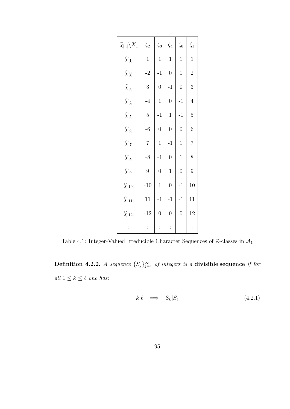| $\widehat{\chi}_{[n]} \backslash X_1$ | $\zeta_2$      | $\zeta_3$        | $\zeta_4$      | $\zeta_6$      | $\zeta_1$      |
|---------------------------------------|----------------|------------------|----------------|----------------|----------------|
| $\widehat{\chi}_{[1]}$                | $\mathbf{1}$   | $\mathbf{1}$     | $\mathbf{1}$   | $\mathbf{1}$   | $\mathbf{1}$   |
| $\widehat{\chi}_{[2]}$                | $-2$           | $-1$             | $\overline{0}$ | $\mathbf 1$    | $\overline{2}$ |
| $\widehat{\chi}_{[3]}$                | 3              | $\boldsymbol{0}$ | $-1$           | $\overline{0}$ | 3              |
| $\widehat{\chi}_{[4]}$                | $-4$           | $\mathbf{1}$     | $\overline{0}$ | $-1$           | $\overline{4}$ |
| $\widehat{\chi}_{[5]}$                | $\overline{5}$ | $-1$             | $\mathbf{1}$   | $-1$           | $\overline{5}$ |
| $\widehat{\chi}_{[6]}$                | $-6$           | $\overline{0}$   | $\overline{0}$ | $\overline{0}$ | $\sqrt{6}$     |
| $\widehat{\chi}_{[7]}$                | $\overline{7}$ | $\mathbf{1}$     | $-1$           | $\mathbf{1}$   | $\overline{7}$ |
| $\widehat{\chi}_{[8]}$                | $-8$           | $-1$             | $\overline{0}$ | $\mathbf{1}$   | 8              |
| $\widehat{\chi}_{[9]}$                | $\overline{9}$ | $\overline{0}$   | $\mathbf{1}$   | $\overline{0}$ | 9              |
| $\widehat{\chi}_{[10]}$               | $-10$          | $\mathbf{1}$     | $\overline{0}$ | $-1$           | 10             |
| $\widehat{\chi}_{[11]}$               | 11             | $-1$             | $-1$           | $-1$           | 11             |
| $\widehat{\chi}_{[12]}$               | $-12$          | $\overline{0}$   | $\overline{0}$ | $\overline{0}$ | 12             |
| $\vdots$                              | $\vdots$       | $\vdots$         | $\vdots$       | $\vdots$       | $\vdots$       |

Table 4.1: Integer-Valued Irreducible Character Sequences of  $\mathbb{Z}\text{-classes}$  in  $\mathcal{A}_1$ 

Definition 4.2.2. A sequence  $\{S_j\}_{j=1}^{\infty}$  of integers is a divisible sequence if for all  $1 \leq k \leq \ell$  one has:

$$
k|\ell \implies S_k|S_\ell \tag{4.2.1}
$$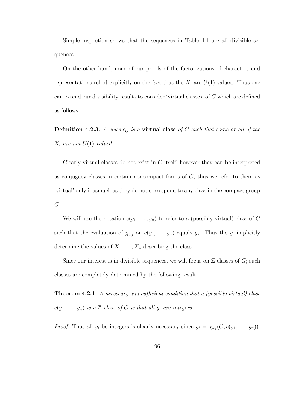Simple inspection shows that the sequences in Table 4.1 are all divisible sequences.

On the other hand, none of our proofs of the factorizations of characters and representations relied explicitly on the fact that the  $X_i$  are  $U(1)$ -valued. Thus one can extend our divisibility results to consider 'virtual classes' of G which are defined as follows:

**Definition 4.2.3.** A class  $c_G$  is a **virtual class** of G such that some or all of the  $X_i$  are not  $U(1)$ -valued

Clearly virtual classes do not exist in  $G$  itself; however they can be interpreted as conjugacy classes in certain noncompact forms of  $G$ ; thus we refer to them as 'virtual' only inasmuch as they do not correspond to any class in the compact group G.

We will use the notation  $c(y_1, \ldots, y_n)$  to refer to a (possibly virtual) class of G such that the evaluation of  $\chi_{\omega_j}$  on  $c(y_1,\ldots,y_n)$  equals  $y_j$ . Thus the  $y_i$  implicitly determine the values of  $X_1, \ldots, X_n$  describing the class.

Since our interest is in divisible sequences, we will focus on  $\mathbb{Z}$ -classes of  $G$ ; such classes are completely determined by the following result:

Theorem 4.2.1. A necessary and sufficient condition that a (possibly virtual) class  $c(y_1, \ldots, y_n)$  is a Z-class of G is that all  $y_i$  are integers.

*Proof.* That all  $y_i$  be integers is clearly necessary since  $y_i = \chi_{\omega_i}(G; c(y_1, \ldots, y_n))$ .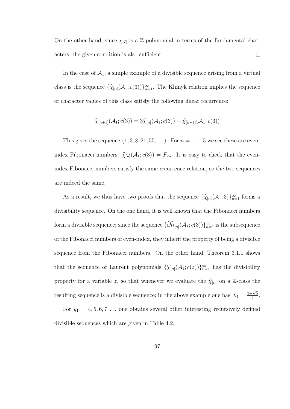On the other hand, since  $\chi_{[I]}$  is a Z-polynomial in terms of the fundamental characters, the given condition is also sufficient.  $\Box$ 

In the case of  $A_1$ , a simple example of a divisible sequence arising from a virtual class is the sequence  $\{\hat{\chi}_{[n]}(\mathcal{A}_1; c(3))\}_{n=1}^{\infty}$ . The Klimyk relation implies the sequence of character values of this class satisfy the following linear recurrence:

$$
\widehat{\chi}_{[n+1]}(\mathcal{A}_1; c(3)) = 3\widehat{\chi}_{[n]}(\mathcal{A}_1; c(3)) - \widehat{\chi}_{[n-1]}(\mathcal{A}_1; c(3))
$$

This gives the sequence  $\{1, 3, 8, 21, 55, \ldots\}$ . For  $n = 1 \ldots 5$  we see these are evenindex Fibonacci numbers:  $\hat{\chi}_{[n]}(\mathcal{A}_1; c(3)) = F_{2n}$ . It is easy to check that the evenindex Fibonacci numbers satisfy the same recurrence relation, so the two sequences are indeed the same.

As a result, we thus have two proofs that the sequence  $\{\widehat{\chi}_{[n]}(\mathcal{A}_1; 3)\}_{n=1}^{\infty}$  forms a divisibility sequence. On the one hand, it is well known that the Fibonacci numbers form a divisible sequence; since the sequence  $\{chi_{[n]}(\mathcal{A}_1; c(3))\}_{n=1}^{\infty}$  is the subsequence of the Fibonacci numbers of even-index, they inherit the property of being a divisible sequence from the Fibonacci numbers. On the other hand, Theorem 3.1.1 shows that the sequence of Laurent polynomials  $\{\hat{\chi}_{[n]}(\mathcal{A}_1; c(z))\}_{n=1}^{\infty}$  has the divisibility property for a variable z, so that whenever we evaluate the  $\widehat{\chi}_{[n]}$  on a Z-class the resulting sequence is a divisible sequence; in the above example one has  $X_1 = \frac{3+\sqrt{5}}{2}$  $rac{-\sqrt{5}}{2}$ .

For  $y_1 = 4, 5, 6, 7, \ldots$  one obtains several other interesting recursively defined divisible sequences which are given in Table 4.2.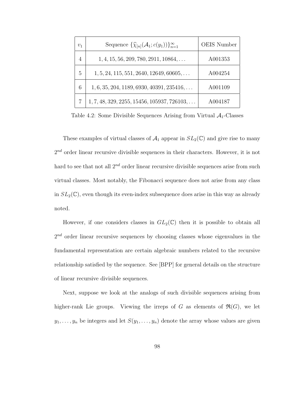| $v_1$          | Sequence $\{\widehat{\chi}_{[n]}(\mathcal{A}_1; c(y_1))\}_{n=1}^{\infty}$ | <b>OEIS</b> Number |
|----------------|---------------------------------------------------------------------------|--------------------|
| $\overline{4}$ | $1, 4, 15, 56, 209, 780, 2911, 10864, \ldots$                             | A001353            |
| 5              | $1, 5, 24, 115, 551, 2640, 12649, 60605, \ldots$                          | A004254            |
| 6              | $1, 6, 35, 204, 1189, 6930, 40391, 235416, \ldots$                        | A001109            |
|                | $1, 7, 48, 329, 2255, 15456, 105937, 726103, \ldots$                      | A004187            |

Table 4.2: Some Divisible Sequences Arising from Virtual  $A_1$ -Classes

These examples of virtual classes of  $\mathcal{A}_1$  appear in  $SL_2(\mathbb{C})$  and give rise to many  $2^{nd}$  order linear recursive divisible sequences in their characters. However, it is not hard to see that not all  $2^{nd}$  order linear recursive divisible sequences arise from such virtual classes. Most notably, the Fibonacci sequence does not arise from any class in  $SL_2(\mathbb{C})$ , even though its even-index subsequence does arise in this way as already noted.

However, if one considers classes in  $GL_2(\mathbb{C})$  then it is possible to obtain all  $2^{nd}$  order linear recursive sequences by choosing classes whose eigenvalues in the fundamental representation are certain algebraic numbers related to the recursive relationship satisfied by the sequence. See [BPP] for general details on the structure of linear recursive divisible sequences.

Next, suppose we look at the analogs of such divisible sequences arising from higher-rank Lie groups. Viewing the irreps of G as elements of  $\mathfrak{R}(G)$ , we let  $y_1, \ldots, y_n$  be integers and let  $S(y_1, \ldots, y_n)$  denote the array whose values are given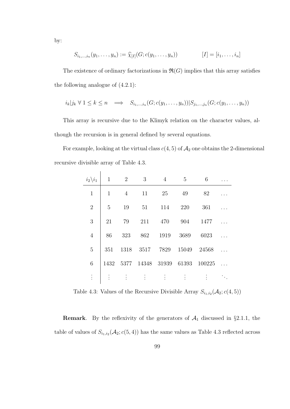$$
S_{i_1,\dots,i_n}(y_1,\dots,y_n) := \widehat{\chi}_{[I]}(G;c(y_1,\dots,y_n)) \qquad [I] = [i_1,\dots,i_n]
$$

The existence of ordinary factorizations in  $\mathfrak{R}(G)$  implies that this array satisfies the following analogue of (4.2.1):

$$
i_k|j_k \forall 1 \leq k \leq n \implies S_{i_1,\dots,i_n}(G;c(y_1,\dots,y_n))|S_{j_1,\dots,j_n}(G;c(y_1,\dots,y_n))
$$

This array is recursive due to the Klimyk relation on the character values, although the recursion is in general defined by several equations.

For example, looking at the virtual class  $c(4, 5)$  of  $\mathcal{A}_2$  one obtains the 2-dimensional recursive divisible array of Table 4.3.

| $i_2 \backslash i_1$ | $\mathbf 1$  | $\overline{2}$ | 3        | $\overline{4}$ | 5                 | 6      |  |
|----------------------|--------------|----------------|----------|----------------|-------------------|--------|--|
| $\mathbf{1}$         | $\mathbf{1}$ | $\overline{4}$ | 11       | 25             | 49                | 82     |  |
| $\overline{2}$       | 5            | 19             | 51       | 114            | 220               | 361    |  |
| 3                    | 21           | 79             | 211      | 470            | 904               | 1477   |  |
| $\overline{4}$       | 86           | 323            | 862      | 1919           | 3689              | 6023   |  |
| $\overline{5}$       | 351          | 1318           | 3517     | 7829           | 15049             | 24568  |  |
| 6                    | 1432         | 5377           |          |                | 14348 31939 61393 | 100225 |  |
|                      |              | $\ddot{\cdot}$ | $\vdots$ | $\vdots$       | $\vdots$          |        |  |

Table 4.3: Values of the Recursive Divisible Array  $S_{i_1,i_2}(\mathcal{A}_2; c(4,5))$ 

**Remark.** By the reflexivity of the generators of  $A_1$  discussed in §2.1.1, the table of values of  $S_{i_1,i_2}(\mathcal{A}_2;\mathcal{c}(5,4))$  has the same values as Table 4.3 reflected across

by: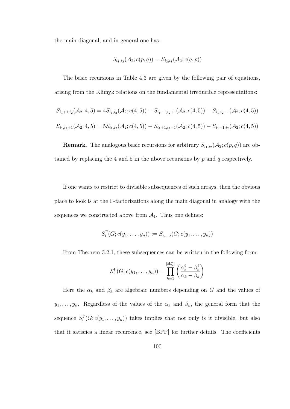the main diagonal, and in general one has:

$$
S_{i_1,i_2}(\mathcal{A}_2;c(p,q)) = S_{i_2,i_1}(\mathcal{A}_2;c(q,p))
$$

The basic recursions in Table 4.3 are given by the following pair of equations, arising from the Klimyk relations on the fundamental irreducible representations:

$$
S_{i_1+1,i_2}(\mathcal{A}_2; 4, 5) = 4S_{i_1,i_2}(\mathcal{A}_2; c(4,5)) - S_{i_1-1,i_2+1}(\mathcal{A}_2; c(4,5)) - S_{i_1,i_2-1}(\mathcal{A}_2; c(4,5))
$$
  

$$
S_{i_1,i_2+1}(\mathcal{A}_2; 4, 5) = 5S_{i_1,i_2}(\mathcal{A}_2; c(4,5)) - S_{i_1+1,i_2-1}(\mathcal{A}_2; c(4,5)) - S_{i_1-1,i_2}(\mathcal{A}_2; c(4,5))
$$

**Remark**. The analogous basic recursions for arbitrary  $S_{i_1,i_2}(\mathcal{A}_2; c(p,q))$  are obtained by replacing the 4 and 5 in the above recursions by  $p$  and  $q$  respectively.

If one wants to restrict to divisible subsequences of such arrays, then the obvious place to look is at the Γ-factorizations along the main diagonal in analogy with the sequences we constructed above from  $A_1$ . Thus one defines:

$$
S_i^{\Gamma}(G; c(y_1, ..., y_n)) := S_{i,...,i}(G; c(y_1, ..., y_n))
$$

From Theorem 3.2.1, these subsequences can be written in the following form:

$$
S_i^{\Gamma}(G; c(y_1, \ldots, y_n)) = \prod_{k=1}^{|\mathbf{R}_G^+|} \left( \frac{\alpha_k^i - \beta_k^i}{\alpha_k - \beta_k} \right)
$$

Here the  $\alpha_k$  and  $\beta_k$  are algebraic numbers depending on G and the values of  $y_1, \ldots, y_n$ . Regardless of the values of the  $\alpha_k$  and  $\beta_k$ , the general form that the sequence  $S_i^{\Gamma}(G; c(y_1, \ldots, y_n))$  takes implies that not only is it divisible, but also that it satisfies a linear recurrence, see [BPP] for further details. The coefficients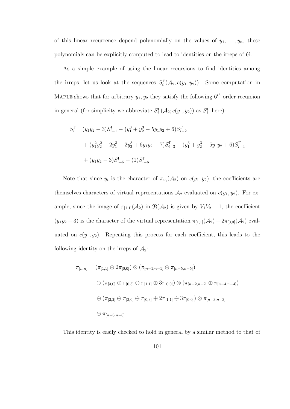of this linear recurrence depend polynomially on the values of  $y_1, \ldots, y_n$ , these polynomials can be explicitly computed to lead to identities on the irreps of G.

As a simple example of using the linear recursions to find identities among the irreps, let us look at the sequences  $S_i^{\Gamma}(\mathcal{A}_2; c(y_1, y_2))$ . Some computation in MAPLE shows that for arbitrary  $y_1, y_2$  they satisfy the following  $6^{th}$  order recursion in general (for simplicity we abbreviate  $S_i^{\Gamma}(\mathcal{A}_2; c(y_1, y_2))$  as  $S_i^{\Gamma}$  here):

$$
S_i^{\Gamma} = (y_1 y_2 - 3)S_{i-1}^{\Gamma} - (y_1^3 + y_2^3 - 5y_1 y_2 + 6)S_{i-2}^{\Gamma}
$$
  
+ 
$$
(y_1^2 y_2^2 - 2y_1^3 - 2y_2^3 + 6y_1 y_2 - 7)S_{i-3}^{\Gamma} - (y_1^3 + y_2^3 - 5y_1 y_2 + 6)S_{i-4}^{\Gamma}
$$
  
+ 
$$
(y_1 y_2 - 3)S_{i-5}^{\Gamma} - (1)S_{i-6}^{\Gamma}
$$

Note that since  $y_i$  is the character of  $\pi_{\omega_i}(\mathcal{A}_2)$  on  $c(y_1, y_2)$ , the coefficients are themselves characters of virtual representations  $\mathcal{A}_2$  evaluated on  $c(y_1, y_2)$ . For example, since the image of  $\pi_{[1,1]}(\mathcal{A}_2)$  in  $\mathfrak{R}(\mathcal{A}_2)$  is given by  $V_1V_2-1$ , the coefficient  $(y_1y_2-3)$  is the character of the virtual representation  $\pi_{[1,1]}(\mathcal{A}_2) - 2\pi_{[0,0]}(\mathcal{A}_2)$  evaluated on  $c(y_1, y_2)$ . Repeating this process for each coefficient, this leads to the following identity on the irreps of  $\mathcal{A}_2$ :

$$
\pi_{[n,n]} = (\pi_{[1,1]} \ominus 2\pi_{[0,0]}) \otimes (\pi_{[n-1,n-1]} \oplus \pi_{[n-5,n-5]})
$$
  

$$
\ominus (\pi_{[3,0]} \oplus \pi_{[0,3]} \ominus \pi_{[1,1]} \oplus 3\pi_{[0,0]}) \otimes (\pi_{[n-2,n-2]} \oplus \pi_{[n-4,n-4]})
$$
  

$$
\oplus (\pi_{[2,2]} \ominus \pi_{[3,0]} \ominus \pi_{[0,3]} \oplus 2\pi_{[1,1]} \ominus 3\pi_{[0,0]}) \otimes \pi_{[n-3,n-3]}
$$
  

$$
\ominus \pi_{[n-6,n-6]}
$$

This identity is easily checked to hold in general by a similar method to that of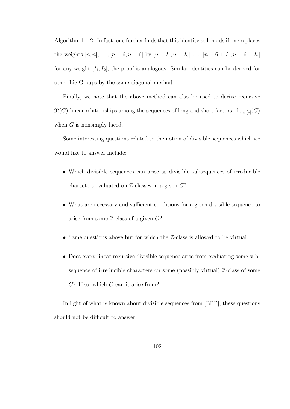Algorithm 1.1.2. In fact, one further finds that this identity still holds if one replaces the weights  $[n, n], \ldots, [n-6, n-6]$  by  $[n+I_1, n+I_2], \ldots, [n-6+I_1, n-6+I_2]$ for any weight  $[I_1, I_2]$ ; the proof is analogous. Similar identities can be derived for other Lie Groups by the same diagonal method.

Finally, we note that the above method can also be used to derive recursive  $\mathfrak{R}(G)\text{-linear relationships among the sequences of long and short factors of } \pi_{m[\rho]}(G)$ when  $G$  is nonsimply-laced.

Some interesting questions related to the notion of divisible sequences which we would like to answer include:

- Which divisible sequences can arise as divisible subsequences of irreducible characters evaluated on  $\mathbb{Z}$ -classes in a given  $G$ ?
- What are necessary and sufficient conditions for a given divisible sequence to arise from some  $\mathbb{Z}$ -class of a given  $G$ ?
- Same questions above but for which the Z-class is allowed to be virtual.
- Does every linear recursive divisible sequence arise from evaluating some subsequence of irreducible characters on some (possibly virtual) Z-class of some  $G$ ? If so, which  $G$  can it arise from?

In light of what is known about divisible sequences from [BPP], these questions should not be difficult to answer.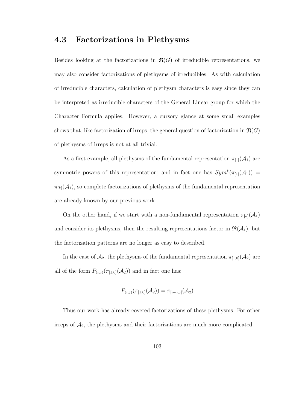### 4.3 Factorizations in Plethysms

Besides looking at the factorizations in  $\mathfrak{R}(G)$  of irreducible representations, we may also consider factorizations of plethysms of irreducibles. As with calculation of irreducible characters, calculation of plethysm characters is easy since they can be interpreted as irreducible characters of the General Linear group for which the Character Formula applies. However, a cursory glance at some small examples shows that, like factorization of irreps, the general question of factorization in  $\mathfrak{R}(G)$ of plethysms of irreps is not at all trivial.

As a first example, all plethysms of the fundamental representation  $\pi_{[1]}(\mathcal{A}_1)$  are symmetric powers of this representation; and in fact one has  $Sym^k(\pi_{1}(\mathcal{A}_1))$  =  $\pi_{[k]}(\mathcal{A}_1)$ , so complete factorizations of plethysms of the fundamental representation are already known by our previous work.

On the other hand, if we start with a non-fundamental representation  $\pi_{[k]}(\mathcal{A}_1)$ and consider its plethysms, then the resulting representations factor in  $\mathfrak{R}(\mathcal{A}_1)$ , but the factorization patterns are no longer as easy to described.

In the case of  $\mathcal{A}_2$ , the plethysms of the fundamental representation  $\pi_{[1,0]}(\mathcal{A}_2)$  are all of the form  $P_{(i,j)}(\pi_{[1,0]}(\mathcal{A}_2))$  and in fact one has:

$$
P_{(i,j)}(\pi_{[1,0]}(\mathcal{A}_2)) = \pi_{[i-j,j]}(\mathcal{A}_2)
$$

Thus our work has already covered factorizations of these plethysms. For other irreps of  $A_2$ , the plethysms and their factorizations are much more complicated.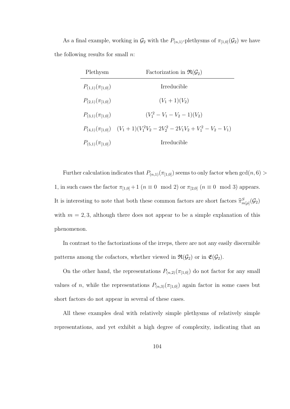As a final example, working in  $\mathcal{G}_2$  with the  $P_{(n,1)}$ -plethysms of  $\pi_{[1,0]}(\mathcal{G}_2)$  we have the following results for small  $n$ .

| Plethysm                 | Factorization in $\mathfrak{R}(\mathcal{G}_2)$                          |
|--------------------------|-------------------------------------------------------------------------|
| $P_{(1,1)}(\pi_{[1,0]})$ | <i>Irreducible</i>                                                      |
| $P_{(2,1)}(\pi_{[1,0]})$ | $(V_1+1)(V_2)$                                                          |
| $P_{(3,1)}(\pi_{[1,0]})$ | $(V_1^2-V_1-V_2-1)(V_2)$                                                |
|                          | $P_{(4,1)}(\pi_{1,0})$ $(V_1+1)(V_1^2V_2-2V_2^2-2V_1V_2+V_1^2-V_2-V_1)$ |
| $P_{(5,1)}(\pi_{[1,0]})$ | <i>Irreducible</i>                                                      |

Further calculation indicates that  $P_{(n,1)}(\pi_{[1,0]})$  seems to only factor when  $gcd(n, 6)$ 1, in such cases the factor  $\pi_{[1,0]} + 1$   $(n \equiv 0 \mod 2)$  or  $\pi_{[2,0]}$   $(n \equiv 0 \mod 3)$  appears. It is interesting to note that both these common factors are short factors  $\hat{\pi}_{m[\rho]}^{S}(\mathcal{G}_{2})$ with  $m = 2, 3$ , although there does not appear to be a simple explanation of this phenomenon.

In contrast to the factorizations of the irreps, there are not any easily discernible patterns among the cofactors, whether viewed in  $\mathfrak{R}(\mathcal{G}_2)$  or in  $\mathfrak{E}(\mathcal{G}_2)$ .

On the other hand, the representations  $P_{(n,2)}(\pi_{[1,0]})$  do not factor for any small values of n, while the representations  $P_{(n,3)}(\pi_{1,0})$  again factor in some cases but short factors do not appear in several of these cases.

All these examples deal with relatively simple plethysms of relatively simple representations, and yet exhibit a high degree of complexity, indicating that an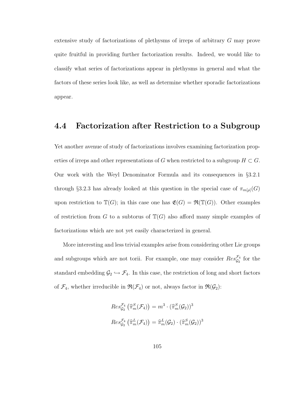extensive study of factorizations of plethysms of irreps of arbitrary G may prove quite fruitful in providing further factorization results. Indeed, we would like to classify what series of factorizations appear in plethysms in general and what the factors of these series look like, as well as determine whether sporadic factorizations appear.

## 4.4 Factorization after Restriction to a Subgroup

Yet another avenue of study of factorizations involves examining factorization properties of irreps and other representations of G when restricted to a subgroup  $H \subset G$ . Our work with the Weyl Denominator Formula and its consequences in §3.2.1 through §3.2.3 has already looked at this question in the special case of  $\pi_{m[\rho]}(G)$ upon restriction to  $\mathbb{T}(G)$ ; in this case one has  $\mathfrak{E}(G) = \mathfrak{R}(\mathbb{T}(G))$ . Other examples of restriction from G to a subtorus of  $\mathbb{T}(G)$  also afford many simple examples of factorizations which are not yet easily characterized in general.

More interesting and less trivial examples arise from considering other Lie groups and subgroups which are not torii. For example, one may consider  $Res_{\mathcal{G}_2}^{\mathcal{F}_4}$  for the standard embedding  $\mathcal{G}_2 \hookrightarrow \mathcal{F}_4$ . In this case, the restriction of long and short factors of  $\mathcal{F}_4$ , whether irreducible in  $\mathfrak{R}(\mathcal{F}_4)$  or not, always factor in  $\mathfrak{R}(\mathcal{G}_2)$ :

$$
Res_{\mathcal{G}_2}^{\mathcal{F}_4}(\widehat{\pi}_m^S(\mathcal{F}_4)) = m^3 \cdot (\widehat{\pi}_m^S(\mathcal{G}_2))^3
$$

$$
Res_{\mathcal{G}_2}^{\mathcal{F}_4}(\widehat{\pi}_m^L(\mathcal{F}_4)) = \widehat{\pi}_m^L(\mathcal{G}_2) \cdot (\widehat{\pi}_m^S(\mathcal{G}_2))^3
$$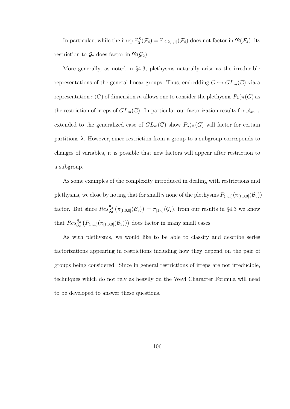In particular, while the irrep  $\hat{\pi}_{2}^{S}(\mathcal{F}_{4}) = \hat{\pi}_{[2,2,1,1]}(\mathcal{F}_{4})$  does not factor in  $\mathfrak{R}(\mathcal{F}_{4})$ , its restriction to  $\mathcal{G}_2$  does factor in  $\mathfrak{R}(\mathcal{G}_2)$ .

More generally, as noted in §4.3, plethysms naturally arise as the irreducible representations of the general linear groups. Thus, embedding  $G \hookrightarrow GL_m(\mathbb{C})$  via a representation  $\pi(G)$  of dimension m allows one to consider the plethysms  $P_{\lambda}(\pi(G))$  as the restriction of irreps of  $GL_m(\mathbb{C})$ . In particular our factorization results for  $\mathcal{A}_{m-1}$ extended to the generalized case of  $GL_m(\mathbb{C})$  show  $P_\lambda(\pi(G))$  will factor for certain partitions  $\lambda$ . However, since restriction from a group to a subgroup corresponds to changes of variables, it is possible that new factors will appear after restriction to a subgroup.

As some examples of the complexity introduced in dealing with restrictions and plethysms, we close by noting that for small n none of the plethysms  $P_{(n,1)}(\pi_{[1,0,0]}(\mathcal{B}_3))$ factor. But since  $Res_{\mathcal{G}_2}^{\mathcal{B}_3}(\pi_{[1,0,0]}(\mathcal{B}_3)) = \pi_{[1,0]}(\mathcal{G}_2)$ , from our results in §4.3 we know that  $Res_{\mathcal{G}_2}^{\mathcal{B}_3} (P_{(n,1)}(\pi_{[1,0,0]}(\mathcal{B}_3)))$  does factor in many small cases.

As with plethysms, we would like to be able to classify and describe series factorizations appearing in restrictions including how they depend on the pair of groups being considered. Since in general restrictions of irreps are not irreducible, techniques which do not rely as heavily on the Weyl Character Formula will need to be developed to answer these questions.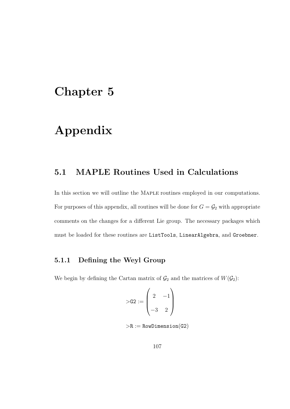## Chapter 5

# Appendix

## 5.1 MAPLE Routines Used in Calculations

In this section we will outline the MAPLE routines employed in our computations. For purposes of this appendix, all routines will be done for  $G = \mathcal{G}_2$  with appropriate comments on the changes for a different Lie group. The necessary packages which must be loaded for these routines are ListTools, LinearAlgebra, and Groebner.

### 5.1.1 Defining the Weyl Group

We begin by defining the Cartan matrix of  $\mathcal{G}_2$  and the matrices of  $W(\mathcal{G}_2)$ :

$$
\gt{G2} := \begin{pmatrix} 2 & -1 \\ -3 & 2 \end{pmatrix}
$$

 $R := RowDimension(G2)$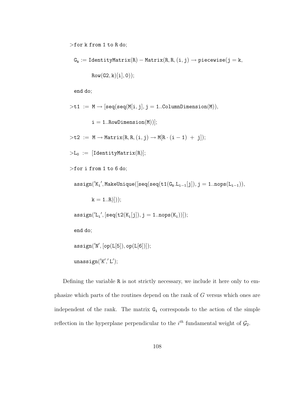>for k from 1 to R do;

$$
G_k := \text{IdentityMatrix}(R) - \text{Matrix}(R, R, (i, j) \rightarrow piecewise(j = k, \\ \text{Row}(G2, k)[i], 0));
$$

end do;

$$
\verb|>ti| := M \rightarrow [seq(seq(M[i,j], j = 1..ColumnDimension(M))),\ni = 1..RowDimension(M))];\n> t2 := M \rightarrow Matrix(R, R, (i, j) \rightarrow M[R \cdot (i - 1) + j]);\n>L_0 := [IdentityMatrix(R)];\n>for i from 1 to 6 do;\nassign('Ki', MakeUnique([seq(seq(t1(Gk.Li-1[j]), j = 1..nops(Li-1)),\nk = 1..R)]));\nassign('Li', [seq(t2(Ki[j]), j = 1..nops(Ki))]);\nend do;\nassign('N', [op(L[5]), op(L[6)]));\nunassign('K','L');
$$

Defining the variable R is not strictly necessary, we include it here only to emphasize which parts of the routines depend on the rank of G versus which ones are independent of the rank. The matrix  $G_i$  corresponds to the action of the simple reflection in the hyperplane perpendicular to the  $i^{th}$  fundamental weight of  $\mathcal{G}_2$ .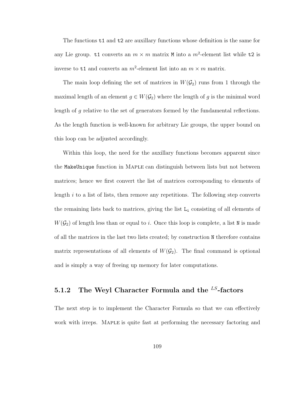The functions t1 and t2 are auxillary functions whose definition is the same for any Lie group. t1 converts an  $m \times m$  matrix M into a  $m^2$ -element list while t2 is inverse to  $t1$  and converts an  $m^2$ -element list into an  $m \times m$  matrix.

The main loop defining the set of matrices in  $W(\mathcal{G}_2)$  runs from 1 through the maximal length of an element  $g \in W(\mathcal{G}_2)$  where the length of g is the minimal word length of g relative to the set of generators formed by the fundamental reflections. As the length function is well-known for arbitrary Lie groups, the upper bound on this loop can be adjusted accordingly.

Within this loop, the need for the auxillary functions becomes apparent since the MakeUnique function in Maple can distinguish between lists but not between matrices; hence we first convert the list of matrices corresponding to elements of length  $i$  to a list of lists, then remove any repetitions. The following step converts the remaining lists back to matrices, giving the list  $L_i$  consisting of all elements of  $W(\mathcal{G}_2)$  of length less than or equal to *i*. Once this loop is complete, a list N is made of all the matrices in the last two lists created; by construction N therefore contains matrix representations of all elements of  $W(\mathcal{G}_2)$ . The final command is optional and is simply a way of freeing up memory for later computations.

### 5.1.2 The Weyl Character Formula and the  $^{LS}$ -factors

The next step is to implement the Character Formula so that we can effectively work with irreps. Maple is quite fast at performing the necessary factoring and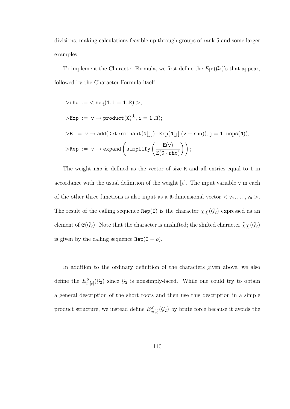divisions, making calculations feasible up through groups of rank 5 and some larger examples.

To implement the Character Formula, we first define the  $E_{[I]}(\mathcal{G}_2)$ 's that appear, followed by the Character Formula itself:

$$
\begin{aligned} > \text{rho} := < \text{seq}(1,i=1..R) >; \\ > \text{Exp} := v \rightarrow \text{product}(X_i^{v[i]},i=1..R); \\ > E := v \rightarrow \text{add}(\text{Determinant}(N[j]) \cdot \text{Exp}(N[j].(v+\text{rho})), j=1.. \text{nops}(N)); \\ > \text{Rep} := v \rightarrow \text{expand}\left(\text{simplify}\left(\frac{E(v)}{E(0 \cdot \text{rho})}\right)\right); \end{aligned}
$$

The weight rho is defined as the vector of size R and all entries equal to 1 in accordance with the usual definition of the weight  $[\rho]$ . The input variable v in each of the other three functions is also input as a R-dimensional vector  $\langle v_1, \ldots, v_R \rangle$ . The result of the calling sequence  $\text{Rep}(I)$  is the character  $\chi_{[I]}(\mathcal{G}_2)$  expressed as an element of  $\mathfrak{E}(\mathcal{G}_2)$ . Note that the character is unshifted; the shifted character  $\widehat{\chi}_{[I]}(\mathcal{G}_2)$ is given by the calling sequence  $\text{Rep}(I - \rho)$ .

In addition to the ordinary definition of the characters given above, we also define the  $E_{m[\rho]}^S(\mathcal{G}_2)$  since  $\mathcal{G}_2$  is nonsimply-laced. While one could try to obtain a general description of the short roots and then use this description in a simple product structure, we instead define  $E_{m[\rho]}^{S}(\mathcal{G}_{2})$  by brute force because it avoids the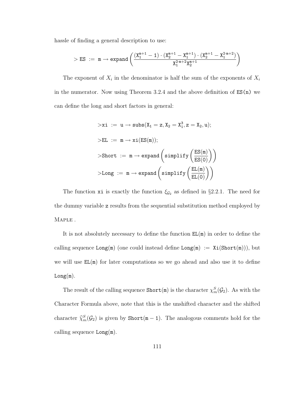hassle of finding a general description to use:

$$
> ES ~:=~ m \rightarrow expand \left( \frac{(X_1^{m+1}-1) \cdot (X_2^{m+1}-X_1^{m+1}) \cdot (X_2^{m+1}-X_1^{2 \cdot m+2})}{X_1^{2 \cdot m+2} X_2^{m+1}} \right)
$$

The exponent of  $X_i$  in the denominator is half the sum of the exponents of  $X_i$ in the numerator. Now using Theorem 3.2.4 and the above definition of  $ES(n)$  we can define the long and short factors in general:

$$
\begin{array}{l} \mathord{>}\text{xi} \;:=\; u \rightarrow \text{subs}(X_1 = z, X_2 = X_1^3, z = X_2, u);\\ \\ \mathord{>}\text{EL} \;:=\; m \rightarrow \text{xi}\big(\text{ES}(m)\big);\\ \\ \mathord{>}\text{Short} \;:=\; m \rightarrow \text{expand}\left(\text{simplity}\left(\frac{\text{ES}(m)}{\text{ES}(0)}\right)\right)\\ \\ \mathord{>}\text{Long} \;:=\; m \rightarrow \text{expand}\left(\text{simplity}\left(\frac{\text{EL}(m)}{\text{EL}(0)}\right)\right)\end{array}
$$

The function xi is exactly the function  $\xi_{\mathcal{G}_2}$  as defined in §2.2.1. The need for the dummy variable z results from the sequential substitution method employed by Maple .

It is not absolutely necessary to define the function  $EL(m)$  in order to define the calling sequence  $Long(m)$  (one could instead define  $Long(m) := Xi(Short(m)))$ , but we will use  $EL(m)$  for later computations so we go ahead and also use it to define  $Long(m).$ 

The result of the calling sequence  $\text{Short}(\mathbf{m})$  is the character  $\chi_m^S(\mathcal{G}_2)$ . As with the Character Formula above, note that this is the unshifted character and the shifted character  $\hat{\chi}_m^S(\mathcal{G}_2)$  is given by  $\text{Short}(\mathfrak{m} - 1)$ . The analogous comments hold for the calling sequence Long(m).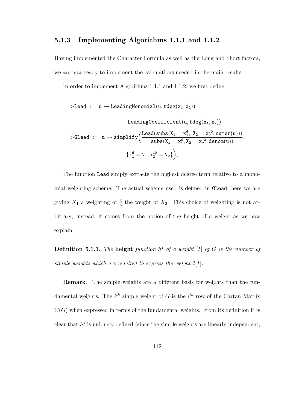#### 5.1.3 Implementing Algorithms 1.1.1 and 1.1.2

Having implemented the Character Formula as well as the Long and Short factors, we are now ready to implement the calculations needed in the main results.

In order to implement Algorithms 1.1.1 and 1.1.2, we first define:

$$
\begin{array}{rl} \texttt{> Lead} &:= u \rightarrow \texttt{LeadingMonomial}(u, \texttt{tdeg}(x_1, x_2)) \\ & & \texttt{.leadingCoefficient}(u, \texttt{tdeg}(x_1, x_2)); \\\\ \texttt{>Glead} &:= u \rightarrow \texttt{simply}\Big(\frac{\texttt{lead}(\texttt{subs}(X_1=x_1^6, \ X_2=x_2^{10}, \texttt{numer}(u)))}{\texttt{subs}(X_1=x_1^6, X_2=x_2^{10}, \texttt{denom}(u))}, \\\\ & & \{x_1^6 = V_1, x_2^{10} = V_2\}\Big); \end{array}
$$

The function Lead simply extracts the highest degree term relative to a monomial weighting scheme. The actual scheme used is defined in GLead; here we are giving  $X_1$  a weighting of  $\frac{3}{5}$  the weight of  $X_2$ . This choice of weighting is not arbitrary; instead, it comes from the notion of the height of a weight as we now explain.

**Definition 5.1.1.** The height function ht of a weight  $[I]$  of  $G$  is the number of simple weights which are required to express the weight  $2[I]$ .

Remark. The simple weights are a different basis for weights than the fundamental weights. The  $i^{th}$  simple weight of G is the  $i^{th}$  row of the Cartan Matrix  $C(G)$  when expressed in terms of the fundamental weights. From its definition it is clear that ht is uniquely defined (since the simple weights are linearly independent,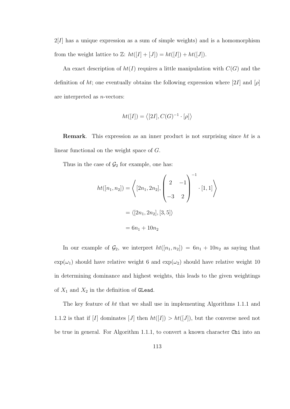$2[I]$  has a unique expression as a sum of simple weights) and is a homomorphism from the weight lattice to Z:  $ht([I] + [J]) = ht([I]) + ht([J])$ .

An exact description of  $ht(I)$  requires a little manipulation with  $C(G)$  and the definition of ht; one eventually obtains the following expression where [2I] and [ $\rho$ ] are interpreted as n-vectors:

$$
ht([I]) = \langle [2I], C(G)^{-1} \cdot [\rho] \rangle
$$

Remark. This expression as an inner product is not surprising since ht is a linear functional on the weight space of G.

Thus in the case of  $\mathcal{G}_2$  for example, one has:

$$
ht([n_1, n_2]) = \left\langle [2n_1, 2n_2], \begin{pmatrix} 2 & -1 \\ -3 & 2 \end{pmatrix}^{-1} \cdot [1, 1] \right\rangle
$$

$$
= \langle [2n_1, 2n_2], [3, 5] \rangle
$$

$$
= 6n_1 + 10n_2
$$

In our example of  $\mathcal{G}_2$ , we interpret  $ht([n_1, n_2]) = 6n_1 + 10n_2$  as saying that  $\exp(\omega_1)$  should have relative weight 6 and  $\exp(\omega_2)$  should have relative weight 10 in determining dominance and highest weights, this leads to the given weightings of  $X_1$  and  $X_2$  in the definition of GLead.

The key feature of ht that we shall use in implementing Algorithms 1.1.1 and 1.1.2 is that if [I] dominates [J] then  $ht([I]) > ht([J])$ , but the converse need not be true in general. For Algorithm 1.1.1, to convert a known character Chi into an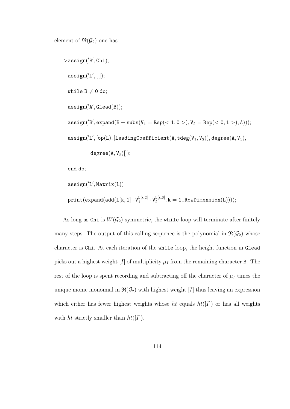element of  $\mathfrak{R}(\mathcal{G}_2)$  one has:

```
>assign('B', Chi);
 \texttt{assign}('L', [ ]);
while B\neq 0 do;
 \texttt{assign('A', Glead(B))};\texttt{assign('B', expand(B - subs(V_1 = Rep(<1, 0 >), V_2 = Rep(<0, 1 >), A))});\texttt{assign}('L', \texttt{[op(L)}, \texttt{[leadingCoefficient(A, tdeg(V_1, V_2))}, \texttt{degree(A, V_1)},degree(A, V<sub>2</sub>)]);
 end do;
```

$$
\begin{array}{l} \texttt{assign('L',Matrix(L))} \\ \texttt{print}(\texttt{expand}(\texttt{add}(L[k,1]\cdot V^{L[k,2]}_1\cdot V^{L[k,3]}_2, k=1..RowDimension(L))));\end{array}
$$

As long as Chi is  $W(\mathcal{G}_2)$ -symmetric, the while loop will terminate after finitely many steps. The output of this calling sequence is the polynomial in  $\mathfrak{R}(\mathcal{G}_2)$  whose character is Chi. At each iteration of the while loop, the height function in GLead picks out a highest weight [I] of multiplicity  $\mu_I$  from the remaining character B. The rest of the loop is spent recording and subtracting off the character of  $\mu_I$  times the unique monic monomial in  $\mathfrak{R}(\mathcal{G}_2)$  with highest weight [I] thus leaving an expression which either has fewer highest weights whose ht equals  $ht([I])$  or has all weights with ht strictly smaller than  $ht([I]).$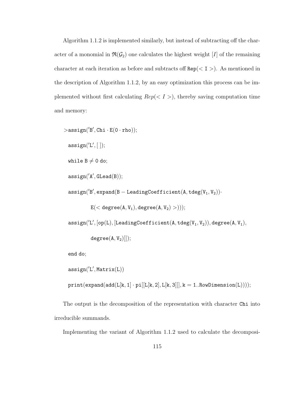Algorithm 1.1.2 is implemented similarly, but instead of subtracting off the character of a monomial in  $\mathfrak{R}(\mathcal{G}_2)$  one calculates the highest weight [I] of the remaining character at each iteration as before and subtracts off  $Rep(< I >)$ . As mentioned in the description of Algorithm 1.1.2, by an easy optimization this process can be implemented without first calculating  $Rep(< I >)$ , thereby saving computation time and memory:

```
>assign('B', Chi · E(0 · rho));
 \texttt{assign}('L', [ ]);
 while B\neq 0 do;
 \texttt{assign('A', Glead(B))};\texttt{assign('B', expand(B - leadingCoefficient(A, tdeg(V_1, V_2))}.E(< \text{degree}(A, V_1), \text{degree}(A, V_2) >)));
 \texttt{assign}(\text{'L'}, \texttt{[op(L)}, \texttt{[leadingCoefficient(A, tdeg(V_1, V_2))}, \texttt{degree(A, V_1)},degree(A, V<sub>2</sub>)]);
```
end do;

```
\texttt{assign}('L',\texttt{Matrix}(L))print(expand(add(L[k, 1] \cdot pi[[L[k, 2], L[k, 3]]], k = 1..RowDimension(L))));
```
The output is the decomposition of the representation with character Chi into irreducible summands.

Implementing the variant of Algorithm 1.1.2 used to calculate the decomposi-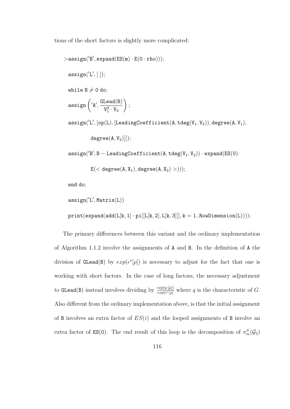tions of the short factors is slightly more complicated:

```
>assign('B', expand(ES(m) \cdot E(0 \cdot rho)));
 \texttt{assign}('L', [ ]);
 while B\neq 0 do;
 assign \left( {}^{'}A, \frac{\text{Glead}(B)}{V^3 - W} \right)V_1^3 \cdot V_2\setminus;
 \texttt{assign}('L', \texttt{[op(L)}, \texttt{[leadingCoefficient(A, tdeg(V_1, V_2))}, \texttt{degree(A, V_1)},degree(A, V<sub>2</sub>)]);
 \texttt{assign('B', B - LeadingCoefficient(A, tdeg(V_1, V_2)) \cdot expand(ES(0) \cdot}
```

```
E(< \text{degree}(A, X_1), \text{degree}(A, X_2) >)));
```
end do;

```
\texttt{assign}('L',\texttt{Matrix}(L))\texttt{print}(\texttt{expand}(\texttt{add}(\texttt{L}[\texttt{k},1]\cdot \texttt{pi}[[\texttt{L}[\texttt{k},2],\texttt{L}[\texttt{k},3]]],\texttt{k} = 1..\texttt{RowDimension}(\texttt{L}))));
```
The primary differences between this variant and the ordinary implementation of Algorithm 1.1.2 involve the assignments of A and B. In the definition of A the division of GLead(B) by  $exp(\epsilon^*[\rho])$  is necessary to adjust for the fact that one is working with short factors. In the case of long factors, the necessary adjustment to GLead(B) instead involves dividing by  $\frac{exp(q\cdot [p])}{exp(\epsilon^*[\rho])}$  where q is the characteristic of G. Also different from the ordinary implementation above, is that the initial assignment of B involves an extra factor of  $ES(i)$  and the looped assignments of B involve an extra factor of  $ES(0)$ . The end result of this loop is the decomposition of  $\pi_m^S(\mathcal{G}_2)$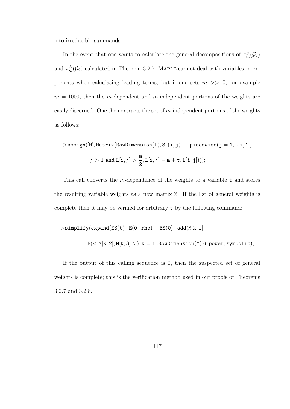into irreducible summands.

In the event that one wants to calculate the general decompositions of  $\pi_m^S(\mathcal{G}_2)$ and  $\pi_m^L(\mathcal{G}_2)$  calculated in Theorem 3.2.7, MAPLE cannot deal with variables in exponents when calculating leading terms, but if one sets  $m \gg 0$ , for example  $m = 1000$ , then the m-dependent and m-independent portions of the weights are easily discerned. One then extracts the set of  $m$ -independent portions of the weights as follows:

 $\texttt{D} > \texttt{assign('M',Matrix(RowDimension(L), 3, (i, j) \rightarrow piecewise(j = 1, L[i, 1],)}$  $j > 1$  and  $L[i, j] > \frac{m}{2}$ 2  $, L[i, j] - m + t, L[i, j]))$ ;

This call converts the m-dependence of the weights to a variable  $t$  and stores the resulting variable weights as a new matrix M. If the list of general weights is complete then it may be verified for arbitrary t by the following command:

$$
> \texttt{simplify}(\texttt{expand}(\texttt{ES}(\texttt{t}) \cdot \texttt{E}(0 \cdot \texttt{rho}) - \texttt{ES}(0) \cdot \texttt{add}(\texttt{M}[\texttt{k},1] \cdot \notag) \notag \\
$$
 
$$
\texttt{E}(< \texttt{M}[\texttt{k},2], \texttt{M}[\texttt{k},3] > ), k = 1.. \texttt{RowDimension}(\texttt{M}))), power, symbolic);
$$

If the output of this calling sequence is 0, then the suspected set of general weights is complete; this is the verification method used in our proofs of Theorems 3.2.7 and 3.2.8.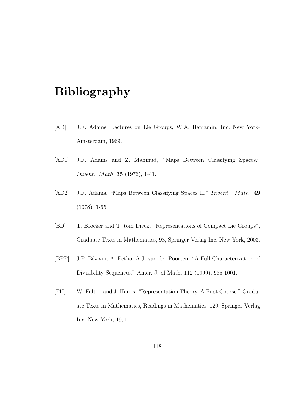## Bibliography

- [AD] J.F. Adams, Lectures on Lie Groups, W.A. Benjamin, Inc. New York-Amsterdam, 1969.
- [AD1] J.F. Adams and Z. Mahmud, "Maps Between Classifying Spaces." Invent. Math 35 (1976), 1-41.
- [AD2] J.F. Adams, "Maps Between Classifying Spaces II." Invent. Math 49 (1978), 1-65.
- [BD] T. Bröcker and T. tom Dieck, "Representations of Compact Lie Groups", Graduate Texts in Mathematics, 98, Springer-Verlag Inc. New York, 2003.
- [BPP] J.P. Bézivin, A. Pethö, A.J. van der Poorten, "A Full Characterization of Divisibility Sequences." Amer. J. of Math. 112 (1990), 985-1001.
- [FH] W. Fulton and J. Harris, "Representation Theory. A First Course." Graduate Texts in Mathematics, Readings in Mathematics, 129, Springer-Verlag Inc. New York, 1991.